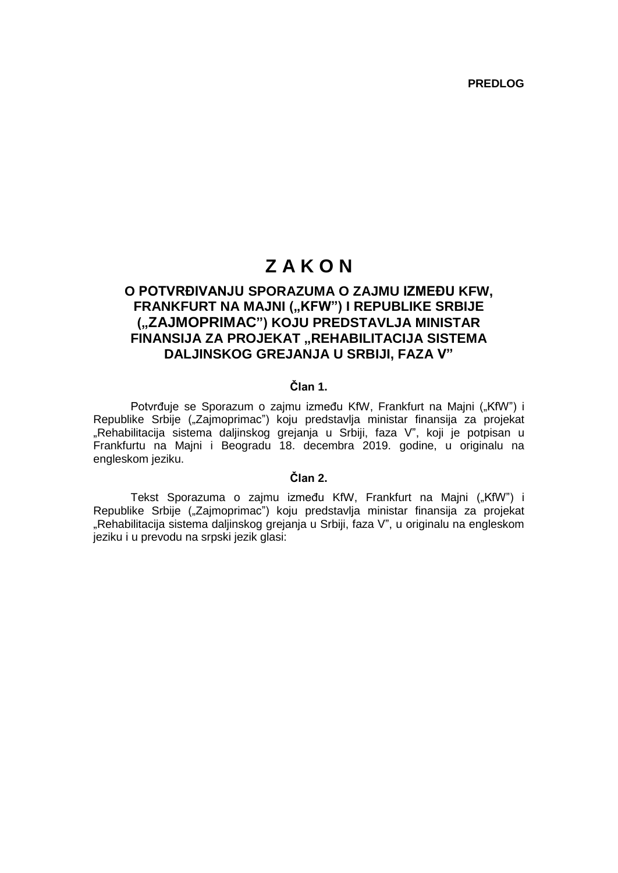**PREDLOG**

# **Z A K O N**

# **O POTVRĐIVANJU SPORAZUMA O ZAJMU IZMEĐU KFW, FRANKFURT NA MAJNI ("KFW") I REPUBLIKE SRBIJE ("ZAJMOPRIMAC") KOJU PREDSTAVLJA MINISTAR FINANSIJA ZA PROJEKAT "REHABILITACIJA SISTEMA DALJINSKOG GREJANJA U SRBIJI, FAZA V"**

## **Član 1.**

Potvrđuje se Sporazum o zajmu između KfW, Frankfurt na Majni ("KfW") i Republike Srbije ("Zajmoprimac") koju predstavlja ministar finansija za projekat "Rehabilitacija sistema daljinskog grejanja u Srbiji, faza V", koji je potpisan u Frankfurtu na Majni i Beogradu 18. decembra 2019. godine, u originalu na engleskom jeziku.

## **Član 2.**

Tekst Sporazuma o zajmu između KfW, Frankfurt na Majni ("KfW") i Republike Srbije ("Zajmoprimac") koju predstavlja ministar finansija za projekat "Rehabilitacija sistema daljinskog grejanja u Srbiji, faza V", u originalu na engleskom jeziku i u prevodu na srpski jezik glasi: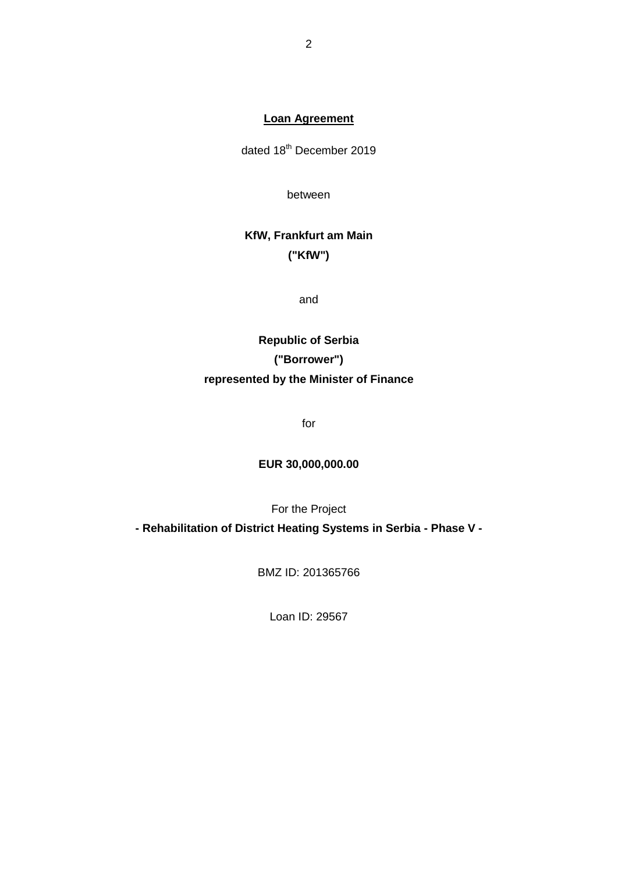# **Loan Agreement**

dated 18<sup>th</sup> December 2019

between

# **KfW, Frankfurt am Main ("KfW")**

and

# **Republic of Serbia ("Borrower") represented by the Minister of Finance**

for

# **EUR 30,000,000.00**

For the Project

**- Rehabilitation of District Heating Systems in Serbia - Phase V -**

BMZ ID: 201365766

Loan ID: 29567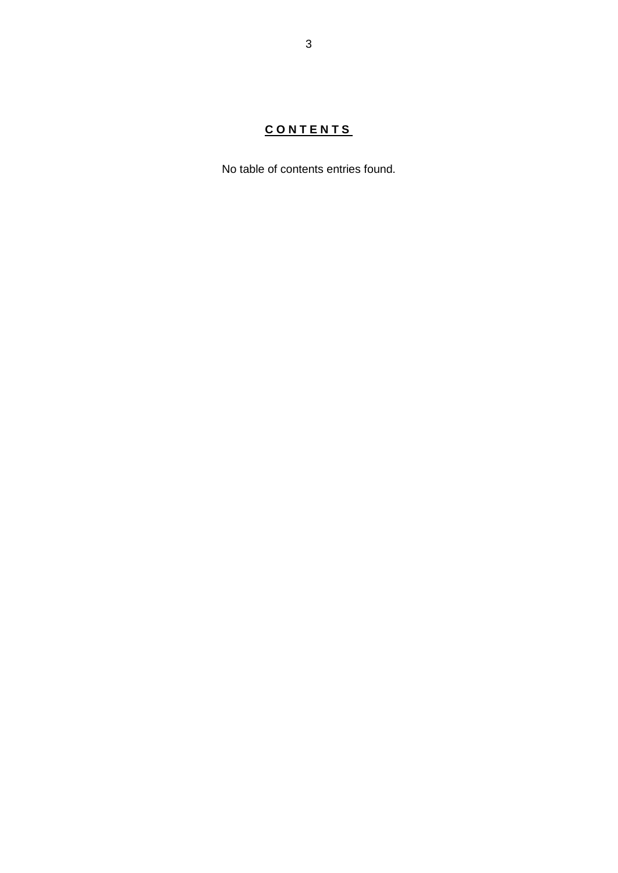# **C O N T E N T S**

No table of contents entries found.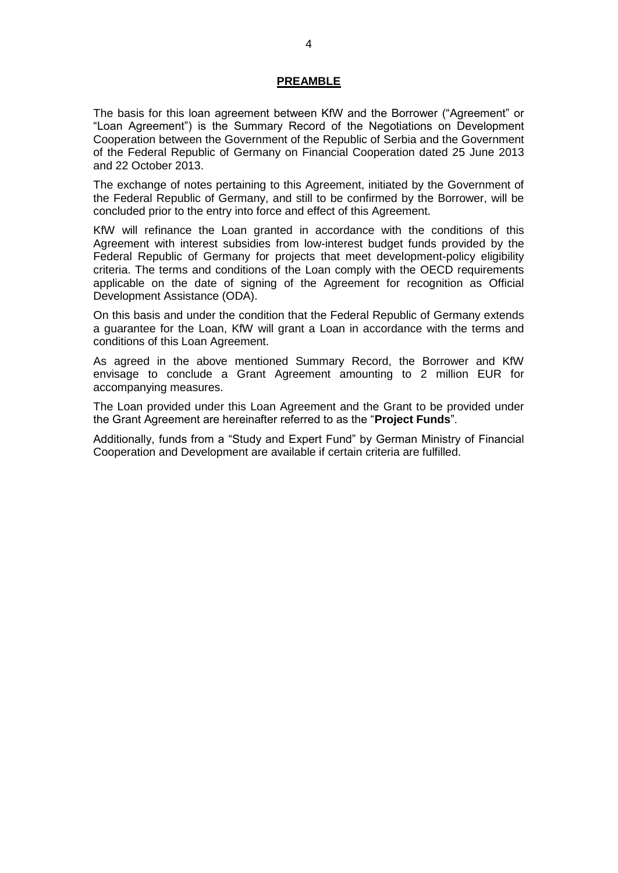#### **PREAMBLE**

The basis for this loan agreement between KfW and the Borrower ("Agreement" or "Loan Agreement") is the Summary Record of the Negotiations on Development Cooperation between the Government of the Republic of Serbia and the Government of the Federal Republic of Germany on Financial Cooperation dated 25 June 2013 and 22 October 2013.

The exchange of notes pertaining to this Agreement, initiated by the Government of the Federal Republic of Germany, and still to be confirmed by the Borrower, will be concluded prior to the entry into force and effect of this Agreement.

KfW will refinance the Loan granted in accordance with the conditions of this Agreement with interest subsidies from low-interest budget funds provided by the Federal Republic of Germany for projects that meet development-policy eligibility criteria. The terms and conditions of the Loan comply with the OECD requirements applicable on the date of signing of the Agreement for recognition as Official Development Assistance (ODA).

On this basis and under the condition that the Federal Republic of Germany extends a guarantee for the Loan, KfW will grant a Loan in accordance with the terms and conditions of this Loan Agreement.

As agreed in the above mentioned Summary Record, the Borrower and KfW envisage to conclude a Grant Agreement amounting to 2 million EUR for accompanying measures.

The Loan provided under this Loan Agreement and the Grant to be provided under the Grant Agreement are hereinafter referred to as the "**Project Funds**".

Additionally, funds from a "Study and Expert Fund" by German Ministry of Financial Cooperation and Development are available if certain criteria are fulfilled.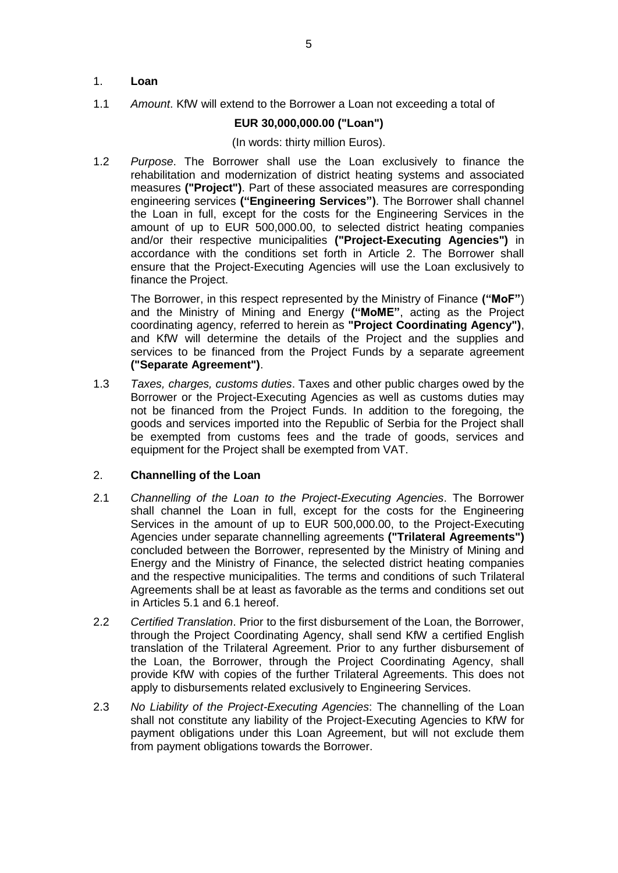## 1. **Loan**

1.1 *Amount*. KfW will extend to the Borrower a Loan not exceeding a total of

# **EUR 30,000,000.00 ("Loan")**

### (In words: thirty million Euros).

1.2 *Purpose*. The Borrower shall use the Loan exclusively to finance the rehabilitation and modernization of district heating systems and associated measures **("Project")**. Part of these associated measures are corresponding engineering services **("Engineering Services")**. The Borrower shall channel the Loan in full, except for the costs for the Engineering Services in the amount of up to EUR 500,000.00, to selected district heating companies and/or their respective municipalities **("Project-Executing Agencies")** in accordance with the conditions set forth in Article 2. The Borrower shall ensure that the Project-Executing Agencies will use the Loan exclusively to finance the Project.

The Borrower, in this respect represented by the Ministry of Finance **("MoF"**) and the Ministry of Mining and Energy **("MoME"**, acting as the Project coordinating agency, referred to herein as **"Project Coordinating Agency")**, and KfW will determine the details of the Project and the supplies and services to be financed from the Project Funds by a separate agreement **("Separate Agreement")**.

1.3 *Taxes, charges, customs duties*. Taxes and other public charges owed by the Borrower or the Project-Executing Agencies as well as customs duties may not be financed from the Project Funds. In addition to the foregoing, the goods and services imported into the Republic of Serbia for the Project shall be exempted from customs fees and the trade of goods, services and equipment for the Project shall be exempted from VAT.

## 2. **Channelling of the Loan**

- 2.1 *Channelling of the Loan to the Project-Executing Agencies*. The Borrower shall channel the Loan in full, except for the costs for the Engineering Services in the amount of up to EUR 500,000.00, to the Project-Executing Agencies under separate channelling agreements **("Trilateral Agreements")**  concluded between the Borrower, represented by the Ministry of Mining and Energy and the Ministry of Finance, the selected district heating companies and the respective municipalities. The terms and conditions of such Trilateral Agreements shall be at least as favorable as the terms and conditions set out in Articles 5.1 and 6.1 hereof.
- 2.2 *Certified Translation*. Prior to the first disbursement of the Loan, the Borrower, through the Project Coordinating Agency, shall send KfW a certified English translation of the Trilateral Agreement. Prior to any further disbursement of the Loan, the Borrower, through the Project Coordinating Agency, shall provide KfW with copies of the further Trilateral Agreements. This does not apply to disbursements related exclusively to Engineering Services.
- 2.3 *No Liability of the Project-Executing Agencies*: The channelling of the Loan shall not constitute any liability of the Project-Executing Agencies to KfW for payment obligations under this Loan Agreement, but will not exclude them from payment obligations towards the Borrower.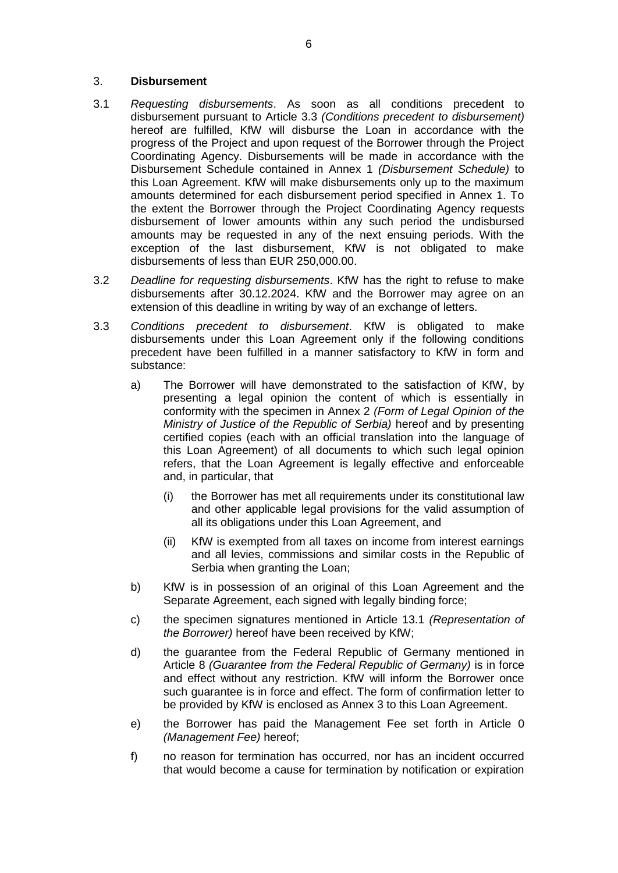### 3. **Disbursement**

- 3.1 *Requesting disbursements*. As soon as all conditions precedent to disbursement pursuant to Article 3.3 *(Conditions precedent to disbursement)* hereof are fulfilled, KfW will disburse the Loan in accordance with the progress of the Project and upon request of the Borrower through the Project Coordinating Agency. Disbursements will be made in accordance with the Disbursement Schedule contained in Annex 1 *(Disbursement Schedule)* to this Loan Agreement. KfW will make disbursements only up to the maximum amounts determined for each disbursement period specified in Annex 1. To the extent the Borrower through the Project Coordinating Agency requests disbursement of lower amounts within any such period the undisbursed amounts may be requested in any of the next ensuing periods. With the exception of the last disbursement, KfW is not obligated to make disbursements of less than EUR 250,000.00.
- 3.2 *Deadline for requesting disbursements*. KfW has the right to refuse to make disbursements after 30.12.2024. KfW and the Borrower may agree on an extension of this deadline in writing by way of an exchange of letters.
- 3.3 *Conditions precedent to disbursement*. KfW is obligated to make disbursements under this Loan Agreement only if the following conditions precedent have been fulfilled in a manner satisfactory to KfW in form and substance:
	- a) The Borrower will have demonstrated to the satisfaction of KfW, by presenting a legal opinion the content of which is essentially in conformity with the specimen in Annex 2 *(Form of Legal Opinion of the Ministry of Justice of the Republic of Serbia)* hereof and by presenting certified copies (each with an official translation into the language of this Loan Agreement) of all documents to which such legal opinion refers, that the Loan Agreement is legally effective and enforceable and, in particular, that
		- (i) the Borrower has met all requirements under its constitutional law and other applicable legal provisions for the valid assumption of all its obligations under this Loan Agreement, and
		- (ii) KfW is exempted from all taxes on income from interest earnings and all levies, commissions and similar costs in the Republic of Serbia when granting the Loan;
	- b) KfW is in possession of an original of this Loan Agreement and the Separate Agreement, each signed with legally binding force;
	- c) the specimen signatures mentioned in Article 13.1 *(Representation of the Borrower)* hereof have been received by KfW;
	- d) the guarantee from the Federal Republic of Germany mentioned in Article 8 *(Guarantee from the Federal Republic of Germany)* is in force and effect without any restriction. KfW will inform the Borrower once such guarantee is in force and effect. The form of confirmation letter to be provided by KfW is enclosed as Annex 3 to this Loan Agreement.
	- e) the Borrower has paid the Management Fee set forth in Article [0](#page-7-0) *(Management Fee)* hereof;
	- f) no reason for termination has occurred, nor has an incident occurred that would become a cause for termination by notification or expiration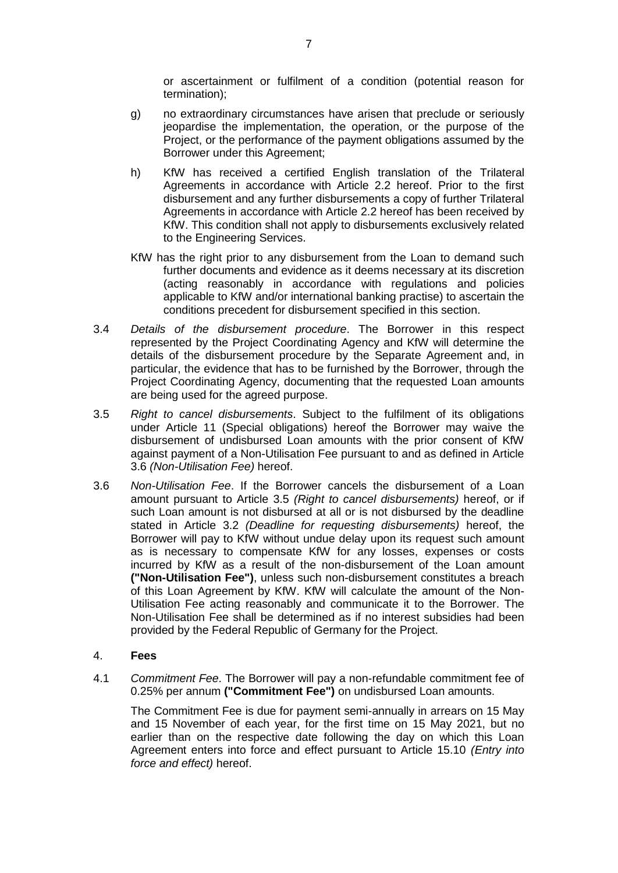or ascertainment or fulfilment of a condition (potential reason for termination);

- g) no extraordinary circumstances have arisen that preclude or seriously jeopardise the implementation, the operation, or the purpose of the Project, or the performance of the payment obligations assumed by the Borrower under this Agreement;
- h) KfW has received a certified English translation of the Trilateral Agreements in accordance with Article 2.2 hereof. Prior to the first disbursement and any further disbursements a copy of further Trilateral Agreements in accordance with Article 2.2 hereof has been received by KfW. This condition shall not apply to disbursements exclusively related to the Engineering Services.
- KfW has the right prior to any disbursement from the Loan to demand such further documents and evidence as it deems necessary at its discretion (acting reasonably in accordance with regulations and policies applicable to KfW and/or international banking practise) to ascertain the conditions precedent for disbursement specified in this section.
- 3.4 *Details of the disbursement procedure*. The Borrower in this respect represented by the Project Coordinating Agency and KfW will determine the details of the disbursement procedure by the Separate Agreement and, in particular, the evidence that has to be furnished by the Borrower, through the Project Coordinating Agency, documenting that the requested Loan amounts are being used for the agreed purpose.
- 3.5 *Right to cancel disbursements*. Subject to the fulfilment of its obligations under Article 11 (Special obligations) hereof the Borrower may waive the disbursement of undisbursed Loan amounts with the prior consent of KfW against payment of a Non-Utilisation Fee pursuant to and as defined in Article 3.6 *(Non-Utilisation Fee)* hereof.
- 3.6 *Non-Utilisation Fee*. If the Borrower cancels the disbursement of a Loan amount pursuant to Article 3.5 *(Right to cancel disbursements)* hereof, or if such Loan amount is not disbursed at all or is not disbursed by the deadline stated in Article 3.2 *(Deadline for requesting disbursements)* hereof, the Borrower will pay to KfW without undue delay upon its request such amount as is necessary to compensate KfW for any losses, expenses or costs incurred by KfW as a result of the non-disbursement of the Loan amount **("Non-Utilisation Fee")**, unless such non-disbursement constitutes a breach of this Loan Agreement by KfW. KfW will calculate the amount of the Non-Utilisation Fee acting reasonably and communicate it to the Borrower. The Non-Utilisation Fee shall be determined as if no interest subsidies had been provided by the Federal Republic of Germany for the Project.

### 4. **Fees**

4.1 *Commitment Fee*. The Borrower will pay a non-refundable commitment fee of 0.25% per annum **("Commitment Fee")** on undisbursed Loan amounts.

The Commitment Fee is due for payment semi-annually in arrears on 15 May and 15 November of each year, for the first time on 15 May 2021, but no earlier than on the respective date following the day on which this Loan Agreement enters into force and effect pursuant to Article 15.10 *(Entry into force and effect)* hereof.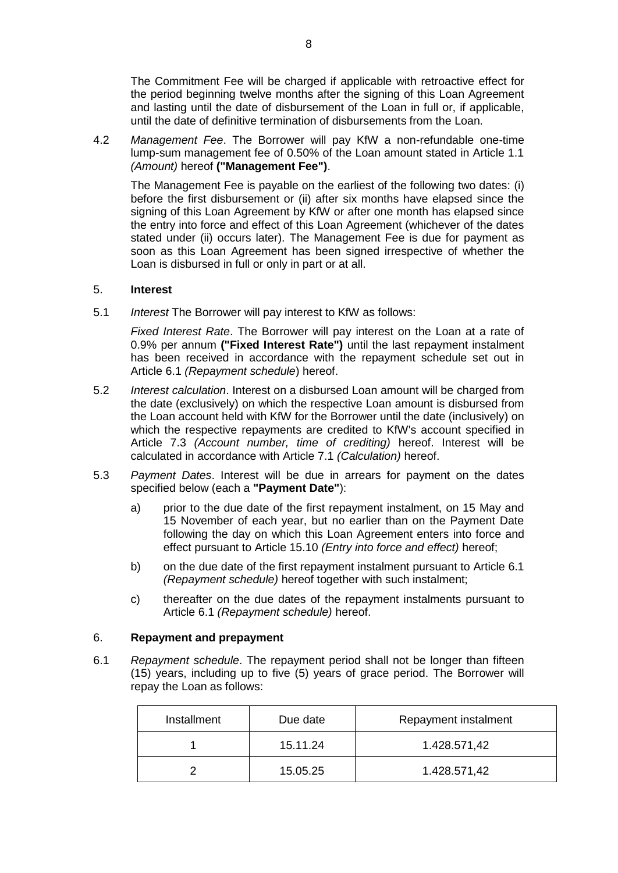The Commitment Fee will be charged if applicable with retroactive effect for the period beginning twelve months after the signing of this Loan Agreement and lasting until the date of disbursement of the Loan in full or, if applicable, until the date of definitive termination of disbursements from the Loan.

<span id="page-7-0"></span>4.2 *Management Fee*. The Borrower will pay KfW a non-refundable one-time lump-sum management fee of 0.50% of the Loan amount stated in Article 1.1 *(Amount)* hereof **("Management Fee")**.

The Management Fee is payable on the earliest of the following two dates: (i) before the first disbursement or (ii) after six months have elapsed since the signing of this Loan Agreement by KfW or after one month has elapsed since the entry into force and effect of this Loan Agreement (whichever of the dates stated under (ii) occurs later). The Management Fee is due for payment as soon as this Loan Agreement has been signed irrespective of whether the Loan is disbursed in full or only in part or at all.

### 5. **Interest**

5.1 *Interest* The Borrower will pay interest to KfW as follows:

*Fixed Interest Rate*. The Borrower will pay interest on the Loan at a rate of 0.9% per annum **("Fixed Interest Rate")** until the last repayment instalment has been received in accordance with the repayment schedule set out in Article 6.1 *(Repayment schedule*) hereof.

- 5.2 *Interest calculation*. Interest on a disbursed Loan amount will be charged from the date (exclusively) on which the respective Loan amount is disbursed from the Loan account held with KfW for the Borrower until the date (inclusively) on which the respective repayments are credited to KfW's account specified in Article 7.3 *(Account number, time of crediting)* hereof. Interest will be calculated in accordance with Article 7.1 *(Calculation)* hereof.
- 5.3 *Payment Dates*. Interest will be due in arrears for payment on the dates specified below (each a **"Payment Date"**):
	- a) prior to the due date of the first repayment instalment, on 15 May and 15 November of each year, but no earlier than on the Payment Date following the day on which this Loan Agreement enters into force and effect pursuant to Article 15.10 *(Entry into force and effect)* hereof;
	- b) on the due date of the first repayment instalment pursuant to Article 6.1 *(Repayment schedule)* hereof together with such instalment;
	- c) thereafter on the due dates of the repayment instalments pursuant to Article 6.1 *(Repayment schedule)* hereof.

### 6. **Repayment and prepayment**

6.1 *Repayment schedule*. The repayment period shall not be longer than fifteen (15) years, including up to five (5) years of grace period. The Borrower will repay the Loan as follows:

| Installment<br>Due date |          | Repayment instalment |  |
|-------------------------|----------|----------------------|--|
|                         | 15.11.24 | 1.428.571,42         |  |
|                         | 15.05.25 | 1.428.571,42         |  |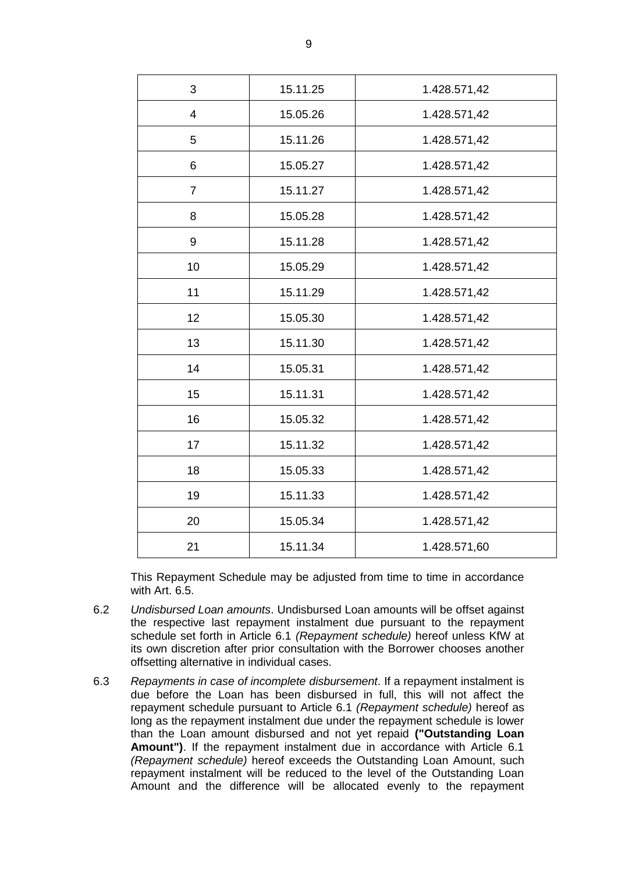| 3                       | 15.11.25 | 1.428.571,42 |
|-------------------------|----------|--------------|
| $\overline{\mathbf{4}}$ | 15.05.26 | 1.428.571,42 |
| 5                       | 15.11.26 | 1.428.571,42 |
| 6                       | 15.05.27 | 1.428.571,42 |
| $\overline{7}$          | 15.11.27 | 1.428.571,42 |
| 8                       | 15.05.28 | 1.428.571,42 |
| 9                       | 15.11.28 | 1.428.571,42 |
| 10                      | 15.05.29 | 1.428.571,42 |
| 11                      | 15.11.29 | 1.428.571,42 |
| 12                      | 15.05.30 | 1.428.571,42 |
| 13                      | 15.11.30 | 1.428.571,42 |
| 14                      | 15.05.31 | 1.428.571,42 |
| 15                      | 15.11.31 | 1.428.571,42 |
| 16                      | 15.05.32 | 1.428.571,42 |
| 17                      | 15.11.32 | 1.428.571,42 |
| 18                      | 15.05.33 | 1.428.571,42 |
| 19                      | 15.11.33 | 1.428.571,42 |
| 20                      | 15.05.34 | 1.428.571,42 |
| 21                      | 15.11.34 | 1.428.571,60 |

This Repayment Schedule may be adjusted from time to time in accordance with Art. 6.5.

- 6.2 *Undisbursed Loan amounts*. Undisbursed Loan amounts will be offset against the respective last repayment instalment due pursuant to the repayment schedule set forth in Article 6.1 *(Repayment schedule)* hereof unless KfW at its own discretion after prior consultation with the Borrower chooses another offsetting alternative in individual cases.
- 6.3 *Repayments in case of incomplete disbursement*. If a repayment instalment is due before the Loan has been disbursed in full, this will not affect the repayment schedule pursuant to Article 6.1 *(Repayment schedule)* hereof as long as the repayment instalment due under the repayment schedule is lower than the Loan amount disbursed and not yet repaid **("Outstanding Loan Amount")**. If the repayment instalment due in accordance with Article 6.1 *(Repayment schedule)* hereof exceeds the Outstanding Loan Amount, such repayment instalment will be reduced to the level of the Outstanding Loan Amount and the difference will be allocated evenly to the repayment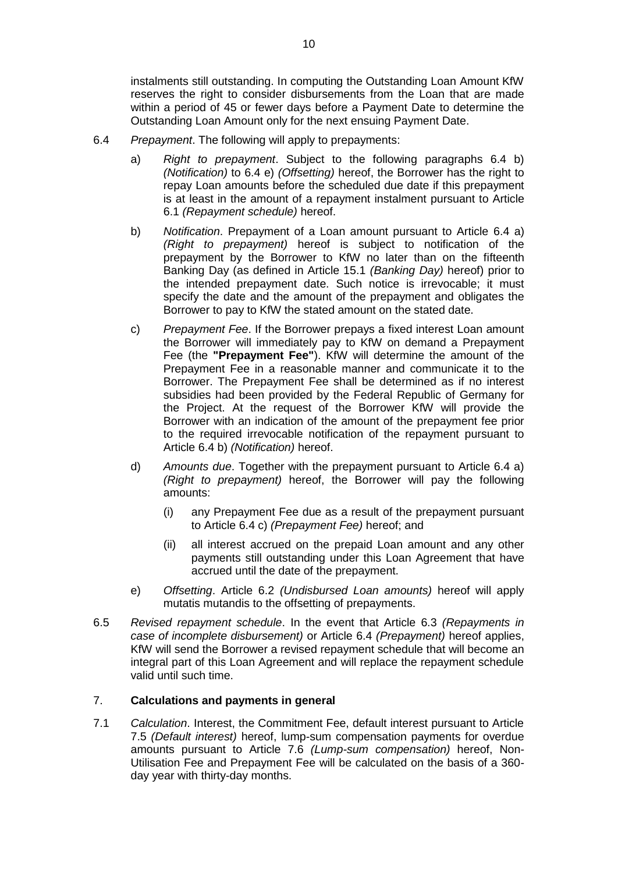instalments still outstanding. In computing the Outstanding Loan Amount KfW reserves the right to consider disbursements from the Loan that are made within a period of 45 or fewer days before a Payment Date to determine the Outstanding Loan Amount only for the next ensuing Payment Date.

- 6.4 *Prepayment*. The following will apply to prepayments:
	- a) *Right to prepayment*. Subject to the following paragraphs 6.4 b) *(Notification)* to 6.4 e) *(Offsetting)* hereof, the Borrower has the right to repay Loan amounts before the scheduled due date if this prepayment is at least in the amount of a repayment instalment pursuant to Article 6.1 *(Repayment schedule)* hereof.
	- b) *Notification*. Prepayment of a Loan amount pursuant to Article 6.4 a) *(Right to prepayment)* hereof is subject to notification of the prepayment by the Borrower to KfW no later than on the fifteenth Banking Day (as defined in Article 15.1 *(Banking Day)* hereof) prior to the intended prepayment date. Such notice is irrevocable; it must specify the date and the amount of the prepayment and obligates the Borrower to pay to KfW the stated amount on the stated date.
	- c) *Prepayment Fee*. If the Borrower prepays a fixed interest Loan amount the Borrower will immediately pay to KfW on demand a Prepayment Fee (the **"Prepayment Fee"**). KfW will determine the amount of the Prepayment Fee in a reasonable manner and communicate it to the Borrower. The Prepayment Fee shall be determined as if no interest subsidies had been provided by the Federal Republic of Germany for the Project. At the request of the Borrower KfW will provide the Borrower with an indication of the amount of the prepayment fee prior to the required irrevocable notification of the repayment pursuant to Article 6.4 b) *(Notification)* hereof.
	- d) *Amounts due*. Together with the prepayment pursuant to Article 6.4 a) *(Right to prepayment)* hereof, the Borrower will pay the following amounts:
		- (i) any Prepayment Fee due as a result of the prepayment pursuant to Article 6.4 c) *(Prepayment Fee)* hereof; and
		- (ii) all interest accrued on the prepaid Loan amount and any other payments still outstanding under this Loan Agreement that have accrued until the date of the prepayment.
	- e) *Offsetting*. Article 6.2 *(Undisbursed Loan amounts)* hereof will apply mutatis mutandis to the offsetting of prepayments.
- 6.5 *Revised repayment schedule*. In the event that Article 6.3 *(Repayments in case of incomplete disbursement)* or Article 6.4 *(Prepayment)* hereof applies, KfW will send the Borrower a revised repayment schedule that will become an integral part of this Loan Agreement and will replace the repayment schedule valid until such time.

### 7. **Calculations and payments in general**

7.1 *Calculation*. Interest, the Commitment Fee, default interest pursuant to Article 7.5 *(Default interest)* hereof, lump-sum compensation payments for overdue amounts pursuant to Article 7.6 *(Lump-sum compensation)* hereof, Non-Utilisation Fee and Prepayment Fee will be calculated on the basis of a 360 day year with thirty-day months.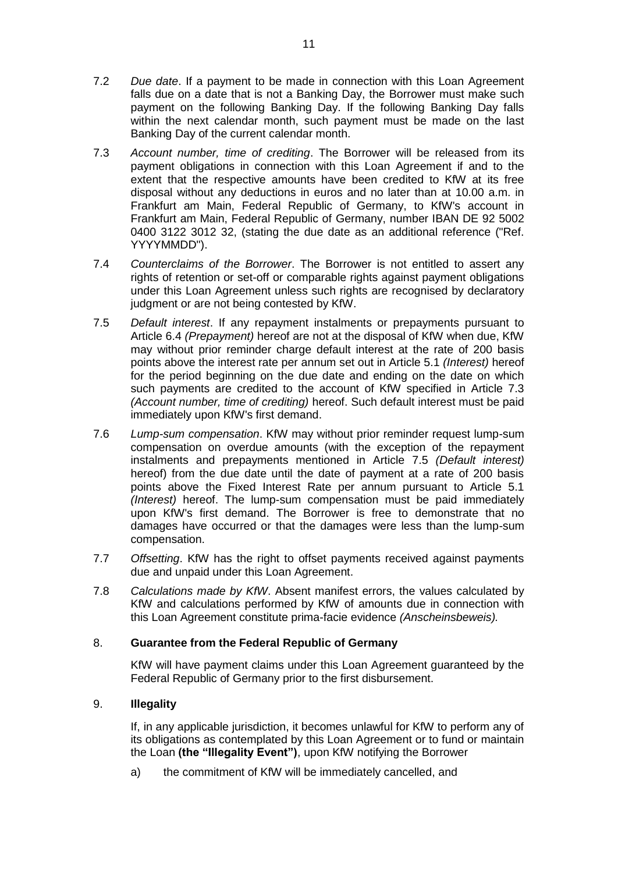- 7.2 *Due date*. If a payment to be made in connection with this Loan Agreement falls due on a date that is not a Banking Day, the Borrower must make such payment on the following Banking Day. If the following Banking Day falls within the next calendar month, such payment must be made on the last Banking Day of the current calendar month.
- 7.3 *Account number, time of crediting*. The Borrower will be released from its payment obligations in connection with this Loan Agreement if and to the extent that the respective amounts have been credited to KfW at its free disposal without any deductions in euros and no later than at 10.00 a.m. in Frankfurt am Main, Federal Republic of Germany, to KfW's account in Frankfurt am Main, Federal Republic of Germany, number IBAN DE 92 5002 0400 3122 3012 32, (stating the due date as an additional reference ("Ref. YYYYMMDD").
- 7.4 *Counterclaims of the Borrower*. The Borrower is not entitled to assert any rights of retention or set-off or comparable rights against payment obligations under this Loan Agreement unless such rights are recognised by declaratory judgment or are not being contested by KfW.
- 7.5 *Default interest*. If any repayment instalments or prepayments pursuant to Article 6.4 *(Prepayment)* hereof are not at the disposal of KfW when due, KfW may without prior reminder charge default interest at the rate of 200 basis points above the interest rate per annum set out in Article 5.1 *(Interest)* hereof for the period beginning on the due date and ending on the date on which such payments are credited to the account of KfW specified in Article 7.3 *(Account number, time of crediting)* hereof. Such default interest must be paid immediately upon KfW's first demand.
- 7.6 *Lump-sum compensation*. KfW may without prior reminder request lump-sum compensation on overdue amounts (with the exception of the repayment instalments and prepayments mentioned in Article 7.5 *(Default interest)* hereof) from the due date until the date of payment at a rate of 200 basis points above the Fixed Interest Rate per annum pursuant to Article 5.1 *(Interest)* hereof. The lump-sum compensation must be paid immediately upon KfW's first demand. The Borrower is free to demonstrate that no damages have occurred or that the damages were less than the lump-sum compensation.
- 7.7 *Offsetting*. KfW has the right to offset payments received against payments due and unpaid under this Loan Agreement.
- 7.8 *Calculations made by KfW*. Absent manifest errors, the values calculated by KfW and calculations performed by KfW of amounts due in connection with this Loan Agreement constitute prima-facie evidence *(Anscheinsbeweis).*

# 8. **Guarantee from the Federal Republic of Germany**

KfW will have payment claims under this Loan Agreement guaranteed by the Federal Republic of Germany prior to the first disbursement.

# 9. **Illegality**

If, in any applicable jurisdiction, it becomes unlawful for KfW to perform any of its obligations as contemplated by this Loan Agreement or to fund or maintain the Loan **(the "Illegality Event")**, upon KfW notifying the Borrower

a) the commitment of KfW will be immediately cancelled, and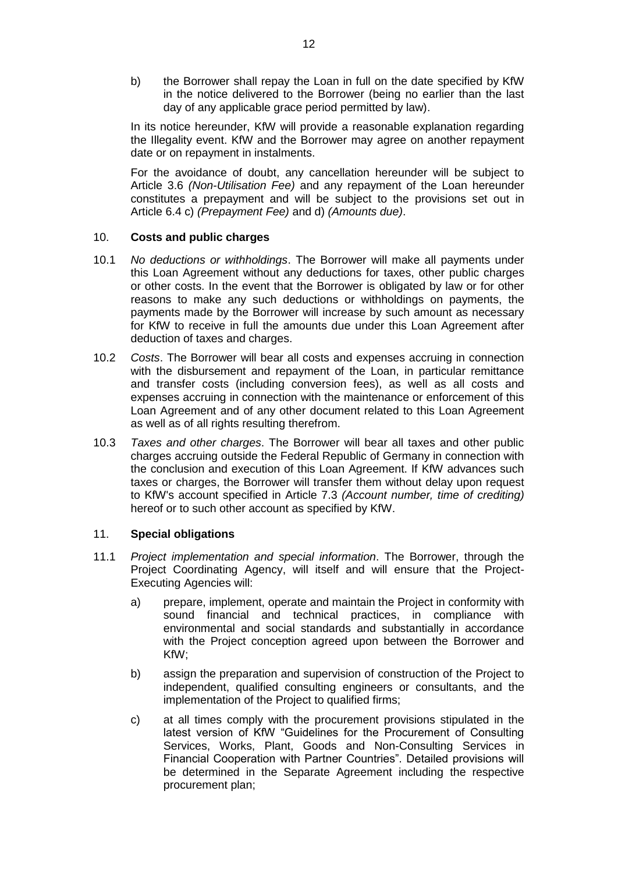b) the Borrower shall repay the Loan in full on the date specified by KfW in the notice delivered to the Borrower (being no earlier than the last day of any applicable grace period permitted by law).

In its notice hereunder, KfW will provide a reasonable explanation regarding the Illegality event. KfW and the Borrower may agree on another repayment date or on repayment in instalments.

For the avoidance of doubt, any cancellation hereunder will be subject to Article 3.6 *(Non-Utilisation Fee)* and any repayment of the Loan hereunder constitutes a prepayment and will be subject to the provisions set out in Article 6.4 c) *(Prepayment Fee)* and d) *(Amounts due)*.

### 10. **Costs and public charges**

- 10.1 *No deductions or withholdings*. The Borrower will make all payments under this Loan Agreement without any deductions for taxes, other public charges or other costs. In the event that the Borrower is obligated by law or for other reasons to make any such deductions or withholdings on payments, the payments made by the Borrower will increase by such amount as necessary for KfW to receive in full the amounts due under this Loan Agreement after deduction of taxes and charges.
- 10.2 *Costs*. The Borrower will bear all costs and expenses accruing in connection with the disbursement and repayment of the Loan, in particular remittance and transfer costs (including conversion fees), as well as all costs and expenses accruing in connection with the maintenance or enforcement of this Loan Agreement and of any other document related to this Loan Agreement as well as of all rights resulting therefrom.
- 10.3 *Taxes and other charges*. The Borrower will bear all taxes and other public charges accruing outside the Federal Republic of Germany in connection with the conclusion and execution of this Loan Agreement. If KfW advances such taxes or charges, the Borrower will transfer them without delay upon request to KfW's account specified in Article 7.3 *(Account number, time of crediting)* hereof or to such other account as specified by KfW.

### 11. **Special obligations**

- 11.1 *Project implementation and special information*. The Borrower, through the Project Coordinating Agency, will itself and will ensure that the Project-Executing Agencies will:
	- a) prepare, implement, operate and maintain the Project in conformity with sound financial and technical practices, in compliance with environmental and social standards and substantially in accordance with the Project conception agreed upon between the Borrower and KfW;
	- b) assign the preparation and supervision of construction of the Project to independent, qualified consulting engineers or consultants, and the implementation of the Project to qualified firms;
	- c) at all times comply with the procurement provisions stipulated in the latest version of KfW "Guidelines for the Procurement of Consulting Services, Works, Plant, Goods and Non-Consulting Services in Financial Cooperation with Partner Countries". Detailed provisions will be determined in the Separate Agreement including the respective procurement plan;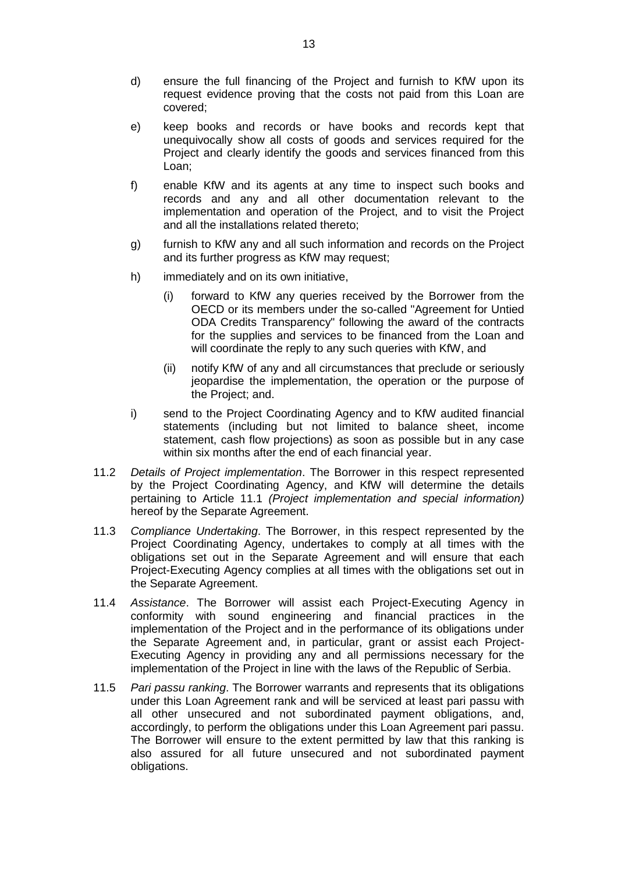- d) ensure the full financing of the Project and furnish to KfW upon its request evidence proving that the costs not paid from this Loan are covered;
- e) keep books and records or have books and records kept that unequivocally show all costs of goods and services required for the Project and clearly identify the goods and services financed from this Loan;
- f) enable KfW and its agents at any time to inspect such books and records and any and all other documentation relevant to the implementation and operation of the Project, and to visit the Project and all the installations related thereto;
- g) furnish to KfW any and all such information and records on the Project and its further progress as KfW may request;
- h) immediately and on its own initiative,
	- (i) forward to KfW any queries received by the Borrower from the OECD or its members under the so-called "Agreement for Untied ODA Credits Transparency" following the award of the contracts for the supplies and services to be financed from the Loan and will coordinate the reply to any such queries with KfW, and
	- (ii) notify KfW of any and all circumstances that preclude or seriously jeopardise the implementation, the operation or the purpose of the Project; and.
- i) send to the Project Coordinating Agency and to KfW audited financial statements (including but not limited to balance sheet, income statement, cash flow projections) as soon as possible but in any case within six months after the end of each financial year.
- 11.2 *Details of Project implementation*. The Borrower in this respect represented by the Project Coordinating Agency, and KfW will determine the details pertaining to Article 11.1 *(Project implementation and special information)* hereof by the Separate Agreement.
- 11.3 *Compliance Undertaking*. The Borrower, in this respect represented by the Project Coordinating Agency, undertakes to comply at all times with the obligations set out in the Separate Agreement and will ensure that each Project-Executing Agency complies at all times with the obligations set out in the Separate Agreement.
- 11.4 *Assistance*. The Borrower will assist each Project-Executing Agency in conformity with sound engineering and financial practices in the implementation of the Project and in the performance of its obligations under the Separate Agreement and, in particular, grant or assist each Project-Executing Agency in providing any and all permissions necessary for the implementation of the Project in line with the laws of the Republic of Serbia.
- 11.5 *Pari passu ranking*. The Borrower warrants and represents that its obligations under this Loan Agreement rank and will be serviced at least pari passu with all other unsecured and not subordinated payment obligations, and, accordingly, to perform the obligations under this Loan Agreement pari passu. The Borrower will ensure to the extent permitted by law that this ranking is also assured for all future unsecured and not subordinated payment obligations.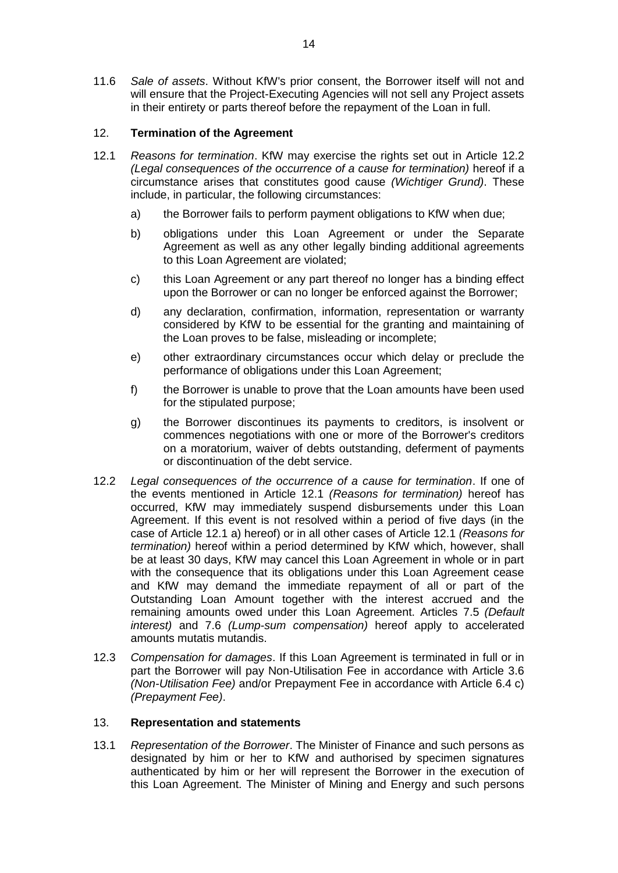11.6 *Sale of assets*. Without KfW's prior consent, the Borrower itself will not and will ensure that the Project-Executing Agencies will not sell any Project assets in their entirety or parts thereof before the repayment of the Loan in full.

# 12. **Termination of the Agreement**

- 12.1 *Reasons for termination*. KfW may exercise the rights set out in Article 12.2 *(Legal consequences of the occurrence of a cause for termination)* hereof if a circumstance arises that constitutes good cause *(Wichtiger Grund)*. These include, in particular, the following circumstances:
	- a) the Borrower fails to perform payment obligations to KfW when due;
	- b) obligations under this Loan Agreement or under the Separate Agreement as well as any other legally binding additional agreements to this Loan Agreement are violated;
	- c) this Loan Agreement or any part thereof no longer has a binding effect upon the Borrower or can no longer be enforced against the Borrower;
	- d) any declaration, confirmation, information, representation or warranty considered by KfW to be essential for the granting and maintaining of the Loan proves to be false, misleading or incomplete;
	- e) other extraordinary circumstances occur which delay or preclude the performance of obligations under this Loan Agreement;
	- f) the Borrower is unable to prove that the Loan amounts have been used for the stipulated purpose;
	- g) the Borrower discontinues its payments to creditors, is insolvent or commences negotiations with one or more of the Borrower's creditors on a moratorium, waiver of debts outstanding, deferment of payments or discontinuation of the debt service.
- 12.2 *Legal consequences of the occurrence of a cause for termination*. If one of the events mentioned in Article 12.1 *(Reasons for termination)* hereof has occurred, KfW may immediately suspend disbursements under this Loan Agreement. If this event is not resolved within a period of five days (in the case of Article 12.1 a) hereof) or in all other cases of Article 12.1 *(Reasons for termination)* hereof within a period determined by KfW which, however, shall be at least 30 days, KfW may cancel this Loan Agreement in whole or in part with the consequence that its obligations under this Loan Agreement cease and KfW may demand the immediate repayment of all or part of the Outstanding Loan Amount together with the interest accrued and the remaining amounts owed under this Loan Agreement. Articles 7.5 *(Default interest)* and 7.6 *(Lump-sum compensation)* hereof apply to accelerated amounts mutatis mutandis.
- 12.3 *Compensation for damages*. If this Loan Agreement is terminated in full or in part the Borrower will pay Non-Utilisation Fee in accordance with Article 3.6 *(Non-Utilisation Fee)* and/or Prepayment Fee in accordance with Article 6.4 c) *(Prepayment Fee)*.

### 13. **Representation and statements**

13.1 *Representation of the Borrower*. The Minister of Finance and such persons as designated by him or her to KfW and authorised by specimen signatures authenticated by him or her will represent the Borrower in the execution of this Loan Agreement. The Minister of Mining and Energy and such persons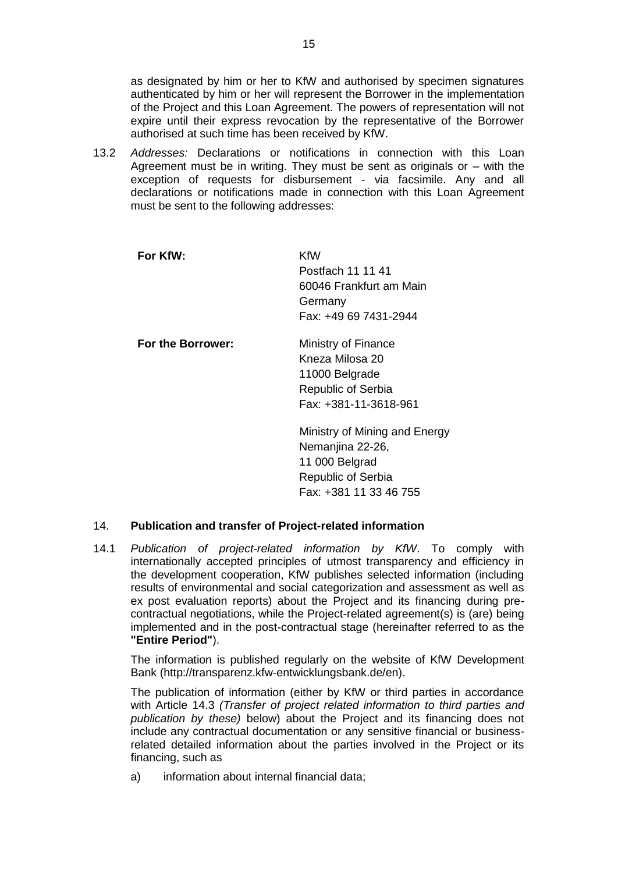as designated by him or her to KfW and authorised by specimen signatures authenticated by him or her will represent the Borrower in the implementation of the Project and this Loan Agreement. The powers of representation will not expire until their express revocation by the representative of the Borrower authorised at such time has been received by KfW.

13.2 *Addresses:* Declarations or notifications in connection with this Loan Agreement must be in writing. They must be sent as originals or – with the exception of requests for disbursement - via facsimile. Any and all declarations or notifications made in connection with this Loan Agreement must be sent to the following addresses:

| For KfW:          | KfW<br>Postfach 11 11 41<br>60046 Frankfurt am Main<br>Germany<br>Fax: +49 69 7431-2944                                    |
|-------------------|----------------------------------------------------------------------------------------------------------------------------|
| For the Borrower: | Ministry of Finance<br>Kneza Milosa 20<br>11000 Belgrade<br><b>Republic of Serbia</b><br>Fax: +381-11-3618-961             |
|                   | Ministry of Mining and Energy<br>Nemanjina 22-26,<br>11 000 Belgrad<br><b>Republic of Serbia</b><br>Fax: +381 11 33 46 755 |

### 14. **Publication and transfer of Project-related information**

14.1 *Publication of project-related information by KfW*. To comply with internationally accepted principles of utmost transparency and efficiency in the development cooperation, KfW publishes selected information (including results of environmental and social categorization and assessment as well as ex post evaluation reports) about the Project and its financing during precontractual negotiations, while the Project-related agreement(s) is (are) being implemented and in the post-contractual stage (hereinafter referred to as the **"Entire Period"**).

The information is published regularly on the website of KfW Development Bank [\(http://transparenz.kfw-entwicklungsbank.de/en\)](http://transparenz.kfw-entwicklungsbank.de/en).

The publication of information (either by KfW or third parties in accordance with Article 14.3 *(Transfer of project related information to third parties and publication by these)* below) about the Project and its financing does not include any contractual documentation or any sensitive financial or businessrelated detailed information about the parties involved in the Project or its financing, such as

a) information about internal financial data;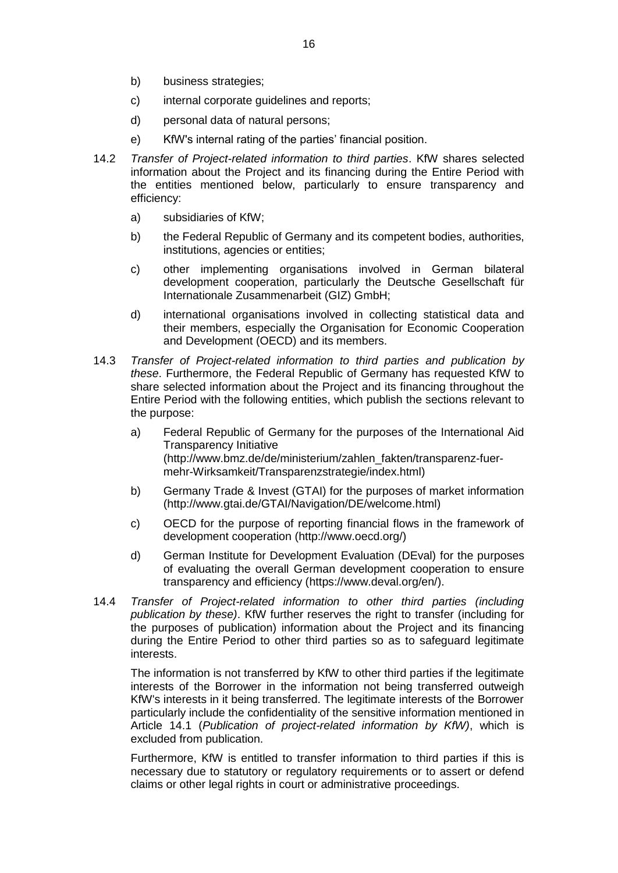- b) business strategies;
- c) internal corporate guidelines and reports;
- d) personal data of natural persons;
- e) KfW's internal rating of the parties' financial position.
- 14.2 *Transfer of Project-related information to third parties*. KfW shares selected information about the Project and its financing during the Entire Period with the entities mentioned below, particularly to ensure transparency and efficiency:
	- a) subsidiaries of KfW;
	- b) the Federal Republic of Germany and its competent bodies, authorities, institutions, agencies or entities;
	- c) other implementing organisations involved in German bilateral development cooperation, particularly the Deutsche Gesellschaft für Internationale Zusammenarbeit (GIZ) GmbH;
	- d) international organisations involved in collecting statistical data and their members, especially the Organisation for Economic Cooperation and Development (OECD) and its members.
- 14.3 *Transfer of Project-related information to third parties and publication by these*. Furthermore, the Federal Republic of Germany has requested KfW to share selected information about the Project and its financing throughout the Entire Period with the following entities, which publish the sections relevant to the purpose:
	- a) Federal Republic of Germany for the purposes of the International Aid Transparency Initiative [\(http://www.bmz.de/de/ministerium/zahlen\\_fakten/transparenz-fuer](http://www.bmz.de/de/ministerium/zahlen_fakten/transparenz-fuer-mehr-Wirksamkeit/Transparenzstrategie/index.html)[mehr-Wirksamkeit/Transparenzstrategie/index.html\)](http://www.bmz.de/de/ministerium/zahlen_fakten/transparenz-fuer-mehr-Wirksamkeit/Transparenzstrategie/index.html)
	- b) Germany Trade & Invest (GTAI) for the purposes of market information [\(http://www.gtai.de/GTAI/Navigation/DE/welcome.html\)](http://www.gtai.de/GTAI/Navigation/DE/welcome.html)
	- c) OECD for the purpose of reporting financial flows in the framework of development cooperation [\(http://www.oecd.org/\)](http://www.oecd.org/)
	- d) German Institute for Development Evaluation (DEval) for the purposes of evaluating the overall German development cooperation to ensure transparency and efficiency [\(https://www.deval.org/en/\)](https://www.deval.org/en/).
- 14.4 *Transfer of Project-related information to other third parties (including publication by these)*. KfW further reserves the right to transfer (including for the purposes of publication) information about the Project and its financing during the Entire Period to other third parties so as to safeguard legitimate interests.

The information is not transferred by KfW to other third parties if the legitimate interests of the Borrower in the information not being transferred outweigh KfW's interests in it being transferred. The legitimate interests of the Borrower particularly include the confidentiality of the sensitive information mentioned in Article 14.1 (*Publication of project-related information by KfW)*, which is excluded from publication.

Furthermore, KfW is entitled to transfer information to third parties if this is necessary due to statutory or regulatory requirements or to assert or defend claims or other legal rights in court or administrative proceedings.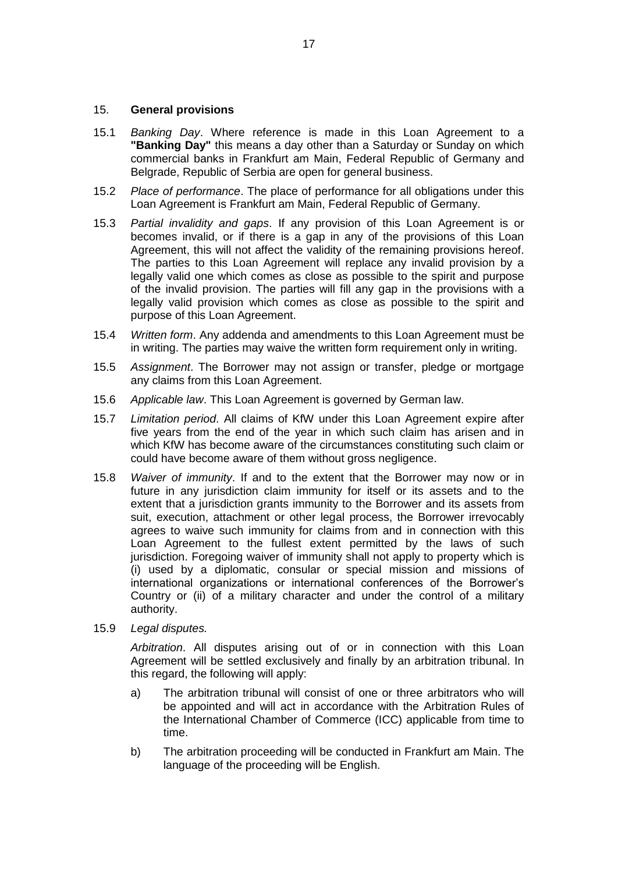### 15. **General provisions**

- 15.1 *Banking Day*. Where reference is made in this Loan Agreement to a **"Banking Day"** this means a day other than a Saturday or Sunday on which commercial banks in Frankfurt am Main, Federal Republic of Germany and Belgrade, Republic of Serbia are open for general business.
- 15.2 *Place of performance*. The place of performance for all obligations under this Loan Agreement is Frankfurt am Main, Federal Republic of Germany.
- 15.3 *Partial invalidity and gaps*. If any provision of this Loan Agreement is or becomes invalid, or if there is a gap in any of the provisions of this Loan Agreement, this will not affect the validity of the remaining provisions hereof. The parties to this Loan Agreement will replace any invalid provision by a legally valid one which comes as close as possible to the spirit and purpose of the invalid provision. The parties will fill any gap in the provisions with a legally valid provision which comes as close as possible to the spirit and purpose of this Loan Agreement.
- 15.4 *Written form*. Any addenda and amendments to this Loan Agreement must be in writing. The parties may waive the written form requirement only in writing.
- 15.5 *Assignment*. The Borrower may not assign or transfer, pledge or mortgage any claims from this Loan Agreement.
- 15.6 *Applicable law*. This Loan Agreement is governed by German law.
- 15.7 *Limitation period*. All claims of KfW under this Loan Agreement expire after five years from the end of the year in which such claim has arisen and in which KfW has become aware of the circumstances constituting such claim or could have become aware of them without gross negligence.
- 15.8 *Waiver of immunity*. If and to the extent that the Borrower may now or in future in any jurisdiction claim immunity for itself or its assets and to the extent that a jurisdiction grants immunity to the Borrower and its assets from suit, execution, attachment or other legal process, the Borrower irrevocably agrees to waive such immunity for claims from and in connection with this Loan Agreement to the fullest extent permitted by the laws of such jurisdiction. Foregoing waiver of immunity shall not apply to property which is (i) used by a diplomatic, consular or special mission and missions of international organizations or international conferences of the Borrower's Country or (ii) of a military character and under the control of a military authority.
- 15.9 *Legal disputes.*

*Arbitration*. All disputes arising out of or in connection with this Loan Agreement will be settled exclusively and finally by an arbitration tribunal. In this regard, the following will apply:

- a) The arbitration tribunal will consist of one or three arbitrators who will be appointed and will act in accordance with the Arbitration Rules of the International Chamber of Commerce (ICC) applicable from time to time.
- b) The arbitration proceeding will be conducted in Frankfurt am Main. The language of the proceeding will be English.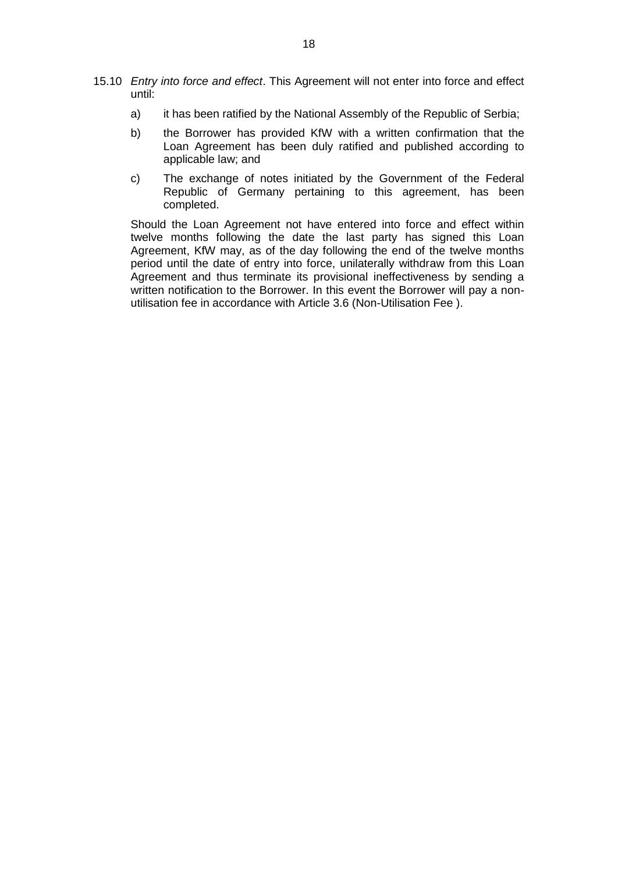- 15.10 *Entry into force and effect*. This Agreement will not enter into force and effect until:
	- a) it has been ratified by the National Assembly of the Republic of Serbia;
	- b) the Borrower has provided KfW with a written confirmation that the Loan Agreement has been duly ratified and published according to applicable law; and
	- c) The exchange of notes initiated by the Government of the Federal Republic of Germany pertaining to this agreement, has been completed.

Should the Loan Agreement not have entered into force and effect within twelve months following the date the last party has signed this Loan Agreement, KfW may, as of the day following the end of the twelve months period until the date of entry into force, unilaterally withdraw from this Loan Agreement and thus terminate its provisional ineffectiveness by sending a written notification to the Borrower. In this event the Borrower will pay a nonutilisation fee in accordance with Article 3.6 (Non-Utilisation Fee ).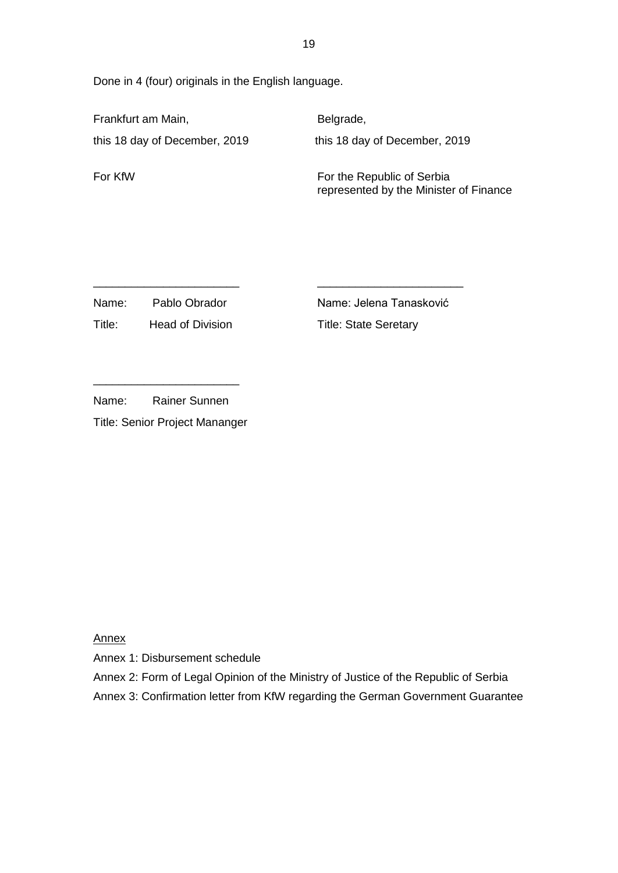Done in 4 (four) originals in the English language.

Frankfurt am Main, **Belgrade**, this 18 day of December, 2019 this 18 day of December, 2019

For KfW For the Republic of Serbia represented by the Minister of Finance

Name: Pablo Obrador Name: Jelena Tanasković

Title: Head of Division Title: State Seretary

| Name: | <b>Rainer Sunnen</b> |
|-------|----------------------|

Title: Senior Project Mananger

Annex

Annex 1: Disbursement schedule

Annex 2: Form of Legal Opinion of the Ministry of Justice of the Republic of Serbia

Annex 3: Confirmation letter from KfW regarding the German Government Guarantee

\_\_\_\_\_\_\_\_\_\_\_\_\_\_\_\_\_\_\_\_\_\_\_ \_\_\_\_\_\_\_\_\_\_\_\_\_\_\_\_\_\_\_\_\_\_\_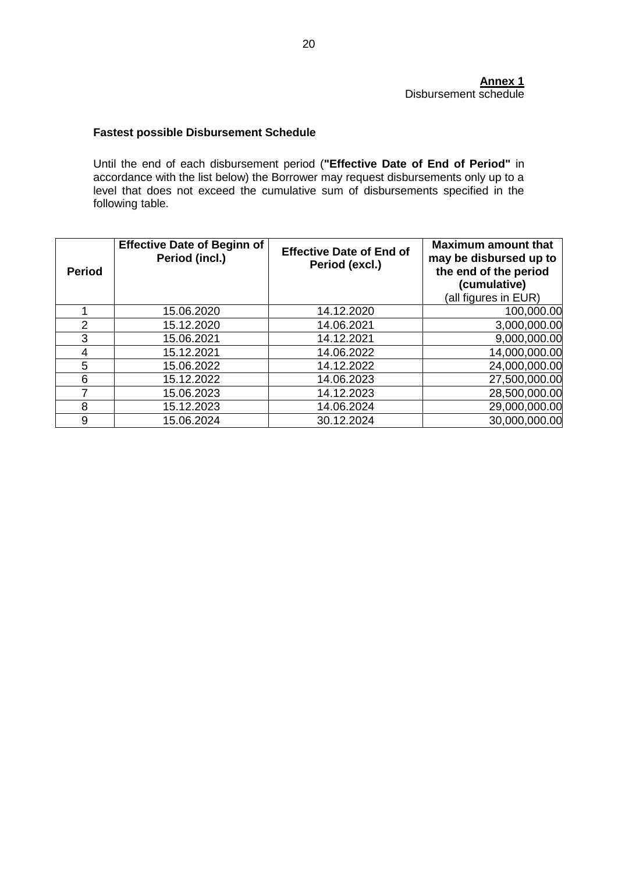### **Annex 1** Disbursement schedule

# **Fastest possible Disbursement Schedule**

Until the end of each disbursement period (**"Effective Date of End of Period"** in accordance with the list below) the Borrower may request disbursements only up to a level that does not exceed the cumulative sum of disbursements specified in the following table.

| <b>Period</b>  | <b>Effective Date of Beginn of</b><br>Period (incl.) | <b>Effective Date of End of</b><br>Period (excl.) | <b>Maximum amount that</b><br>may be disbursed up to<br>the end of the period<br>(cumulative)<br>(all figures in EUR) |
|----------------|------------------------------------------------------|---------------------------------------------------|-----------------------------------------------------------------------------------------------------------------------|
|                | 15.06.2020                                           | 14.12.2020                                        | 100,000.00                                                                                                            |
| $\overline{2}$ | 15.12.2020                                           | 14.06.2021                                        | 3,000,000.00                                                                                                          |
| 3              | 15.06.2021                                           | 14.12.2021                                        | 9,000,000.00                                                                                                          |
| 4              | 15.12.2021                                           | 14.06.2022                                        | 14,000,000.00                                                                                                         |
| 5              | 15.06.2022                                           | 14.12.2022                                        | 24,000,000.00                                                                                                         |
| 6              | 15.12.2022                                           | 14.06.2023                                        | 27,500,000.00                                                                                                         |
|                | 15.06.2023                                           | 14.12.2023                                        | 28,500,000.00                                                                                                         |
| 8              | 15.12.2023                                           | 14.06.2024                                        | 29,000,000.00                                                                                                         |
| 9              | 15.06.2024                                           | 30.12.2024                                        | 30,000,000.00                                                                                                         |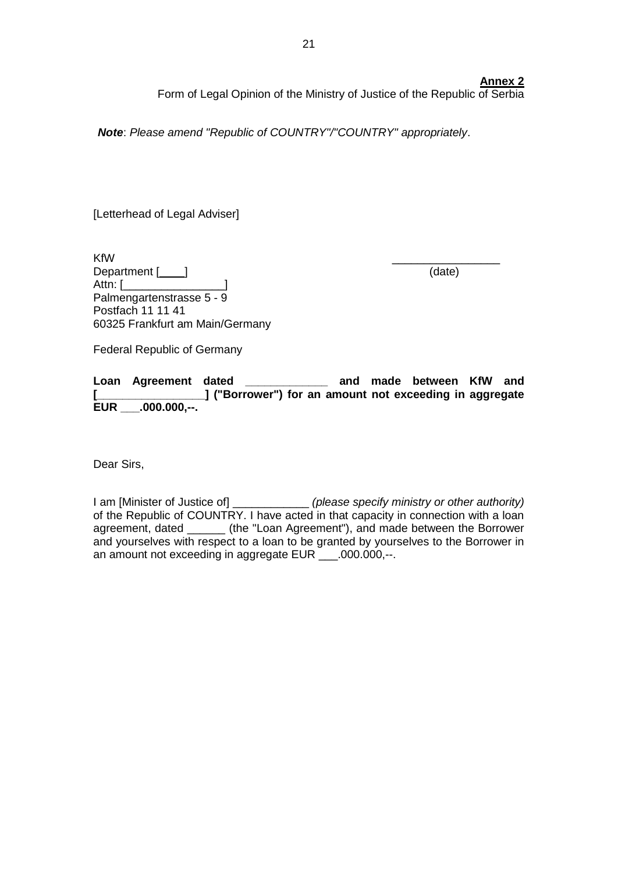## **Annex 2**

Form of Legal Opinion of the Ministry of Justice of the Republic of Serbia

*Note*: *Please amend "Republic of COUNTRY"/"COUNTRY" appropriately*.

[Letterhead of Legal Adviser]

 $K$ f $W$ Department [\_\_\_\_\_] (date) Attn: [\_\_\_\_\_\_\_\_\_\_\_\_\_\_\_\_] Palmengartenstrasse 5 - 9 Postfach 11 11 41 60325 Frankfurt am Main/Germany

Federal Republic of Germany

**Loan Agreement dated \_\_\_\_\_\_\_\_\_\_\_\_\_ and made between KfW and [\_\_\_\_\_\_\_\_\_\_\_\_\_\_\_\_\_] ("Borrower") for an amount not exceeding in aggregate EUR \_\_\_.000.000,--.**

Dear Sirs,

I am [Minister of Justice of] \_\_\_\_\_\_\_\_\_\_\_\_ *(please specify ministry or other authority)* of the Republic of COUNTRY. I have acted in that capacity in connection with a loan agreement, dated \_\_\_\_\_\_ (the "Loan Agreement"), and made between the Borrower and yourselves with respect to a loan to be granted by yourselves to the Borrower in an amount not exceeding in aggregate EUR \_\_\_.000.000,--.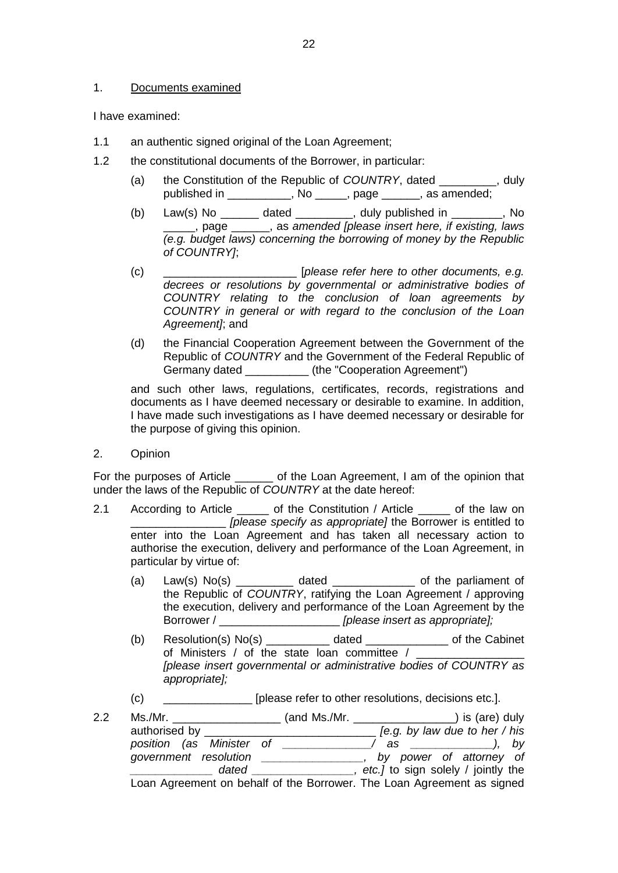### 1. Documents examined

I have examined:

- 1.1 an authentic signed original of the Loan Agreement;
- 1.2 the constitutional documents of the Borrower, in particular:
	- (a) the Constitution of the Republic of *COUNTRY*, dated \_\_\_\_\_\_\_\_\_, duly published in \_\_\_\_\_\_\_\_\_\_, No \_\_\_\_\_, page \_\_\_\_\_\_, as amended;
	- (b) Law(s) No \_\_\_\_\_\_\_ dated \_\_\_\_\_\_\_\_, duly published in \_\_\_\_\_\_\_, No \_\_\_\_\_, page \_\_\_\_\_\_, as *amended [please insert here, if existing, laws (e.g. budget laws) concerning the borrowing of money by the Republic of COUNTRY]*;
	- (c) \_\_\_\_\_\_\_\_\_\_\_\_\_\_\_\_\_\_\_\_\_ [*please refer here to other documents, e.g. decrees or resolutions by governmental or administrative bodies of COUNTRY relating to the conclusion of loan agreements by COUNTRY in general or with regard to the conclusion of the Loan Agreement]*; and
	- (d) the Financial Cooperation Agreement between the Government of the Republic of *COUNTRY* and the Government of the Federal Republic of Germany dated  $(the "Cooperation Agreement")$

and such other laws, regulations, certificates, records, registrations and documents as I have deemed necessary or desirable to examine. In addition, I have made such investigations as I have deemed necessary or desirable for the purpose of giving this opinion.

2. Opinion

For the purposes of Article \_\_\_\_\_\_\_ of the Loan Agreement, I am of the opinion that under the laws of the Republic of *COUNTRY* at the date hereof:

- 2.1 According to Article \_\_\_\_\_ of the Constitution / Article \_\_\_\_\_ of the law on \_\_\_\_\_\_\_\_\_\_\_\_\_\_\_ *[please specify as appropriate]* the Borrower is entitled to enter into the Loan Agreement and has taken all necessary action to authorise the execution, delivery and performance of the Loan Agreement, in particular by virtue of:
	- (a) Law(s)  $No(s)$   $\qquad \qquad$  dated  $\qquad \qquad$  of the parliament of the Republic of *COUNTRY*, ratifying the Loan Agreement / approving the execution, delivery and performance of the Loan Agreement by the Borrower / \_\_\_\_\_\_\_\_\_\_\_\_\_\_\_\_\_\_\_ *[please insert as appropriate];*
	- (b) Resolution(s) No(s) \_\_\_\_\_\_\_\_\_\_ dated \_\_\_\_\_\_\_\_\_\_\_\_\_ of the Cabinet of Ministers / of the state loan committee / \_\_\_\_\_\_ *[please insert governmental or administrative bodies of COUNTRY as appropriate];*
	- (c) [please refer to other resolutions, decisions etc.].
- 2.2 Ms./Mr. \_\_\_\_\_\_\_\_\_\_\_\_\_\_\_\_\_ (and Ms./Mr. \_\_\_\_\_\_\_\_\_\_\_\_\_\_\_\_) is (are) duly authorised by \_\_\_\_\_\_\_\_\_\_\_\_\_\_\_\_\_\_\_\_\_\_\_\_\_\_\_ *[e.g. by law due to her / his position (as Minister of \_\_\_\_\_\_\_\_\_\_\_\_\_\_/ as \_\_\_\_\_\_\_\_\_\_\_\_\_), by government resolution \_\_\_\_\_\_\_\_\_\_\_\_\_\_\_\_, by power of attorney of \_\_\_\_\_\_\_\_\_\_\_\_\_ dated \_\_\_\_\_\_\_\_\_\_\_\_\_\_\_\_, etc.]* to sign solely / jointly the Loan Agreement on behalf of the Borrower. The Loan Agreement as signed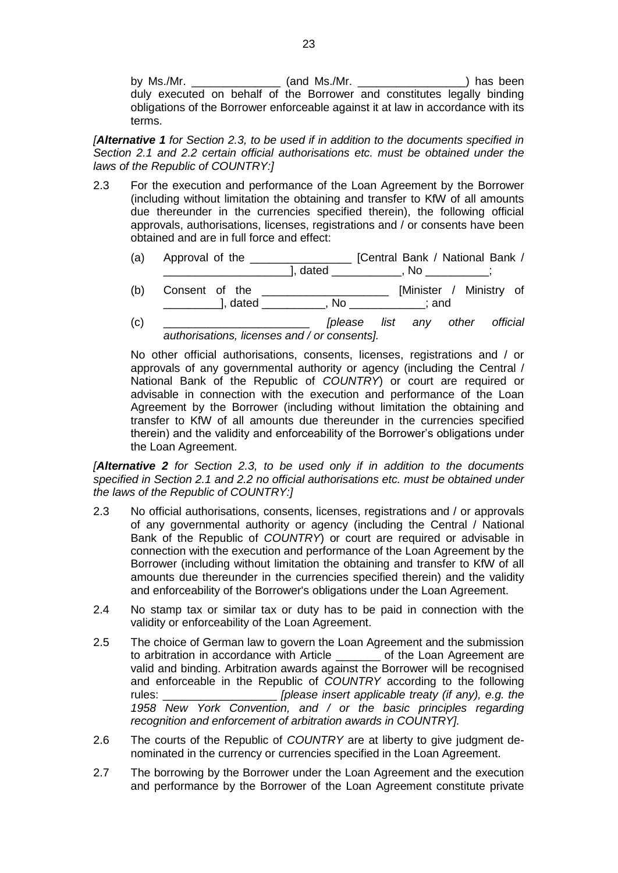by Ms./Mr. \_\_\_\_\_\_\_\_\_\_\_\_\_\_\_\_\_\_\_ (and Ms./Mr. \_\_\_\_\_\_\_\_\_\_\_\_\_\_\_\_\_\_\_\_\_\_\_\_) has been duly executed on behalf of the Borrower and constitutes legally binding obligations of the Borrower enforceable against it at law in accordance with its terms.

*[Alternative 1 for Section 2.3, to be used if in addition to the documents specified in Section 2.1 and 2.2 certain official authorisations etc. must be obtained under the laws of the Republic of COUNTRY:]*

- 2.3 For the execution and performance of the Loan Agreement by the Borrower (including without limitation the obtaining and transfer to KfW of all amounts due thereunder in the currencies specified therein), the following official approvals, authorisations, licenses, registrations and / or consents have been obtained and are in full force and effect:
	- (a) Approval of the \_\_\_\_\_\_\_\_\_\_\_\_\_\_\_\_ [Central Bank / National Bank / \_\_\_\_\_\_\_\_\_\_\_\_\_\_\_\_\_\_\_\_\_\_\_\_\_\_\_\_\_], dated \_\_\_\_\_\_\_\_\_\_\_\_\_\_, No \_\_\_\_\_\_\_\_\_\_\_\_;
	- (b) Consent of the \_\_\_\_\_\_\_\_\_\_\_\_\_\_\_\_\_\_\_\_ [Minister / Ministry of \_\_\_\_\_\_\_\_\_\_\_], dated \_\_\_\_\_\_\_\_\_\_\_, No \_\_\_\_\_\_\_\_\_\_\_\_\_; and
	- (c) \_\_\_\_\_\_\_\_\_\_\_\_\_\_\_\_\_\_\_\_\_\_\_ *[please list any other official authorisations, licenses and / or consents].*

No other official authorisations, consents, licenses, registrations and / or approvals of any governmental authority or agency (including the Central / National Bank of the Republic of *COUNTRY*) or court are required or advisable in connection with the execution and performance of the Loan Agreement by the Borrower (including without limitation the obtaining and transfer to KfW of all amounts due thereunder in the currencies specified therein) and the validity and enforceability of the Borrower's obligations under the Loan Agreement.

*[Alternative 2 for Section 2.3, to be used only if in addition to the documents specified in Section 2.1 and 2.2 no official authorisations etc. must be obtained under the laws of the Republic of COUNTRY:]*

- 2.3 No official authorisations, consents, licenses, registrations and / or approvals of any governmental authority or agency (including the Central / National Bank of the Republic of *COUNTRY*) or court are required or advisable in connection with the execution and performance of the Loan Agreement by the Borrower (including without limitation the obtaining and transfer to KfW of all amounts due thereunder in the currencies specified therein) and the validity and enforceability of the Borrower's obligations under the Loan Agreement.
- 2.4 No stamp tax or similar tax or duty has to be paid in connection with the validity or enforceability of the Loan Agreement.
- 2.5 The choice of German law to govern the Loan Agreement and the submission to arbitration in accordance with Article \_\_\_\_\_\_\_ of the Loan Agreement are valid and binding. Arbitration awards against the Borrower will be recognised and enforceable in the Republic of *COUNTRY* according to the following rules: \_\_\_\_\_\_\_\_\_\_\_\_\_\_\_\_\_\_ *[please insert applicable treaty (if any), e.g. the 1958 New York Convention, and / or the basic principles regarding recognition and enforcement of arbitration awards in COUNTRY].*
- 2.6 The courts of the Republic of *COUNTRY* are at liberty to give judgment denominated in the currency or currencies specified in the Loan Agreement.
- 2.7 The borrowing by the Borrower under the Loan Agreement and the execution and performance by the Borrower of the Loan Agreement constitute private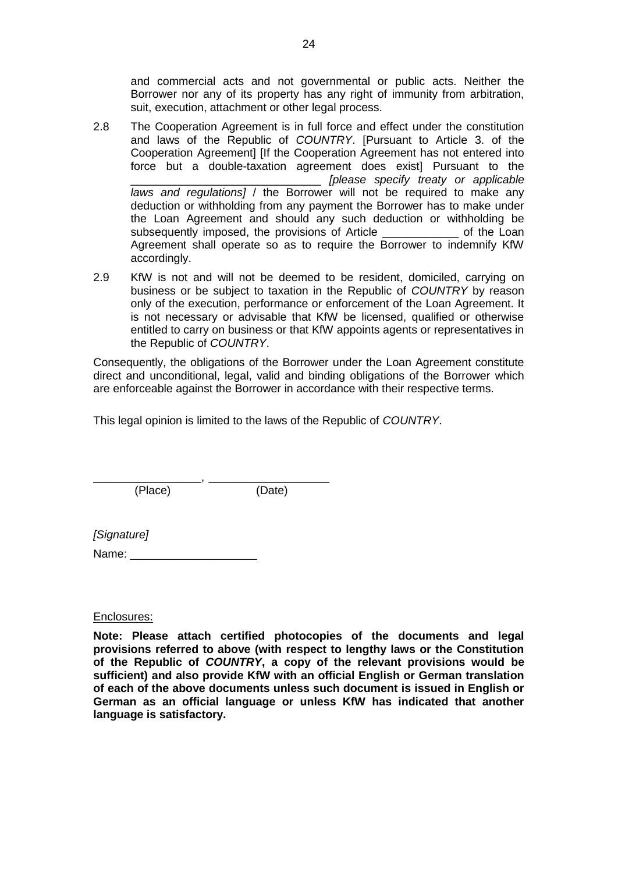and commercial acts and not governmental or public acts. Neither the Borrower nor any of its property has any right of immunity from arbitration, suit, execution, attachment or other legal process.

- 2.8 The Cooperation Agreement is in full force and effect under the constitution and laws of the Republic of *COUNTRY*. [Pursuant to Article 3. of the Cooperation Agreement] [If the Cooperation Agreement has not entered into force but a double-taxation agreement does exist] Pursuant to the \_\_\_\_\_\_\_\_\_\_\_\_\_\_\_\_\_\_\_\_\_\_\_\_\_\_\_\_\_\_ *[please specify treaty or applicable laws and regulations]* / the Borrower will not be required to make any deduction or withholding from any payment the Borrower has to make under the Loan Agreement and should any such deduction or withholding be subsequently imposed, the provisions of Article \_\_\_\_\_\_\_\_\_\_\_\_\_\_ of the Loan Agreement shall operate so as to require the Borrower to indemnify KfW accordingly.
- 2.9 KfW is not and will not be deemed to be resident, domiciled, carrying on business or be subject to taxation in the Republic of *COUNTRY* by reason only of the execution, performance or enforcement of the Loan Agreement. It is not necessary or advisable that KfW be licensed, qualified or otherwise entitled to carry on business or that KfW appoints agents or representatives in the Republic of *COUNTRY*.

Consequently, the obligations of the Borrower under the Loan Agreement constitute direct and unconditional, legal, valid and binding obligations of the Borrower which are enforceable against the Borrower in accordance with their respective terms.

This legal opinion is limited to the laws of the Republic of *COUNTRY*.

\_\_\_\_\_\_\_\_\_\_\_\_\_\_\_\_\_, \_\_\_\_\_\_\_\_\_\_\_\_\_\_\_\_\_\_\_ (Place) (Date)

*[Signature]*

Name: \_\_\_\_\_\_\_\_\_\_\_\_\_\_\_\_\_\_\_\_

Enclosures:

**Note: Please attach certified photocopies of the documents and legal provisions referred to above (with respect to lengthy laws or the Constitution of the Republic of** *COUNTRY***, a copy of the relevant provisions would be sufficient) and also provide KfW with an official English or German translation of each of the above documents unless such document is issued in English or German as an official language or unless KfW has indicated that another language is satisfactory.**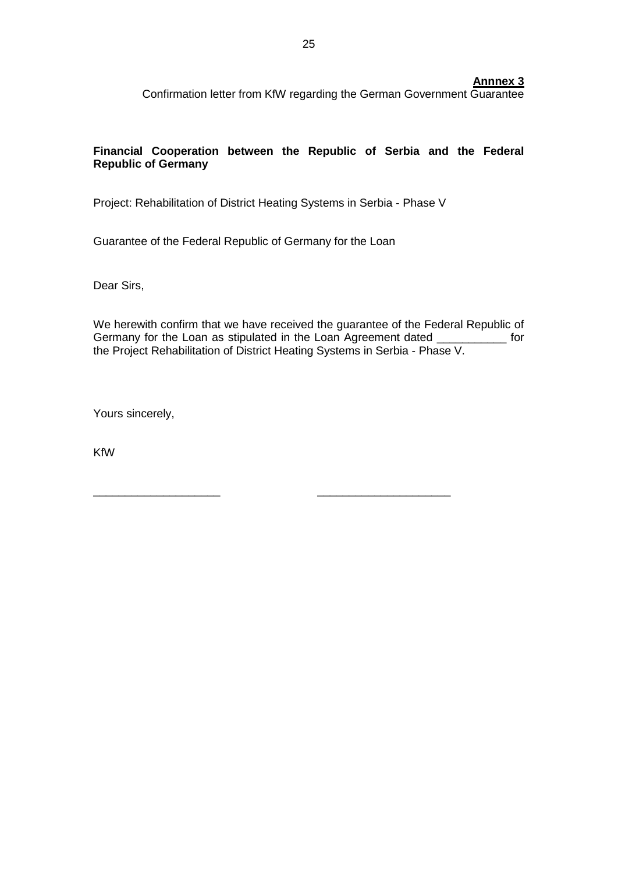### **Annnex 3**

Confirmation letter from KfW regarding the German Government Guarantee

# **Financial Cooperation between the Republic of Serbia and the Federal Republic of Germany**

Project: Rehabilitation of District Heating Systems in Serbia - Phase V

\_\_\_\_\_\_\_\_\_\_\_\_\_\_\_\_\_\_\_\_ \_\_\_\_\_\_\_\_\_\_\_\_\_\_\_\_\_\_\_\_\_

Guarantee of the Federal Republic of Germany for the Loan

Dear Sirs,

We herewith confirm that we have received the guarantee of the Federal Republic of Germany for the Loan as stipulated in the Loan Agreement dated \_\_\_\_\_\_\_\_\_\_\_\_ for the Project Rehabilitation of District Heating Systems in Serbia - Phase V.

Yours sincerely,

KfW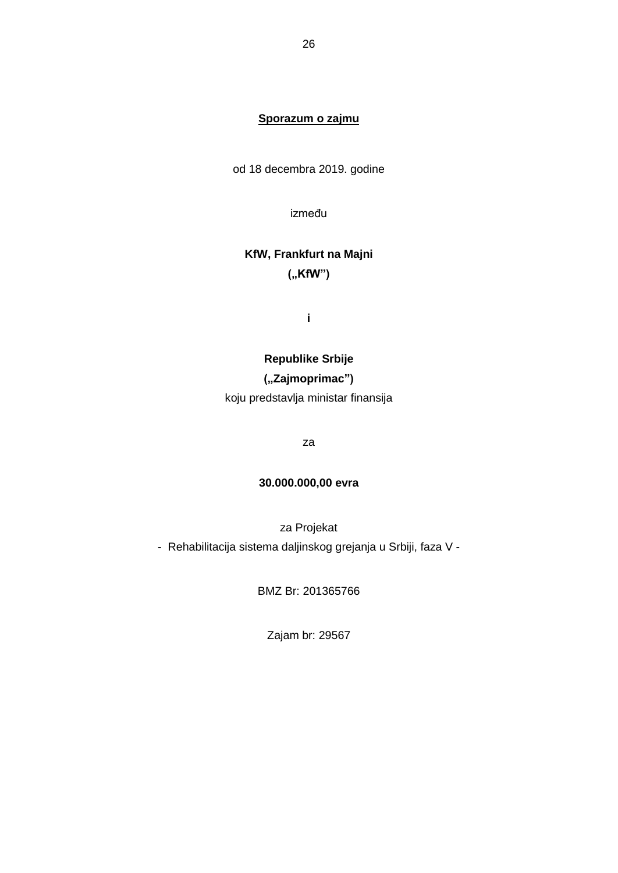# **Sporazum o zajmu**

od 18 decembra 2019. godine

između

# **KfW, Frankfurt na Majni ("KfW")**

**i**

# **Republike Srbije**

# **("Zajmoprimac")**

koju predstavlja ministar finansija

za

# **30.000.000,00 evra**

za Projekat

- Rehabilitacija sistema daljinskog grejanja u Srbiji, faza V -

BMZ Br: 201365766

Zajam br: 29567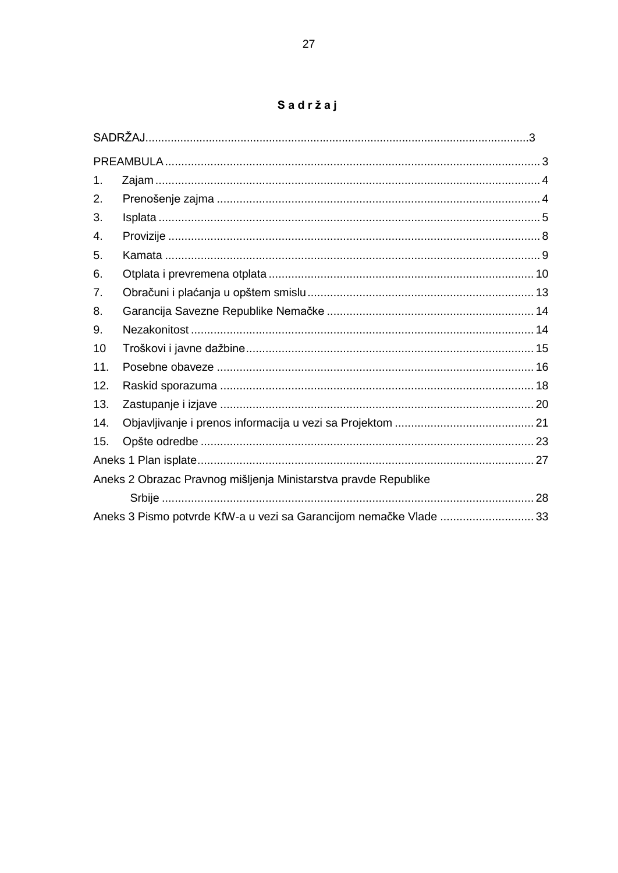|  | Sadržaj |  |  |
|--|---------|--|--|
|  |         |  |  |

| 1.                                                              |                                                                    |  |  |  |
|-----------------------------------------------------------------|--------------------------------------------------------------------|--|--|--|
| 2.                                                              |                                                                    |  |  |  |
| 3.                                                              |                                                                    |  |  |  |
| 4.                                                              |                                                                    |  |  |  |
| 5.                                                              |                                                                    |  |  |  |
| 6.                                                              |                                                                    |  |  |  |
| 7.                                                              |                                                                    |  |  |  |
| 8.                                                              |                                                                    |  |  |  |
| 9.                                                              |                                                                    |  |  |  |
| 10                                                              |                                                                    |  |  |  |
| 11.                                                             |                                                                    |  |  |  |
| 12.                                                             |                                                                    |  |  |  |
| 13.                                                             |                                                                    |  |  |  |
| 14.                                                             |                                                                    |  |  |  |
| 15.                                                             |                                                                    |  |  |  |
|                                                                 |                                                                    |  |  |  |
| Aneks 2 Obrazac Pravnog mišljenja Ministarstva pravde Republike |                                                                    |  |  |  |
|                                                                 |                                                                    |  |  |  |
|                                                                 | Aneks 3 Pismo potvrde KfW-a u vezi sa Garancijom nemačke Vlade  33 |  |  |  |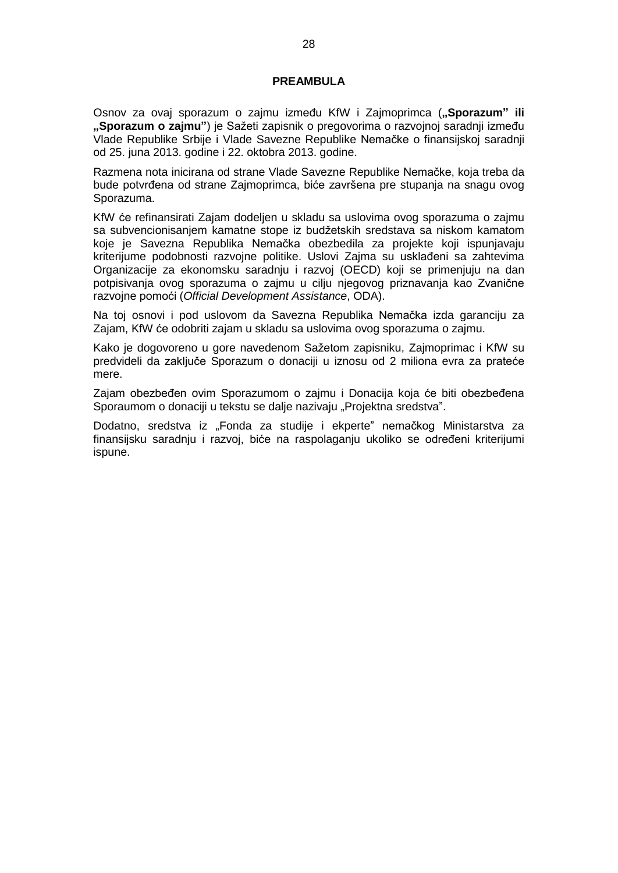#### **PREAMBULA**

Osnov za ovaj sporazum o zajmu između KfW i Zajmoprimca (**"Sporazumˮ ili "Sporazum o zajmu"**) je Sažeti zapisnik o pregovorima o razvojnoj saradnji između Vlade Republike Srbije i Vlade Savezne Republike Nemačke o finansijskoj saradnji od 25. juna 2013. godine i 22. oktobra 2013. godine.

Razmena nota inicirana od strane Vlade Savezne Republike Nemačke, koja treba da bude potvrđena od strane Zajmoprimca, biće završena pre stupanja na snagu ovog Sporazuma.

KfW će refinansirati Zajam dodeljen u skladu sa uslovima ovog sporazuma o zajmu sa subvencionisanjem kamatne stope iz budžetskih sredstava sa niskom kamatom koje je Savezna Republika Nemačka obezbedila za projekte koji ispunjavaju kriterijume podobnosti razvojne politike. Uslovi Zajma su usklađeni sa zahtevima Organizacije za ekonomsku saradnju i razvoj (OECD) koji se primenjuju na dan potpisivanja ovog sporazuma o zajmu u cilju njegovog priznavanja kao Zvanične razvojne pomoći (*Official Development Assistance*, ODA).

Na toj osnovi i pod uslovom da Savezna Republika Nemačka izda garanciju za Zajam, KfW će odobriti zajam u skladu sa uslovima ovog sporazuma o zajmu.

Kako je dogovoreno u gore navedenom Sažetom zapisniku, Zajmoprimac i KfW su predvideli da zaključe Sporazum o donaciji u iznosu od 2 miliona evra za prateće mere.

Zajam obezbeđen ovim Sporazumom o zajmu i Donacija koja će biti obezbeđena Sporaumom o donaciji u tekstu se dalje nazivaju "Projektna sredstva".

Dodatno, sredstva iz "Fonda za studije i ekperte" nemačkog Ministarstva za finansijsku saradnju i razvoj, biće na raspolaganju ukoliko se određeni kriterijumi ispune.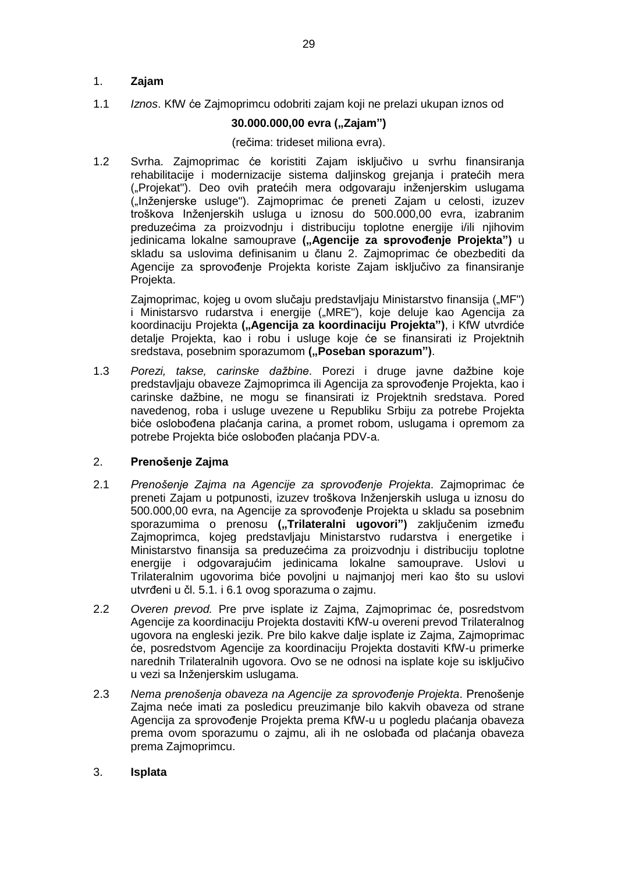# 1. **Zajam**

1.1 *Iznos*. KfW će Zajmoprimcu odobriti zajam koji ne prelazi ukupan iznos od

# **30.000.000,00 evra ("Zajam")**

## (rečima: trideset miliona evra).

1.2 Svrha. Zajmoprimac će koristiti Zajam isključivo u svrhu finansiranja rehabilitacije i modernizacije sistema daljinskog grejanja i pratećih mera ("Projekat"). Deo ovih pratećih mera odgovaraju inženjerskim uslugama ("Inženjerske usluge"). Zajmoprimac će preneti Zajam u celosti, izuzev troškova Inženjerskih usluga u iznosu do 500.000,00 evra, izabranim preduzećima za proizvodnju i distribuciju toplotne energije i/ili njihovim jedinicama lokalne samouprave **("Agencije za sprovođenje Projekta")** u skladu sa uslovima definisanim u članu 2. Zajmoprimac će obezbediti da Agencije za sprovođenje Projekta koriste Zajam isključivo za finansiranje Projekta.

Zajmoprimac, kojeg u ovom slučaju predstavljaju Ministarstvo finansija ("MF") i Ministarsvo rudarstva i energije ("MRE"), koje deluje kao Agencija za koordinaciju Projekta **("Agencija za koordinaciju Projektaˮ)**, i KfW utvrdiće detalje Projekta, kao i robu i usluge koje će se finansirati iz Projektnih sredstava, posebnim sporazumom ("Poseban sporazum").

1.3 *Porezi, takse, carinske dažbine*. Porezi i druge javne dažbine koje predstavljaju obaveze Zajmoprimca ili Agencija za sprovođenje Projekta, kao i carinske dažbine, ne mogu se finansirati iz Projektnih sredstava. Pored navedenog, roba i usluge uvezene u Republiku Srbiju za potrebe Projekta biće oslobođena plaćanja carina, a promet robom, uslugama i opremom za potrebe Projekta biće oslobođen plaćanja PDV-a.

# 2. **Prenošenje Zajma**

- 2.1 *Prenošenje Zajma na Agencije za sprovođenje Projekta*. Zajmoprimac će preneti Zajam u potpunosti, izuzev troškova Inženjerskih usluga u iznosu do 500.000,00 evra, na Agencije za sprovođenje Projekta u skladu sa posebnim sporazumima o prenosu ("Trilateralni ugovori") zaključenim između Zajmoprimca, kojeg predstavljaju Ministarstvo rudarstva i energetike i Ministarstvo finansija sa preduzećima za proizvodnju i distribuciju toplotne energije i odgovarajućim jedinicama lokalne samouprave. Uslovi u Trilateralnim ugovorima biće povoljni u najmanjoj meri kao što su uslovi utvrđeni u čl. 5.1. i 6.1 ovog sporazuma o zajmu.
- 2.2 *Overen prevod.* Pre prve isplate iz Zajma, Zajmoprimac će, posredstvom Agencije za koordinaciju Projekta dostaviti KfW-u overeni prevod Trilateralnog ugovora na engleski jezik. Pre bilo kakve dalje isplate iz Zajma, Zajmoprimac će, posredstvom Agencije za koordinaciju Projekta dostaviti KfW-u primerke narednih Trilateralnih ugovora. Ovo se ne odnosi na isplate koje su isključivo u vezi sa Inženjerskim uslugama.
- 2.3 *Nema prenošenja obaveza na Agencije za sprovođenje Projekta*. Prenošenje Zajma neće imati za posledicu preuzimanje bilo kakvih obaveza od strane Agencija za sprovođenje Projekta prema KfW-u u pogledu plaćanja obaveza prema ovom sporazumu o zajmu, ali ih ne oslobađa od plaćanja obaveza prema Zajmoprimcu.

# 3. **Isplata**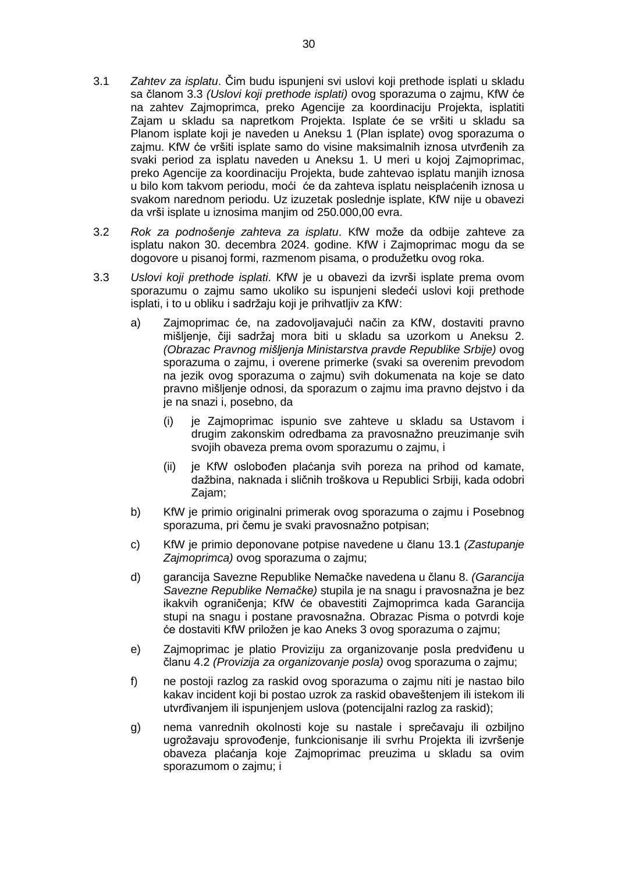- 3.1 *Zahtev za isplatu*. Čim budu ispunjeni svi uslovi koji prethode isplati u skladu sa članom 3.3 *(Uslovi koji prethode isplati)* ovog sporazuma o zajmu, KfW će na zahtev Zajmoprimca, preko Agencije za koordinaciju Projekta, isplatiti Zajam u skladu sa napretkom Projekta. Isplate će se vršiti u skladu sa Planom isplate koji je naveden u Aneksu 1 (Plan isplate) ovog sporazuma o zajmu. KfW će vršiti isplate samo do visine maksimalnih iznosa utvrđenih za svaki period za isplatu naveden u Aneksu 1. U meri u kojoj Zajmoprimac, preko Agencije za koordinaciju Projekta, bude zahtevao isplatu manjih iznosa u bilo kom takvom periodu, moći će da zahteva isplatu neisplaćenih iznosa u svakom narednom periodu. Uz izuzetak poslednje isplate, KfW nije u obavezi da vrši isplate u iznosima manjim od 250.000,00 evra.
- 3.2 *Rok za podnošenje zahteva za isplatu*. KfW može da odbije zahteve za isplatu nakon 30. decembra 2024. godine. KfW i Zajmoprimac mogu da se dogovore u pisanoj formi, razmenom pisama, o produžetku ovog roka.
- 3.3 *Uslovi koji prethode isplati*. KfW je u obavezi da izvrši isplate prema ovom sporazumu o zajmu samo ukoliko su ispunjeni sledeći uslovi koji prethode isplati, i to u obliku i sadržaju koji je prihvatljiv za KfW:
	- a) Zajmoprimac će, na zadovoljavajući način za KfW, dostaviti pravno mišljenje, čiji sadržaj mora biti u skladu sa uzorkom u Aneksu 2. *(Obrazac Pravnog mišljenja Ministarstva pravde Republike Srbije)* ovog sporazuma o zajmu, i overene primerke (svaki sa overenim prevodom na jezik ovog sporazuma o zajmu) svih dokumenata na koje se dato pravno mišljenje odnosi, da sporazum o zajmu ima pravno dejstvo i da je na snazi i, posebno, da
		- (i) je Zajmoprimac ispunio sve zahteve u skladu sa Ustavom i drugim zakonskim odredbama za pravosnažno preuzimanje svih svojih obaveza prema ovom sporazumu o zajmu, i
		- (ii) je KfW oslobođen plaćanja svih poreza na prihod od kamate, dažbina, naknada i sličnih troškova u Republici Srbiji, kada odobri Zajam;
	- b) KfW je primio originalni primerak ovog sporazuma o zajmu i Posebnog sporazuma, pri čemu je svaki pravosnažno potpisan;
	- c) KfW je primio deponovane potpise navedene u članu 13.1 *(Zastupanje Zajmoprimca)* ovog sporazuma o zajmu;
	- d) garancija Savezne Republike Nemačke navedena u članu 8. *(Garancija Savezne Republike Nemačke)* stupila je na snagu i pravosnažna je bez ikakvih ograničenja; KfW će obavestiti Zajmoprimca kada Garancija stupi na snagu i postane pravosnažna. Obrazac Pisma o potvrdi koje će dostaviti KfW priložen je kao Aneks 3 ovog sporazuma o zajmu;
	- e) Zajmoprimac je platio Proviziju za organizovanje posla predviđenu u članu 4.2 *(Provizija za organizovanje posla)* ovog sporazuma o zajmu;
	- f) ne postoji razlog za raskid ovog sporazuma o zajmu niti je nastao bilo kakav incident koji bi postao uzrok za raskid obaveštenjem ili istekom ili utvrđivanjem ili ispunjenjem uslova (potencijalni razlog za raskid);
	- g) nema vanrednih okolnosti koje su nastale i sprečavaju ili ozbiljno ugrožavaju sprovođenje, funkcionisanje ili svrhu Projekta ili izvršenje obaveza plaćanja koje Zajmoprimac preuzima u skladu sa ovim sporazumom o zajmu; i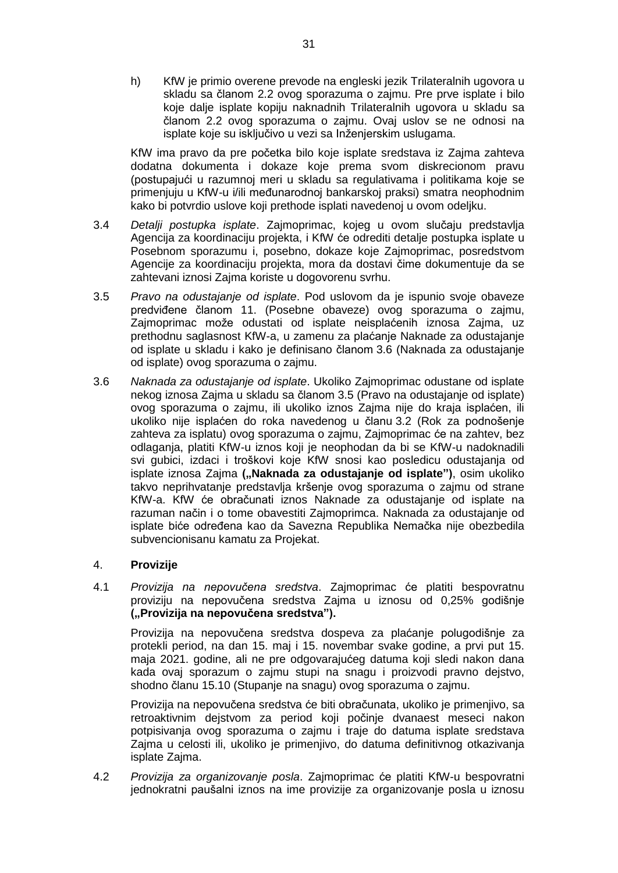h) KfW je primio overene prevode na engleski jezik Trilateralnih ugovora u skladu sa članom 2.2 ovog sporazuma o zajmu. Pre prve isplate i bilo koje dalje isplate kopiju naknadnih Trilateralnih ugovora u skladu sa članom 2.2 ovog sporazuma o zajmu. Ovaj uslov se ne odnosi na isplate koje su isključivo u vezi sa Inženjerskim uslugama.

KfW ima pravo da pre početka bilo koje isplate sredstava iz Zajma zahteva dodatna dokumenta i dokaze koje prema svom diskrecionom pravu (postupajući u razumnoj meri u skladu sa regulativama i politikama koje se primenjuju u KfW-u i/ili međunarodnoj bankarskoj praksi) smatra neophodnim kako bi potvrdio uslove koji prethode isplati navedenoj u ovom odeljku.

- 3.4 *Detalji postupka isplate*. Zajmoprimac, kojeg u ovom slučaju predstavlja Agencija za koordinaciju projekta, i KfW će odrediti detalje postupka isplate u Posebnom sporazumu i, posebno, dokaze koje Zajmoprimac, posredstvom Agencije za koordinaciju projekta, mora da dostavi čime dokumentuje da se zahtevani iznosi Zajma koriste u dogovorenu svrhu.
- 3.5 *Pravo na odustajanje od isplate*. Pod uslovom da je ispunio svoje obaveze predviđene članom 11. (Posebne obaveze) ovog sporazuma o zajmu, Zajmoprimac može odustati od isplate neisplaćenih iznosa Zajma, uz prethodnu saglasnost KfW-a, u zamenu za plaćanje Naknade za odustajanje od isplate u skladu i kako je definisano članom 3.6 (Naknada za odustajanje od isplate) ovog sporazuma o zajmu.
- 3.6 *Naknada za odustajanje od isplate*. Ukoliko Zajmoprimac odustane od isplate nekog iznosa Zajma u skladu sa članom 3.5 (Pravo na odustajanje od isplate) ovog sporazuma o zajmu, ili ukoliko iznos Zajma nije do kraja isplaćen, ili ukoliko nije isplaćen do roka navedenog u članu 3.2 (Rok za podnošenje zahteva za isplatu) ovog sporazuma o zajmu, Zajmoprimac će na zahtev, bez odlaganja, platiti KfW-u iznos koji je neophodan da bi se KfW-u nadoknadili svi gubici, izdaci i troškovi koje KfW snosi kao posledicu odustajanja od isplate iznosa Zajma **("Naknada za odustajanje od isplate")**, osim ukoliko takvo neprihvatanje predstavlja kršenje ovog sporazuma o zajmu od strane KfW-a. KfW će obračunati iznos Naknade za odustajanje od isplate na razuman način i o tome obavestiti Zajmoprimca. Naknada za odustajanje od isplate biće određena kao da Savezna Republika Nemačka nije obezbedila subvencionisanu kamatu za Projekat.

# 4. **Provizije**

4.1 *Provizija na nepovučena sredstva*. Zajmoprimac će platiti bespovratnu proviziju na nepovučena sredstva Zajma u iznosu od 0,25% godišnje **("Provizija na nepovučena sredstva").**

Provizija na nepovučena sredstva dospeva za plaćanje polugodišnje za protekli period, na dan 15. maj i 15. novembar svake godine, a prvi put 15. maja 2021. godine, ali ne pre odgovarajućeg datuma koji sledi nakon dana kada ovaj sporazum o zajmu stupi na snagu i proizvodi pravno dejstvo, shodno članu 15.10 (Stupanje na snagu) ovog sporazuma o zajmu.

Provizija na nepovučena sredstva će biti obračunata, ukoliko je primenjivo, sa retroaktivnim dejstvom za period koji počinje dvanaest meseci nakon potpisivanja ovog sporazuma o zajmu i traje do datuma isplate sredstava Zajma u celosti ili, ukoliko je primenjivo, do datuma definitivnog otkazivanja isplate Zajma.

4.2 *Provizija za organizovanje posla*. Zajmoprimac će platiti KfW-u bespovratni jednokratni paušalni iznos na ime provizije za organizovanje posla u iznosu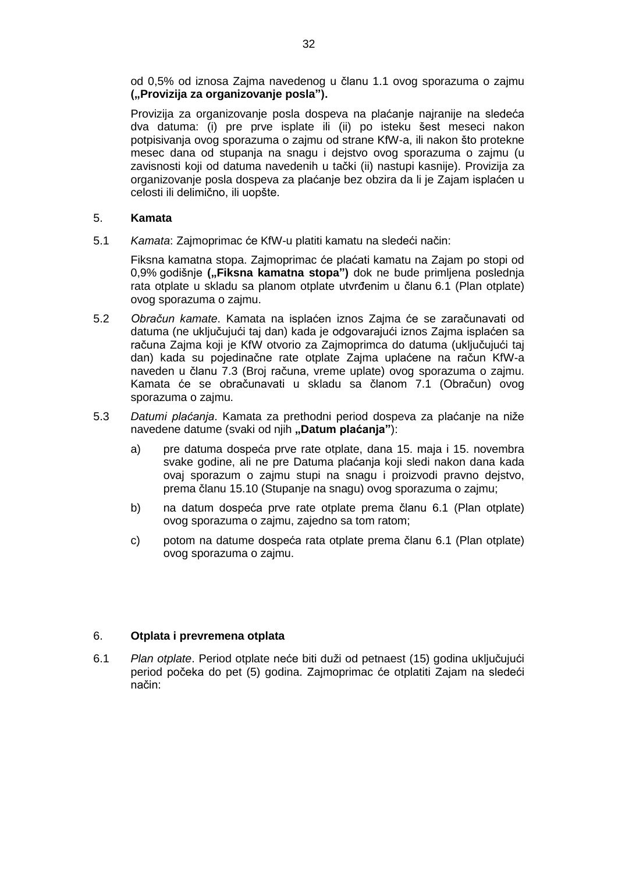od 0,5% od iznosa Zajma navedenog u članu 1.1 ovog sporazuma o zajmu **("Provizija za organizovanje posla").**

Provizija za organizovanje posla dospeva na plaćanje najranije na sledeća dva datuma: (i) pre prve isplate ili (ii) po isteku šest meseci nakon potpisivanja ovog sporazuma o zajmu od strane KfW-a, ili nakon što protekne mesec dana od stupanja na snagu i dejstvo ovog sporazuma o zajmu (u zavisnosti koji od datuma navedenih u tački (ii) nastupi kasnije). Provizija za organizovanje posla dospeva za plaćanje bez obzira da li je Zajam isplaćen u celosti ili delimično, ili uopšte.

## 5. **Kamata**

5.1 *Kamata*: Zajmoprimac će KfW-u platiti kamatu na sledeći način:

Fiksna kamatna stopa. Zajmoprimac će plaćati kamatu na Zajam po stopi od 0,9% godišnje ("Fiksna kamatna stopa") dok ne bude primljena poslednja rata otplate u skladu sa planom otplate utvrđenim u članu 6.1 (Plan otplate) ovog sporazuma o zajmu.

- 5.2 *Obračun kamate*. Kamata na isplaćen iznos Zajma će se zaračunavati od datuma (ne uključujući taj dan) kada je odgovarajući iznos Zajma isplaćen sa računa Zajma koji je KfW otvorio za Zajmoprimca do datuma (uključujući taj dan) kada su pojedinačne rate otplate Zajma uplaćene na račun KfW-a naveden u članu 7.3 (Broj računa, vreme uplate) ovog sporazuma o zajmu. Kamata će se obračunavati u skladu sa članom 7.1 (Obračun) ovog sporazuma o zajmu.
- 5.3 *Datumi plaćanja*. Kamata za prethodni period dospeva za plaćanje na niže navedene datume (svaki od njih "Datum plaćanja"):
	- a) pre datuma dospeća prve rate otplate, dana 15. maja i 15. novembra svake godine, ali ne pre Datuma plaćanja koji sledi nakon dana kada ovaj sporazum o zajmu stupi na snagu i proizvodi pravno dejstvo, prema članu 15.10 (Stupanje na snagu) ovog sporazuma o zajmu;
	- b) na datum dospeća prve rate otplate prema članu 6.1 (Plan otplate) ovog sporazuma o zajmu, zajedno sa tom ratom;
	- c) potom na datume dospeća rata otplate prema članu 6.1 (Plan otplate) ovog sporazuma o zajmu.

# 6. **Otplata i prevremena otplata**

6.1 *Plan otplate*. Period otplate neće biti duži od petnaest (15) godina uključujući period počeka do pet (5) godina. Zajmoprimac će otplatiti Zajam na sledeći način: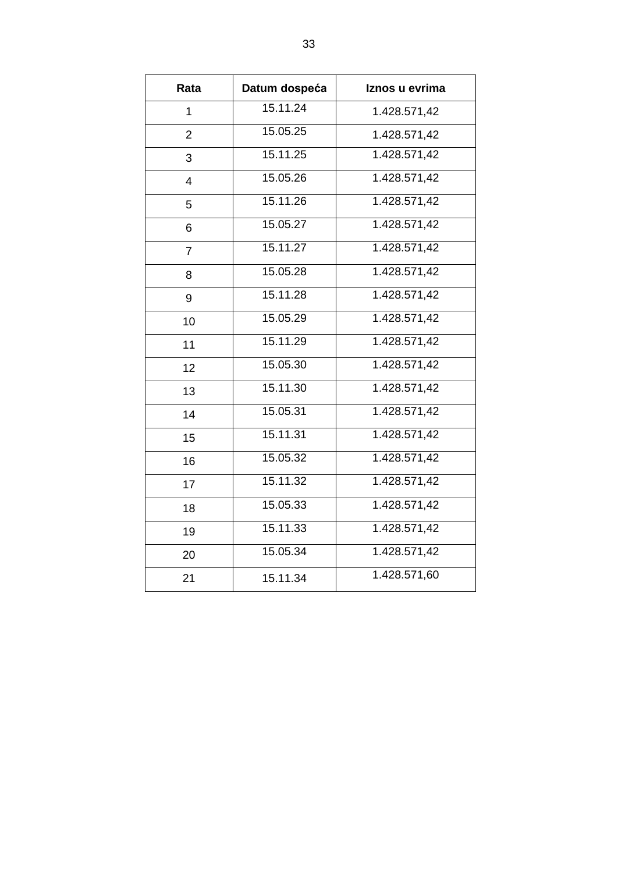| Rata           | Datum dospeća         | Iznos u evrima |
|----------------|-----------------------|----------------|
| 1              | 15.11.24              | 1.428.571,42   |
| $\overline{2}$ | 15.05.25              | 1.428.571,42   |
| 3              | $15.1\overline{1.25}$ | 1.428.571,42   |
| 4              | 15.05.26              | 1.428.571,42   |
| 5              | 15.11.26              | 1.428.571,42   |
| 6              | 15.05.27              | 1.428.571,42   |
| 7              | 15.11.27              | 1.428.571,42   |
| 8              | 15.05.28              | 1.428.571,42   |
| 9              | 15.11.28              | 1.428.571,42   |
| 10             | 15.05.29              | 1.428.571,42   |
| 11             | 15.11.29              | 1.428.571,42   |
| 12             | 15.05.30              | 1.428.571,42   |
| 13             | 15.11.30              | 1.428.571,42   |
| 14             | 15.05.31              | 1.428.571,42   |
| 15             | 15.11.31              | 1.428.571,42   |
| 16             | 15.05.32              | 1.428.571,42   |
| 17             | 15.11.32              | 1.428.571,42   |
| 18             | 15.05.33              | 1.428.571,42   |
| 19             | 15.11.33              | 1.428.571,42   |
| 20             | 15.05.34              | 1.428.571,42   |
| 21             | 15.11.34              | 1.428.571,60   |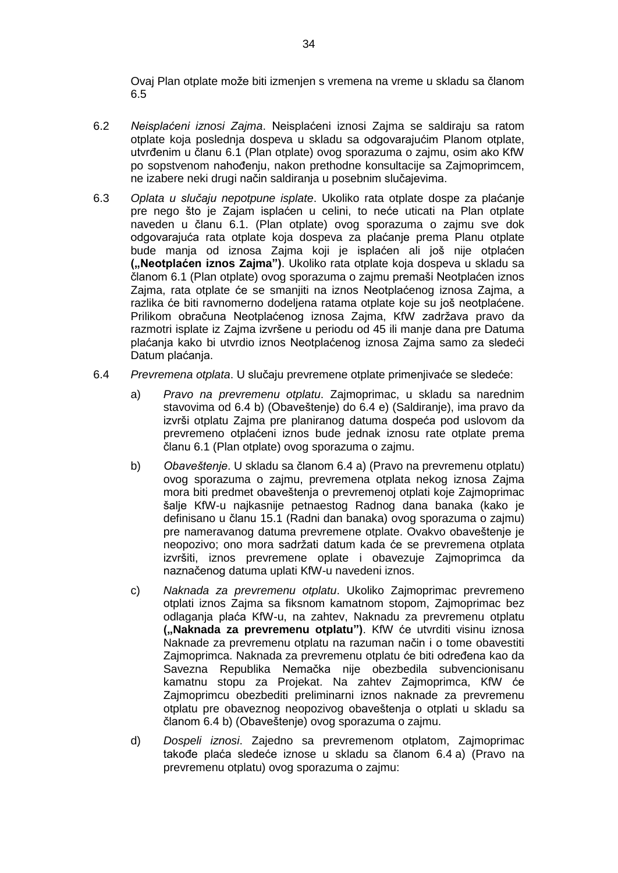Ovaj Plan otplate može biti izmenjen s vremena na vreme u skladu sa članom 6.5

- 6.2 *Neisplaćeni iznosi Zajma*. Neisplaćeni iznosi Zajma se saldiraju sa ratom otplate koja poslednja dospeva u skladu sa odgovarajućim Planom otplate, utvrđenim u članu 6.1 (Plan otplate) ovog sporazuma o zajmu, osim ako KfW po sopstvenom nahođenju, nakon prethodne konsultacije sa Zajmoprimcem, ne izabere neki drugi način saldiranja u posebnim slučajevima.
- 6.3 *Oplata u slučaju nepotpune isplate*. Ukoliko rata otplate dospe za plaćanje pre nego što je Zajam isplaćen u celini, to neće uticati na Plan otplate naveden u članu 6.1. (Plan otplate) ovog sporazuma o zajmu sve dok odgovarajuća rata otplate koja dospeva za plaćanje prema Planu otplate bude manja od iznosa Zajma koji je isplaćen ali još nije otplaćen **("Neotplaćen iznos Zajma")**. Ukoliko rata otplate koja dospeva u skladu sa članom 6.1 (Plan otplate) ovog sporazuma o zajmu premaši Neotplaćen iznos Zajma, rata otplate će se smanjiti na iznos Neotplaćenog iznosa Zajma, a razlika će biti ravnomerno dodeljena ratama otplate koje su još neotplaćene. Prilikom obračuna Neotplaćenog iznosa Zajma, KfW zadržava pravo da razmotri isplate iz Zajma izvršene u periodu od 45 ili manje dana pre Datuma plaćanja kako bi utvrdio iznos Neotplaćenog iznosa Zajma samo za sledeći Datum plaćanja.
- 6.4 *Prevremena otplata*. U slučaju prevremene otplate primenjivaće se sledeće:
	- a) *Pravo na prevremenu otplatu*. Zajmoprimac, u skladu sa narednim stavovima od 6.4 b) (Obaveštenje) do 6.4 e) (Saldiranje), ima pravo da izvrši otplatu Zajma pre planiranog datuma dospeća pod uslovom da prevremeno otplaćeni iznos bude jednak iznosu rate otplate prema članu 6.1 (Plan otplate) ovog sporazuma o zajmu.
	- b) *Obaveštenje*. U skladu sa članom 6.4 a) (Pravo na prevremenu otplatu) ovog sporazuma o zajmu, prevremena otplata nekog iznosa Zajma mora biti predmet obaveštenja o prevremenoj otplati koje Zajmoprimac šalje KfW-u najkasnije petnaestog Radnog dana banaka (kako je definisano u članu 15.1 (Radni dan banaka) ovog sporazuma o zajmu) pre nameravanog datuma prevremene otplate. Ovakvo obaveštenje je neopozivo; ono mora sadržati datum kada će se prevremena otplata izvršiti, iznos prevremene oplate i obavezuje Zajmoprimca da naznačenog datuma uplati KfW-u navedeni iznos.
	- c) *Naknada za prevremenu otplatu*. Ukoliko Zajmoprimac prevremeno otplati iznos Zajma sa fiksnom kamatnom stopom, Zajmoprimac bez odlaganja plaća KfW-u, na zahtev, Naknadu za prevremenu otplatu **("Naknada za prevremenu otplatu")**. KfW će utvrditi visinu iznosa Naknade za prevremenu otplatu na razuman način i o tome obavestiti Zajmoprimca. Naknada za prevremenu otplatu će biti određena kao da Savezna Republika Nemačka nije obezbedila subvencionisanu kamatnu stopu za Projekat. Na zahtev Zajmoprimca, KfW će Zajmoprimcu obezbediti preliminarni iznos naknade za prevremenu otplatu pre obaveznog neopozivog obaveštenja o otplati u skladu sa članom 6.4 b) (Obaveštenje) ovog sporazuma o zajmu.
	- d) *Dospeli iznosi*. Zajedno sa prevremenom otplatom, Zajmoprimac takođe plaća sledeće iznose u skladu sa članom 6.4 a) (Pravo na prevremenu otplatu) ovog sporazuma o zajmu: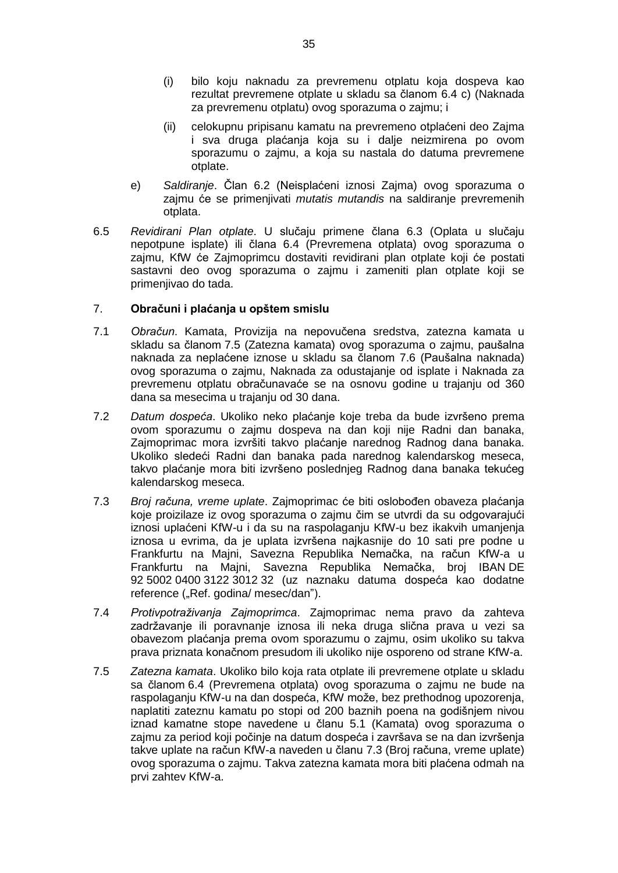- (i) bilo koju naknadu za prevremenu otplatu koja dospeva kao rezultat prevremene otplate u skladu sa članom 6.4 c) (Naknada za prevremenu otplatu) ovog sporazuma o zajmu; i
- (ii) celokupnu pripisanu kamatu na prevremeno otplaćeni deo Zajma i sva druga plaćanja koja su i dalje neizmirena po ovom sporazumu o zajmu, a koja su nastala do datuma prevremene otplate.
- e) *Saldiranje*. Član 6.2 (Neisplaćeni iznosi Zajma) ovog sporazuma o zajmu će se primenjivati *mutatis mutandis* na saldiranje prevremenih otplata.
- 6.5 *Revidirani Plan otplate*. U slučaju primene člana 6.3 (Oplata u slučaju nepotpune isplate) ili člana 6.4 (Prevremena otplata) ovog sporazuma o zajmu, KfW će Zajmoprimcu dostaviti revidirani plan otplate koji će postati sastavni deo ovog sporazuma o zajmu i zameniti plan otplate koji se primenjivao do tada.

## 7. **Obračuni i plaćanja u opštem smislu**

- 7.1 *Obračun*. Kamata, Provizija na nepovučena sredstva, zatezna kamata u skladu sa članom 7.5 (Zatezna kamata) ovog sporazuma o zajmu, paušalna naknada za neplaćene iznose u skladu sa članom 7.6 (Paušalna naknada) ovog sporazuma o zajmu, Naknada za odustajanje od isplate i Naknada za prevremenu otplatu obračunavaće se na osnovu godine u trajanju od 360 dana sa mesecima u trajanju od 30 dana.
- 7.2 *Datum dospeća*. Ukoliko neko plaćanje koje treba da bude izvršeno prema ovom sporazumu o zajmu dospeva na dan koji nije Radni dan banaka, Zajmoprimac mora izvršiti takvo plaćanje narednog Radnog dana banaka. Ukoliko sledeći Radni dan banaka pada narednog kalendarskog meseca, takvo plaćanje mora biti izvršeno poslednjeg Radnog dana banaka tekućeg kalendarskog meseca.
- 7.3 *Broj računa, vreme uplate*. Zajmoprimac će biti oslobođen obaveza plaćanja koje proizilaze iz ovog sporazuma o zajmu čim se utvrdi da su odgovarajući iznosi uplaćeni KfW-u i da su na raspolaganju KfW-u bez ikakvih umanjenja iznosa u evrima, da je uplata izvršena najkasnije do 10 sati pre podne u Frankfurtu na Majni, Savezna Republika Nemačka, na račun KfW-a u Frankfurtu na Majni, Savezna Republika Nemačka, broj IBAN DE 92 5002 0400 3122 3012 32 (uz naznaku datuma dospeća kao dodatne reference ("Ref. godina/ mesec/dan").
- 7.4 *Protivpotraživanja Zajmoprimca*. Zajmoprimac nema pravo da zahteva zadržavanje ili poravnanje iznosa ili neka druga slična prava u vezi sa obavezom plaćanja prema ovom sporazumu o zajmu, osim ukoliko su takva prava priznata konačnom presudom ili ukoliko nije osporeno od strane KfW-a.
- 7.5 *Zatezna kamata*. Ukoliko bilo koja rata otplate ili prevremene otplate u skladu sa članom 6.4 (Prevremena otplata) ovog sporazuma o zajmu ne bude na raspolaganju KfW-u na dan dospeća, KfW može, bez prethodnog upozorenja, naplatiti zateznu kamatu po stopi od 200 baznih poena na godišnjem nivou iznad kamatne stope navedene u članu 5.1 (Kamata) ovog sporazuma o zajmu za period koji počinje na datum dospeća i završava se na dan izvršenja takve uplate na račun KfW-a naveden u članu 7.3 (Broj računa, vreme uplate) ovog sporazuma o zajmu. Takva zatezna kamata mora biti plaćena odmah na prvi zahtev KfW-a.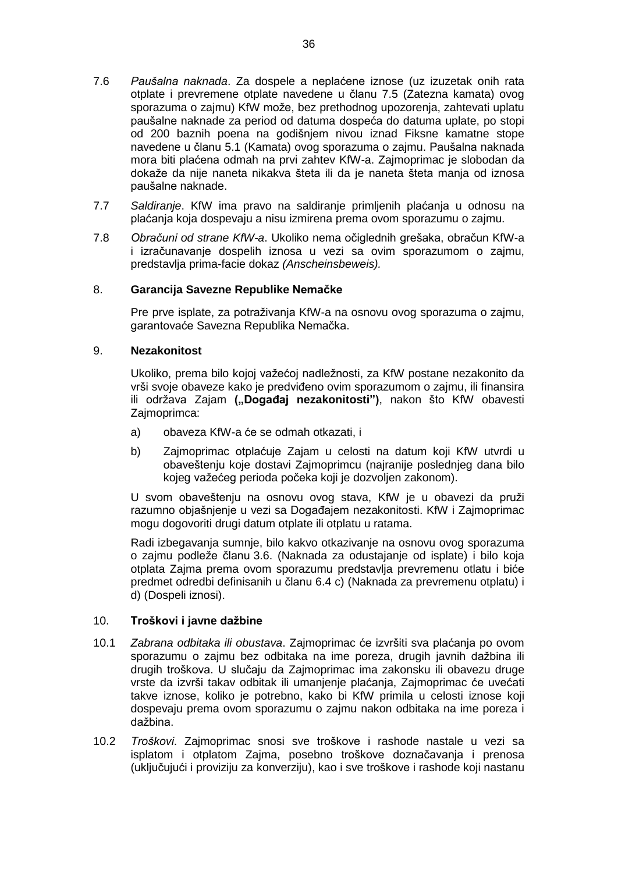- 7.6 *Paušalna naknada*. Za dospele a neplaćene iznose (uz izuzetak onih rata otplate i prevremene otplate navedene u članu 7.5 (Zatezna kamata) ovog sporazuma o zajmu) KfW može, bez prethodnog upozorenja, zahtevati uplatu paušalne naknade za period od datuma dospeća do datuma uplate, po stopi od 200 baznih poena na godišnjem nivou iznad Fiksne kamatne stope navedene u članu 5.1 (Kamata) ovog sporazuma o zajmu. Paušalna naknada mora biti plaćena odmah na prvi zahtev KfW-a. Zajmoprimac je slobodan da dokaže da nije naneta nikakva šteta ili da je naneta šteta manja od iznosa paušalne naknade.
- 7.7 *Saldiranje*. KfW ima pravo na saldiranje primljenih plaćanja u odnosu na plaćanja koja dospevaju a nisu izmirena prema ovom sporazumu o zajmu.
- 7.8 *Obračuni od strane KfW-a*. Ukoliko nema očiglednih grešaka, obračun KfW-a i izračunavanje dospelih iznosa u vezi sa ovim sporazumom o zajmu, predstavlja prima-facie dokaz *(Anscheinsbeweis).*

## 8. **Garancija Savezne Republike Nemačke**

Pre prve isplate, za potraživanja KfW-a na osnovu ovog sporazuma o zajmu, garantovaće Savezna Republika Nemačka.

## 9. **Nezakonitost**

Ukoliko, prema bilo kojoj važećoj nadležnosti, za KfW postane nezakonito da vrši svoje obaveze kako je predviđeno ovim sporazumom o zajmu, ili finansira ili održava Zajam ("Događaj nezakonitosti"), nakon što KfW obavesti Zajmoprimca:

- a) obaveza KfW-a će se odmah otkazati, i
- b) Zajmoprimac otplaćuje Zajam u celosti na datum koji KfW utvrdi u obaveštenju koje dostavi Zajmoprimcu (najranije poslednjeg dana bilo kojeg važećeg perioda počeka koji je dozvoljen zakonom).

U svom obaveštenju na osnovu ovog stava, KfW je u obavezi da pruži razumno objašnjenje u vezi sa Događajem nezakonitosti. KfW i Zajmoprimac mogu dogovoriti drugi datum otplate ili otplatu u ratama.

Radi izbegavanja sumnje, bilo kakvo otkazivanje na osnovu ovog sporazuma o zajmu podleže članu 3.6. (Naknada za odustajanje od isplate) i bilo koja otplata Zajma prema ovom sporazumu predstavlja prevremenu otlatu i biće predmet odredbi definisanih u članu 6.4 c) (Naknada za prevremenu otplatu) i d) (Dospeli iznosi).

### 10. **Troškovi i javne dažbine**

- 10.1 *Zabrana odbitaka ili obustava*. Zajmoprimac će izvršiti sva plaćanja po ovom sporazumu o zajmu bez odbitaka na ime poreza, drugih javnih dažbina ili drugih troškova. U slučaju da Zajmoprimac ima zakonsku ili obavezu druge vrste da izvrši takav odbitak ili umanjenje plaćanja, Zajmoprimac će uvećati takve iznose, koliko je potrebno, kako bi KfW primila u celosti iznose koji dospevaju prema ovom sporazumu o zajmu nakon odbitaka na ime poreza i dažbina.
- 10.2 *Troškovi*. Zajmoprimac snosi sve troškove i rashode nastale u vezi sa isplatom i otplatom Zajma, posebno troškove doznačavanja i prenosa (uključujući i proviziju za konverziju), kao i sve troškove i rashode koji nastanu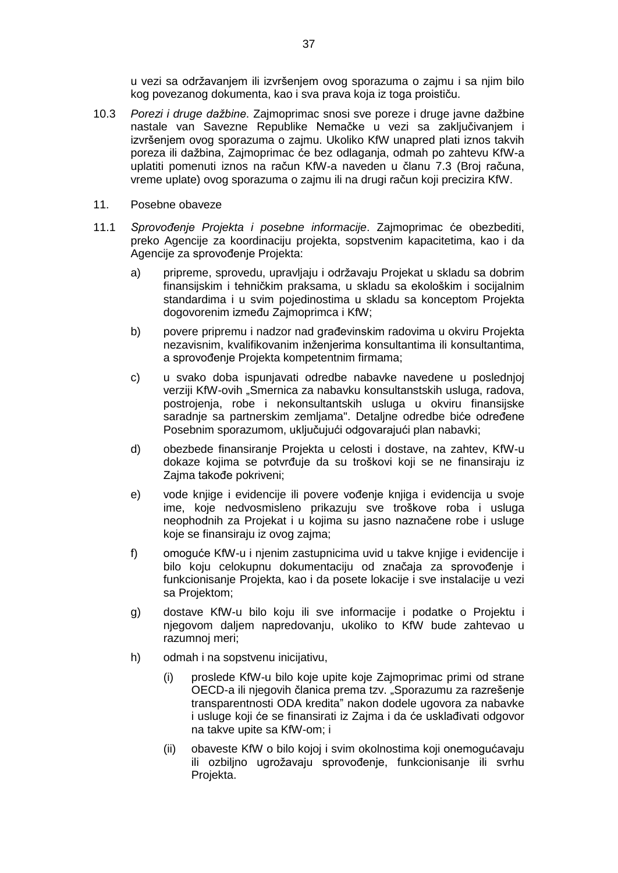u vezi sa održavanjem ili izvršenjem ovog sporazuma o zajmu i sa njim bilo kog povezanog dokumenta, kao i sva prava koja iz toga proističu.

- 10.3 *Porezi i druge dažbine*. Zajmoprimac snosi sve poreze i druge javne dažbine nastale van Savezne Republike Nemačke u vezi sa zaključivanjem i izvršenjem ovog sporazuma o zajmu. Ukoliko KfW unapred plati iznos takvih poreza ili dažbina, Zajmoprimac će bez odlaganja, odmah po zahtevu KfW-a uplatiti pomenuti iznos na račun KfW-a naveden u članu 7.3 (Broj računa, vreme uplate) ovog sporazuma o zajmu ili na drugi račun koji precizira KfW.
- 11. Posebne obaveze
- 11.1 *Sprovođenje Projekta i posebne informacije*. Zajmoprimac će obezbediti, preko Agencije za koordinaciju projekta, sopstvenim kapacitetima, kao i da Agencije za sprovođenje Projekta:
	- a) pripreme, sprovedu, upravljaju i održavaju Projekat u skladu sa dobrim finansijskim i tehničkim praksama, u skladu sa ekološkim i socijalnim standardima i u svim pojedinostima u skladu sa konceptom Projekta dogovorenim između Zajmoprimca i KfW;
	- b) povere pripremu i nadzor nad građevinskim radovima u okviru Projekta nezavisnim, kvalifikovanim inženjerima konsultantima ili konsultantima, a sprovođenje Projekta kompetentnim firmama;
	- c) u svako doba ispunjavati odredbe nabavke navedene u poslednjoj verziji KfW-ovih "Smernica za nabavku konsultanstskih usluga, radova, postrojenja, robe i nekonsultantskih usluga u okviru finansijske saradnje sa partnerskim zemljama". Detaljne odredbe biće određene Posebnim sporazumom, uključujući odgovarajući plan nabavki;
	- d) obezbede finansiranje Projekta u celosti i dostave, na zahtev, KfW-u dokaze kojima se potvrđuje da su troškovi koji se ne finansiraju iz Zajma takođe pokriveni;
	- e) vode knjige i evidencije ili povere vođenje knjiga i evidencija u svoje ime, koje nedvosmisleno prikazuju sve troškove roba i usluga neophodnih za Projekat i u kojima su jasno naznačene robe i usluge koje se finansiraju iz ovog zajma;
	- f) omoguće KfW-u i njenim zastupnicima uvid u takve knjige i evidencije i bilo koju celokupnu dokumentaciju od značaja za sprovođenje i funkcionisanje Projekta, kao i da posete lokacije i sve instalacije u vezi sa Projektom;
	- g) dostave KfW-u bilo koju ili sve informacije i podatke o Projektu i njegovom daljem napredovanju, ukoliko to KfW bude zahtevao u razumnoj meri;
	- h) odmah i na sopstvenu inicijativu,
		- (i) proslede KfW-u bilo koje upite koje Zajmoprimac primi od strane OECD-a ili njegovih članica prema tzv. "Sporazumu za razrešenje transparentnosti ODA kredita" nakon dodele ugovora za nabavke i usluge koji će se finansirati iz Zajma i da će usklađivati odgovor na takve upite sa KfW-om; i
		- (ii) obaveste KfW o bilo kojoj i svim okolnostima koji onemogućavaju ili ozbiljno ugrožavaju sprovođenje, funkcionisanje ili svrhu Projekta.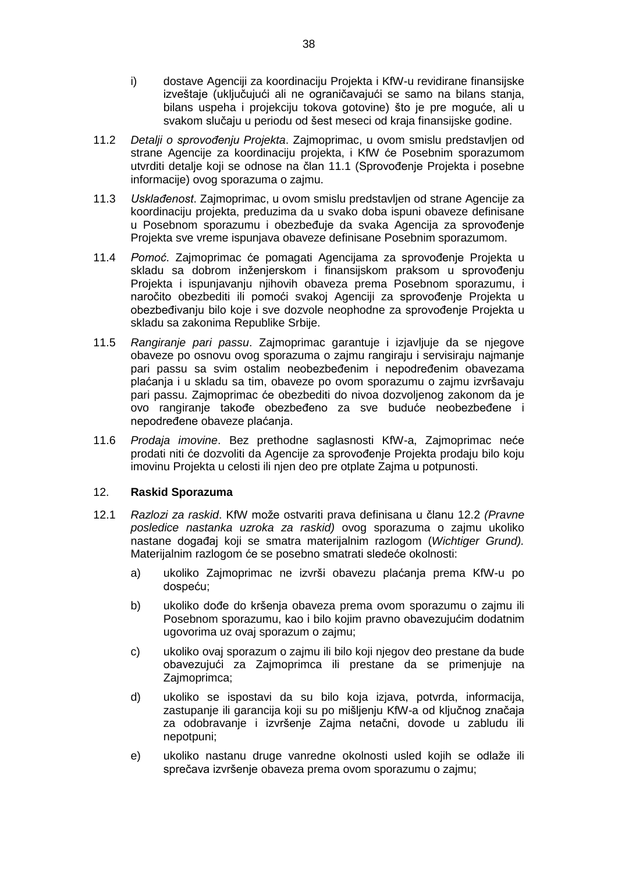- i) dostave Agenciji za koordinaciju Projekta i KfW-u revidirane finansijske izveštaje (uključujući ali ne ograničavajući se samo na bilans stanja, bilans uspeha i projekciju tokova gotovine) što je pre moguće, ali u svakom slučaju u periodu od šest meseci od kraja finansijske godine.
- 11.2 *Detalji o sprovođenju Projekta*. Zajmoprimac, u ovom smislu predstavljen od strane Agencije za koordinaciju projekta, i KfW će Posebnim sporazumom utvrditi detalje koji se odnose na član 11.1 (Sprovođenje Projekta i posebne informacije) ovog sporazuma o zajmu.
- 11.3 *Usklađenost*. Zajmoprimac, u ovom smislu predstavljen od strane Agencije za koordinaciju projekta, preduzima da u svako doba ispuni obaveze definisane u Posebnom sporazumu i obezbeđuje da svaka Agencija za sprovođenje Projekta sve vreme ispunjava obaveze definisane Posebnim sporazumom.
- 11.4 *Pomoć*. Zajmoprimac će pomagati Agencijama za sprovođenje Projekta u skladu sa dobrom inženjerskom i finansijskom praksom u sprovođenju Projekta i ispunjavanju njihovih obaveza prema Posebnom sporazumu, i naročito obezbediti ili pomoći svakoj Agenciji za sprovođenje Projekta u obezbeđivanju bilo koje i sve dozvole neophodne za sprovođenje Projekta u skladu sa zakonima Republike Srbije.
- 11.5 *Rangiranje pari passu*. Zajmoprimac garantuje i izjavljuje da se njegove obaveze po osnovu ovog sporazuma o zajmu rangiraju i servisiraju najmanje pari passu sa svim ostalim neobezbeđenim i nepodređenim obavezama plaćanja i u skladu sa tim, obaveze po ovom sporazumu o zajmu izvršavaju pari passu. Zajmoprimac će obezbediti do nivoa dozvoljenog zakonom da je ovo rangiranje takođe obezbeđeno za sve buduće neobezbeđene i nepodređene obaveze plaćanja.
- 11.6 *Prodaja imovine*. Bez prethodne saglasnosti KfW-a, Zajmoprimac neće prodati niti će dozvoliti da Agencije za sprovođenje Projekta prodaju bilo koju imovinu Projekta u celosti ili njen deo pre otplate Zajma u potpunosti.

# 12. **Raskid Sporazuma**

- 12.1 *Razlozi za raskid*. KfW može ostvariti prava definisana u članu 12.2 *(Pravne posledice nastanka uzroka za raskid)* ovog sporazuma o zajmu ukoliko nastane događaj koji se smatra materijalnim razlogom (*Wichtiger Grund).* Materijalnim razlogom će se posebno smatrati sledeće okolnosti:
	- a) ukoliko Zajmoprimac ne izvrši obavezu plaćanja prema KfW-u po dospeću;
	- b) ukoliko dođe do kršenja obaveza prema ovom sporazumu o zajmu ili Posebnom sporazumu, kao i bilo kojim pravno obavezujućim dodatnim ugovorima uz ovaj sporazum o zajmu;
	- c) ukoliko ovaj sporazum o zajmu ili bilo koji njegov deo prestane da bude obavezujući za Zajmoprimca ili prestane da se primenjuje na Zajmoprimca;
	- d) ukoliko se ispostavi da su bilo koja izjava, potvrda, informacija, zastupanje ili garancija koji su po mišljenju KfW-a od ključnog značaja za odobravanje i izvršenje Zajma netačni, dovode u zabludu ili nepotpuni;
	- e) ukoliko nastanu druge vanredne okolnosti usled kojih se odlaže ili sprečava izvršenje obaveza prema ovom sporazumu o zajmu;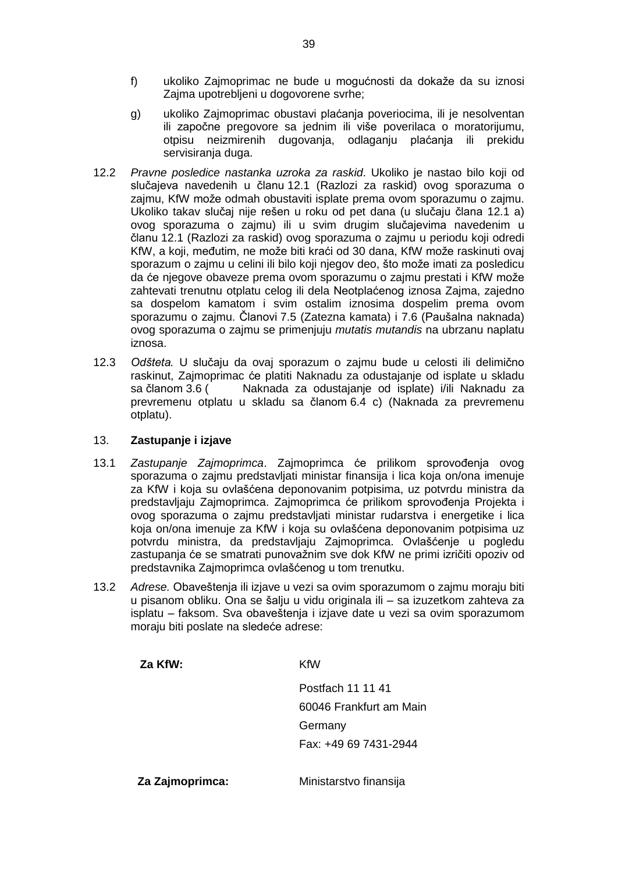- f) ukoliko Zajmoprimac ne bude u mogućnosti da dokaže da su iznosi Zajma upotrebljeni u dogovorene svrhe;
- g) ukoliko Zajmoprimac obustavi plaćanja poveriocima, ili je nesolventan ili započne pregovore sa jednim ili više poverilaca o moratorijumu, otpisu neizmirenih dugovanja, odlaganju plaćanja ili prekidu servisiranja duga.
- 12.2 *Pravne posledice nastanka uzroka za raskid*. Ukoliko je nastao bilo koji od slučajeva navedenih u članu 12.1 (Razlozi za raskid) ovog sporazuma o zajmu, KfW može odmah obustaviti isplate prema ovom sporazumu o zajmu. Ukoliko takav slučaj nije rešen u roku od pet dana (u slučaju člana 12.1 a) ovog sporazuma o zajmu) ili u svim drugim slučajevima navedenim u članu 12.1 (Razlozi za raskid) ovog sporazuma o zajmu u periodu koji odredi KfW, a koji, međutim, ne može biti kraći od 30 dana, KfW može raskinuti ovaj sporazum o zajmu u celini ili bilo koji njegov deo, što može imati za posledicu da će njegove obaveze prema ovom sporazumu o zajmu prestati i KfW može zahtevati trenutnu otplatu celog ili dela Neotplaćenog iznosa Zajma, zajedno sa dospelom kamatom i svim ostalim iznosima dospelim prema ovom sporazumu o zajmu. Članovi 7.5 (Zatezna kamata) i 7.6 (Paušalna naknada) ovog sporazuma o zajmu se primenjuju *mutatis mutandis* na ubrzanu naplatu iznosa.
- 12.3 *Odšteta.* U slučaju da ovaj sporazum o zajmu bude u celosti ili delimično raskinut, Zajmoprimac će platiti Naknadu za odustajanje od isplate u skladu sa članom 3.6 ( Naknada za odustajanje od isplate) i/ili Naknadu za prevremenu otplatu u skladu sa članom 6.4 c) (Naknada za prevremenu otplatu).

# 13. **Zastupanje i izjave**

- 13.1 *Zastupanje Zajmoprimca*. Zajmoprimca će prilikom sprovođenja ovog sporazuma o zajmu predstavljati ministar finansija i lica koja on/ona imenuje za KfW i koja su ovlašćena deponovanim potpisima, uz potvrdu ministra da predstavljaju Zajmoprimca. Zajmoprimca će prilikom sprovođenja Projekta i ovog sporazuma o zajmu predstavljati ministar rudarstva i energetike i lica koja on/ona imenuje za KfW i koja su ovlašćena deponovanim potpisima uz potvrdu ministra, da predstavljaju Zajmoprimca. Ovlašćenje u pogledu zastupanja će se smatrati punovažnim sve dok KfW ne primi izričiti opoziv od predstavnika Zajmoprimca ovlašćenog u tom trenutku.
- 13.2 *Adrese.* Obaveštenja ili izjave u vezi sa ovim sporazumom o zajmu moraju biti u pisanom obliku. Ona se šalju u vidu originala ili – sa izuzetkom zahteva za isplatu – faksom. Sva obaveštenja i izjave date u vezi sa ovim sporazumom moraju biti poslate na sledeće adrese:

| Za KfW:         | KfW                     |  |
|-----------------|-------------------------|--|
|                 | Postfach 11 11 41       |  |
|                 | 60046 Frankfurt am Main |  |
|                 | Germany                 |  |
|                 | Fax: +49 69 7431-2944   |  |
| Za Zajmoprimca: | Ministarstvo finansija  |  |
|                 |                         |  |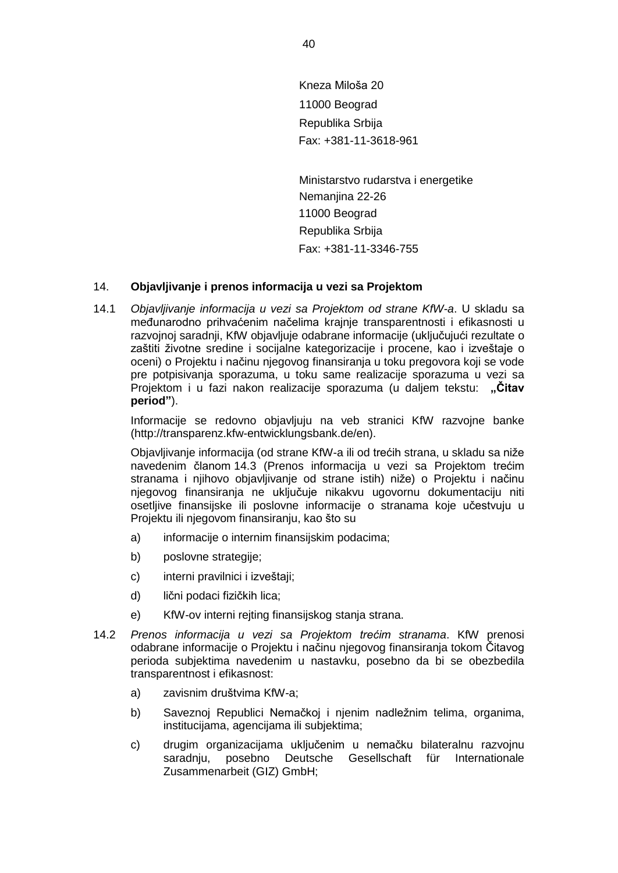Kneza Miloša 20 11000 Beograd Republika Srbija Fax: +381-11-3618-961

Ministarstvo rudarstva i energetike Nemanjina 22-26 11000 Beograd Republika Srbija Fax: +381-11-3346-755

# 14. **Objavljivanje i prenos informacija u vezi sa Projektom**

14.1 *Objavljivanje informacija u vezi sa Projektom od strane KfW-a*. U skladu sa međunarodno prihvaćenim načelima krajnje transparentnosti i efikasnosti u razvojnoj saradnji, KfW objavljuje odabrane informacije (uključujući rezultate o zaštiti životne sredine i socijalne kategorizacije i procene, kao i izveštaje o oceni) o Projektu i načinu njegovog finansiranja u toku pregovora koji se vode pre potpisivanja sporazuma, u toku same realizacije sporazuma u vezi sa Projektom i u fazi nakon realizacije sporazuma (u daljem tekstu: "Čitav **period"**).

Informacije se redovno objavljuju na veb stranici KfW razvojne banke (http://transparenz.kfw-entwicklungsbank.de/en).

Objavljivanje informacija (od strane KfW-a ili od trećih strana, u skladu sa niže navedenim članom 14.3 (Prenos informacija u vezi sa Projektom trećim stranama i njihovo objavljivanje od strane istih) niže) o Projektu i načinu njegovog finansiranja ne uključuje nikakvu ugovornu dokumentaciju niti osetljive finansijske ili poslovne informacije o stranama koje učestvuju u Projektu ili njegovom finansiranju, kao što su

- a) informacije o internim finansijskim podacima;
- b) poslovne strategije;
- c) interni pravilnici i izveštaji;
- d) lični podaci fizičkih lica;
- e) KfW-ov interni rejting finansijskog stanja strana.
- 14.2 *Prenos informacija u vezi sa Projektom trećim stranama*. KfW prenosi odabrane informacije o Projektu i načinu njegovog finansiranja tokom Čitavog perioda subjektima navedenim u nastavku, posebno da bi se obezbedila transparentnost i efikasnost:
	- a) zavisnim društvima KfW-a;
	- b) Saveznoj Republici Nemačkoj i njenim nadležnim telima, organima, institucijama, agencijama ili subjektima;
	- c) drugim organizacijama uključenim u nemačku bilateralnu razvojnu saradnju, posebno Deutsche Gesellschaft für Internationale Zusammenarbeit (GIZ) GmbH;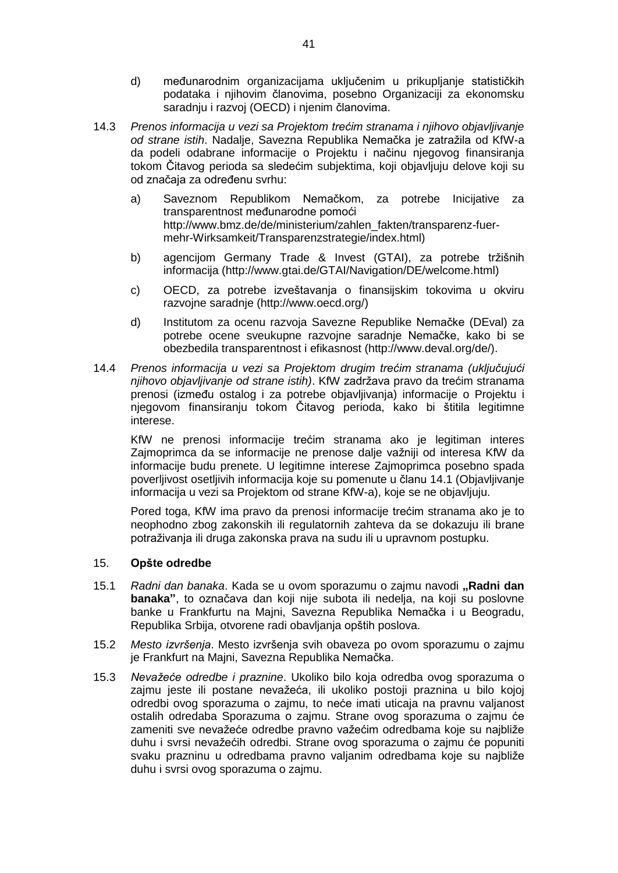- d) međunarodnim organizacijama uključenim u prikupljanje statističkih podataka i njihovim članovima, posebno Organizaciji za ekonomsku saradnju i razvoj (OECD) i njenim članovima.
- 14.3 *Prenos informacija u vezi sa Projektom trećim stranama i njihovo objavljivanje od strane istih*. Nadalje, Savezna Republika Nemačka je zatražila od KfW-a da podeli odabrane informacije o Projektu i načinu njegovog finansiranja tokom Čitavog perioda sa sledećim subjektima, koji objavljuju delove koji su od značaja za određenu svrhu:
	- a) Saveznom Republikom Nemačkom, za potrebe Inicijative za transparentnost međunarodne pomoći [http://www.bmz.de/de/ministerium/zahlen\\_fakten/transparenz-fuer](http://www.bmz.de/de/ministerium/zahlen_fakten/transparenz-fuer-mehr-Wirksamkeit/Transparenzstrategie/index.html)[mehr-Wirksamkeit/Transparenzstrategie/index.html\)](http://www.bmz.de/de/ministerium/zahlen_fakten/transparenz-fuer-mehr-Wirksamkeit/Transparenzstrategie/index.html)
	- b) agencijom Germany Trade & Invest (GTAI), za potrebe tržišnih informacija [\(http://www.gtai.de/GTAI/Navigation/DE/welcome.html\)](http://www.gtai.de/GTAI/Navigation/DE/welcome.html)
	- c) OECD, za potrebe izveštavanja o finansijskim tokovima u okviru razvojne saradnje [\(http://www.oecd.org/\)](http://www.oecd.org/)
	- d) Institutom za ocenu razvoja Savezne Republike Nemačke (DEval) za potrebe ocene sveukupne razvojne saradnje Nemačke, kako bi se obezbedila transparentnost i efikasnost [\(http://www.deval.org/de/\)](http://www.deval.org/de/).
- 14.4 *Prenos informacija u vezi sa Projektom drugim trećim stranama (uključujući njihovo objavljivanje od strane istih)*. KfW zadržava pravo da trećim stranama prenosi (između ostalog i za potrebe objavljivanja) informacije o Projektu i njegovom finansiranju tokom Čitavog perioda, kako bi štitila legitimne interese.

KfW ne prenosi informacije trećim stranama ako je legitiman interes Zajmoprimca da se informacije ne prenose dalje važniji od interesa KfW da informacije budu prenete. U legitimne interese Zajmoprimca posebno spada poverljivost osetljivih informacija koje su pomenute u članu 14.1 (Objavljivanje informacija u vezi sa Projektom od strane KfW-a), koje se ne objavljuju.

Pored toga, KfW ima pravo da prenosi informacije trećim stranama ako je to neophodno zbog zakonskih ili regulatornih zahteva da se dokazuju ili brane potraživanja ili druga zakonska prava na sudu ili u upravnom postupku.

### 15. **Opšte odredbe**

- 15.1 *Radni dan banaka*. Kada se u ovom sporazumu o zajmu navodi **"Radni dan banaka"**, to označava dan koji nije subota ili nedelja, na koji su poslovne banke u Frankfurtu na Majni, Savezna Republika Nemačka i u Beogradu, Republika Srbija, otvorene radi obavljanja opštih poslova.
- 15.2 *Mesto izvršenja*. Mesto izvršenja svih obaveza po ovom sporazumu o zajmu je Frankfurt na Majni, Savezna Republika Nemačka.
- 15.3 *Nevažeće odredbe i praznine*. Ukoliko bilo koja odredba ovog sporazuma o zajmu jeste ili postane nevažeća, ili ukoliko postoji praznina u bilo kojoj odredbi ovog sporazuma o zajmu, to neće imati uticaja na pravnu valjanost ostalih odredaba Sporazuma o zajmu. Strane ovog sporazuma o zajmu će zameniti sve nevažeće odredbe pravno važećim odredbama koje su najbliže duhu i svrsi nevažećih odredbi. Strane ovog sporazuma o zajmu će popuniti svaku prazninu u odredbama pravno valjanim odredbama koje su najbliže duhu i svrsi ovog sporazuma o zajmu.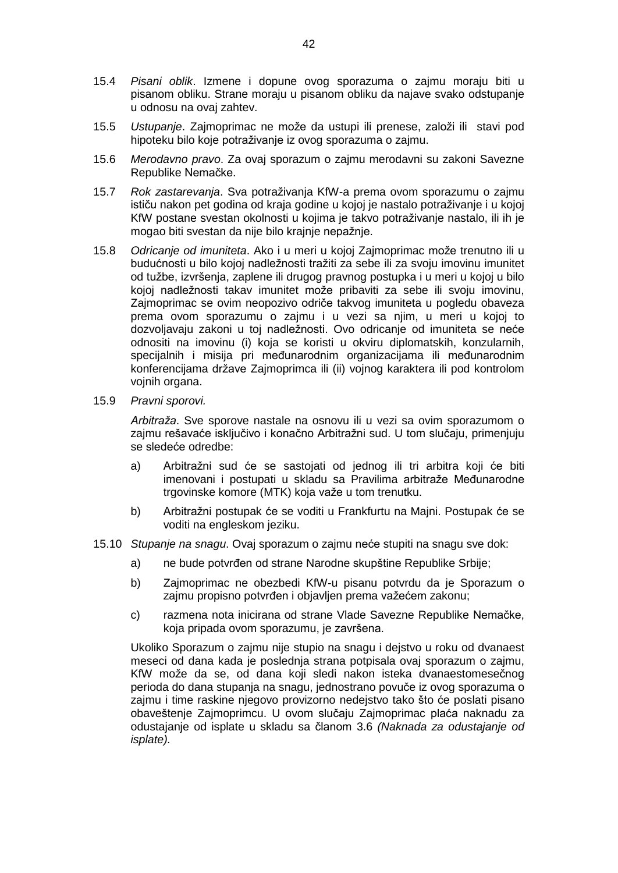- 15.4 *Pisani oblik*. Izmene i dopune ovog sporazuma o zajmu moraju biti u pisanom obliku. Strane moraju u pisanom obliku da najave svako odstupanje u odnosu na ovaj zahtev.
- 15.5 *Ustupanje*. Zajmoprimac ne može da ustupi ili prenese, založi ili stavi pod hipoteku bilo koje potraživanje iz ovog sporazuma o zajmu.
- 15.6 *Merodavno pravo*. Za ovaj sporazum o zajmu merodavni su zakoni Savezne Republike Nemačke.
- 15.7 *Rok zastarevanja*. Sva potraživanja KfW-a prema ovom sporazumu o zajmu ističu nakon pet godina od kraja godine u kojoj je nastalo potraživanje i u kojoj KfW postane svestan okolnosti u kojima je takvo potraživanje nastalo, ili ih je mogao biti svestan da nije bilo krajnje nepažnje.
- 15.8 *Odricanje od imuniteta*. Ako i u meri u kojoj Zajmoprimac može trenutno ili u budućnosti u bilo kojoj nadležnosti tražiti za sebe ili za svoju imovinu imunitet od tužbe, izvršenja, zaplene ili drugog pravnog postupka i u meri u kojoj u bilo kojoj nadležnosti takav imunitet može pribaviti za sebe ili svoju imovinu, Zajmoprimac se ovim neopozivo odriče takvog imuniteta u pogledu obaveza prema ovom sporazumu o zajmu i u vezi sa njim, u meri u kojoj to dozvoljavaju zakoni u toj nadležnosti. Ovo odricanje od imuniteta se neće odnositi na imovinu (i) koja se koristi u okviru diplomatskih, konzularnih, specijalnih i misija pri međunarodnim organizacijama ili međunarodnim konferencijama države Zajmoprimca ili (ii) vojnog karaktera ili pod kontrolom vojnih organa.
- 15.9 *Pravni sporovi.*

*Arbitraža*. Sve sporove nastale na osnovu ili u vezi sa ovim sporazumom o zajmu rešavaće isključivo i konačno Arbitražni sud. U tom slučaju, primenjuju se sledeće odredbe:

- a) Arbitražni sud će se sastojati od jednog ili tri arbitra koji će biti imenovani i postupati u skladu sa Pravilima arbitraže Međunarodne trgovinske komore (MTK) koja važe u tom trenutku.
- b) Arbitražni postupak će se voditi u Frankfurtu na Majni. Postupak će se voditi na engleskom jeziku.
- 15.10 *Stupanje na snagu*. Ovaj sporazum o zajmu neće stupiti na snagu sve dok:
	- a) ne bude potvrđen od strane Narodne skupštine Republike Srbije;
	- b) Zajmoprimac ne obezbedi KfW-u pisanu potvrdu da je Sporazum o zajmu propisno potvrđen i objavljen prema važećem zakonu;
	- c) razmena nota inicirana od strane Vlade Savezne Republike Nemačke, koja pripada ovom sporazumu, je završena.

Ukoliko Sporazum o zajmu nije stupio na snagu i dejstvo u roku od dvanaest meseci od dana kada je poslednja strana potpisala ovaj sporazum o zajmu, KfW može da se, od dana koji sledi nakon isteka dvanaestomesečnog perioda do dana stupanja na snagu, jednostrano povuče iz ovog sporazuma o zajmu i time raskine njegovo provizorno nedejstvo tako što će poslati pisano obaveštenje Zajmoprimcu. U ovom slučaju Zajmoprimac plaća naknadu za odustajanje od isplate u skladu sa članom 3.6 *(Naknada za odustajanje od isplate).*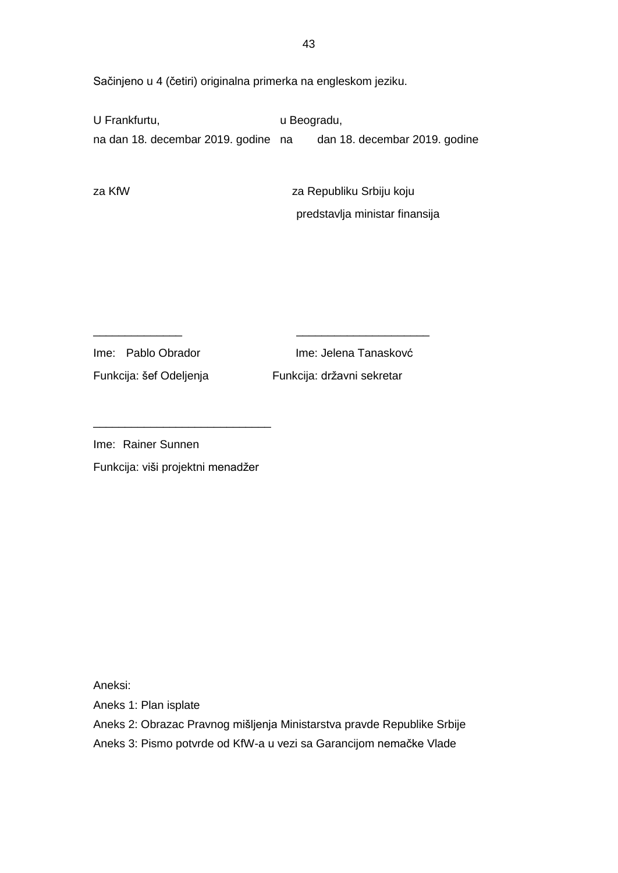Sačinjeno u 4 (četiri) originalna primerka na engleskom jeziku.

\_\_\_\_\_\_\_\_\_\_\_\_\_\_ \_\_\_\_\_\_\_\_\_\_\_\_\_\_\_\_\_\_\_\_\_

U Frankfurtu, verbandu, verbandu, verbandu, verbandu, verbandu, verbandu, verbandu, verbandu, verbandu, verbandu, verbandu, verbandu, verbandu, verbandu, verbandu, verbandu, verbandu, verbandu, verbandu, verbandu, verbandu na dan 18. decembar 2019. godine na dan 18. decembar 2019. godine

za KfW za Republiku Srbiju koju predstavlja ministar finansija

Ime: Pablo Obrador **Ime: Jelena Tanaskov**ć Funkcija: šef Odeljenja Funkcija: državni sekretar

Ime: Rainer Sunnen

Funkcija: viši projektni menadžer

\_\_\_\_\_\_\_\_\_\_\_\_\_\_\_\_\_\_\_\_\_\_\_\_\_\_\_\_

Aneksi:

Aneks 1: Plan isplate

Aneks 2: Obrazac Pravnog mišljenja Ministarstva pravde Republike Srbije

Aneks 3: Pismo potvrde od KfW-a u vezi sa Garancijom nemačke Vlade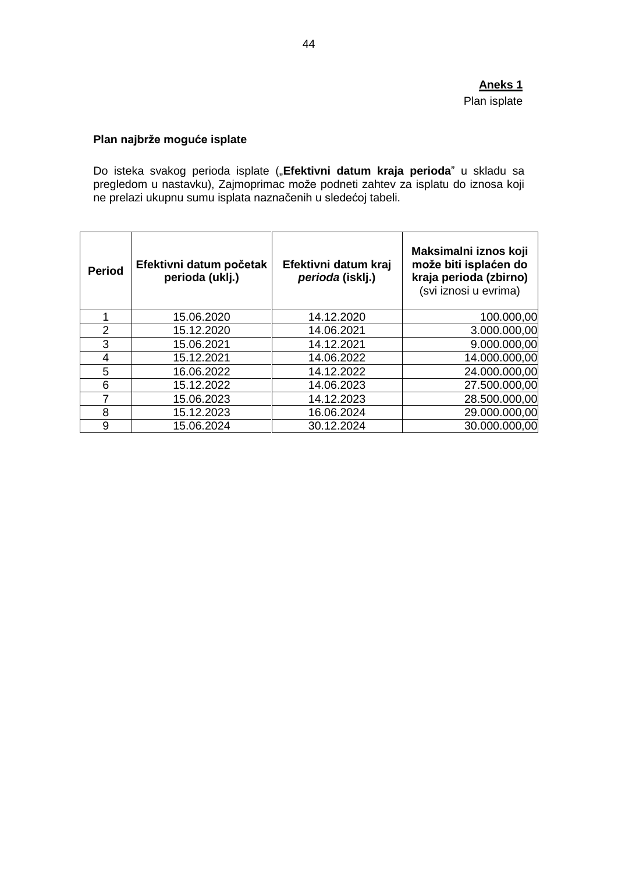# **Aneks 1** Plan isplate

# **Plan najbrže moguće isplate**

Do isteka svakog perioda isplate ("**Efektivni datum kraja perioda**" u skladu sa pregledom u nastavku), Zajmoprimac može podneti zahtev za isplatu do iznosa koji ne prelazi ukupnu sumu isplata naznačenih u sledećoj tabeli.

| <b>Period</b>  | Efektivni datum početak<br>perioda (uklj.) | Efektivni datum kraj<br>perioda (isklj.) | Maksimalni iznos koji<br>može biti isplaćen do<br>kraja perioda (zbirno)<br>(svi iznosi u evrima) |
|----------------|--------------------------------------------|------------------------------------------|---------------------------------------------------------------------------------------------------|
|                | 15.06.2020                                 | 14.12.2020                               | 100.000,00                                                                                        |
| $\overline{2}$ | 15.12.2020                                 | 14.06.2021                               | 3.000.000,00                                                                                      |
| 3              | 15.06.2021                                 | 14.12.2021                               | 9.000.000,00                                                                                      |
| 4              | 15.12.2021                                 | 14.06.2022                               | 14.000.000,00                                                                                     |
| 5              | 16.06.2022                                 | 14.12.2022                               | 24.000.000,00                                                                                     |
| 6              | 15.12.2022                                 | 14.06.2023                               | 27.500.000,00                                                                                     |
| 7              | 15.06.2023                                 | 14.12.2023                               | 28.500.000,00                                                                                     |
| 8              | 15.12.2023                                 | 16.06.2024                               | 29.000.000,00                                                                                     |
| 9              | 15.06.2024                                 | 30.12.2024                               | 30.000.000,00                                                                                     |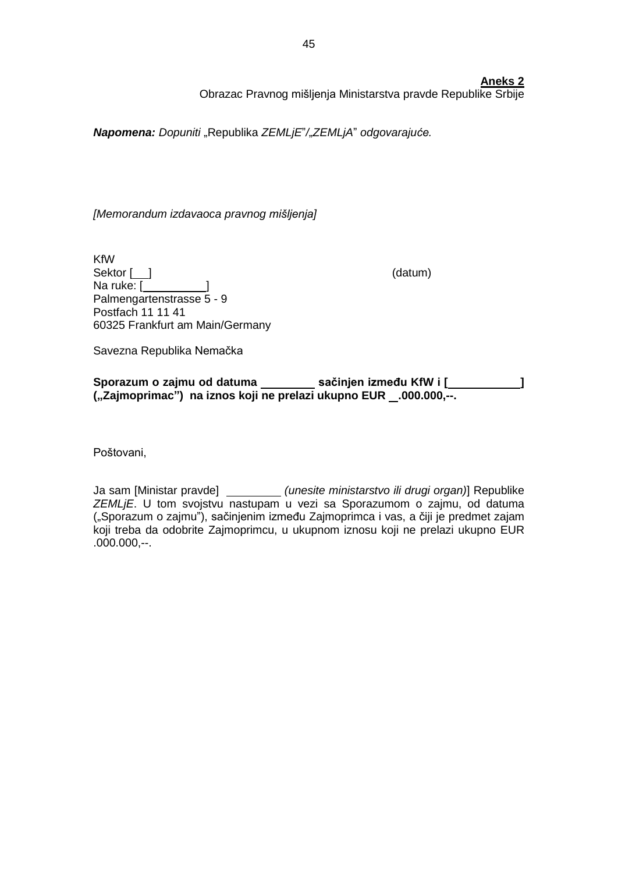## **Aneks 2**

Obrazac Pravnog mišljenja Ministarstva pravde Republike Srbije

*Napomena: Dopuniti* "Republika *ZEMLjE*"*/*"*ZEMLjA*" *odgovarajuće.*

*[Memorandum izdavaoca pravnog mišljenja]*

KfW Sektor [ ] (datum) Na ruke: [ Palmengartenstrasse 5 - 9 Postfach 11 11 41 60325 Frankfurt am Main/Germany

Savezna Republika Nemačka

**Sporazum o zajmu od datuma** sačinjen **između KfW** i [  $\qquad$  ] **("Zajmoprimac") na iznos koji ne prelazi ukupno EUR .000.000,--.**

Poštovani,

Ja sam [Ministar pravde] *(unesite ministarstvo ili drugi organ)*] Republike *ZEMLjE*. U tom svojstvu nastupam u vezi sa Sporazumom o zajmu, od datuma ("Sporazum o zajmu"), sačinjenim između Zajmoprimca i vas, a čiji je predmet zajam koji treba da odobrite Zajmoprimcu, u ukupnom iznosu koji ne prelazi ukupno EUR  $.000.000$ , --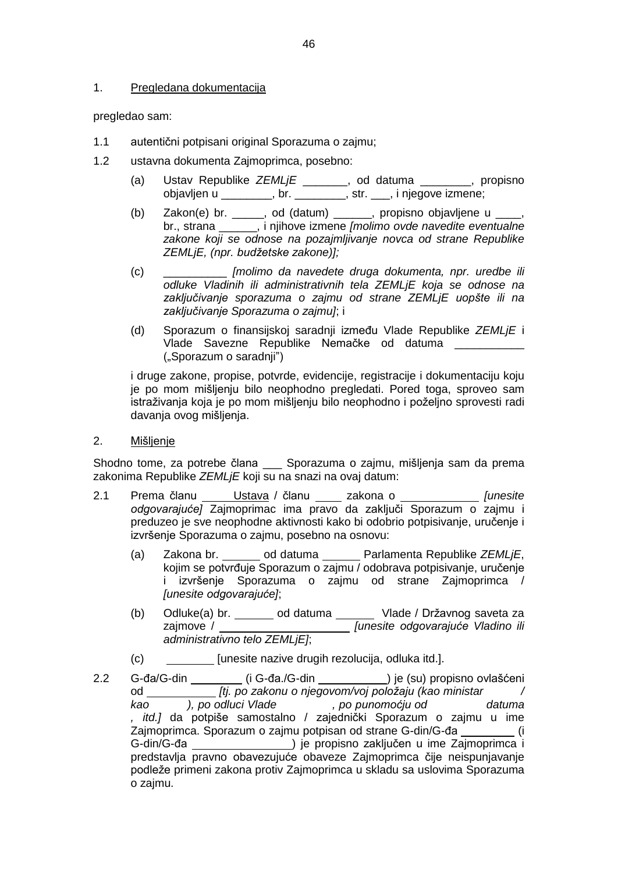# 1. Pregledana dokumentacija

pregledao sam:

- 1.1 autentični potpisani original Sporazuma o zajmu;
- 1.2 ustavna dokumenta Zajmoprimca, posebno:
	- (a) Ustav Republike *ZEMLjE* \_\_\_\_\_\_\_, od datuma \_\_\_\_\_\_\_\_, propisno objavljen u \_\_\_\_\_\_\_\_, br. \_\_\_\_\_\_\_\_, str. \_\_\_, i njegove izmene;
	- (b) Zakon(e) br. \_\_\_\_\_, od (datum) \_\_\_\_\_\_, propisno objavljene u \_\_\_\_, br., strana \_\_\_\_\_\_, i njihove izmene *[molimo ovde navedite eventualne zakone koji se odnose na pozajmljivanje novca od strane Republike ZEMLjE, (npr. budžetske zakone)];*
	- (c) \_\_\_\_\_\_\_\_\_\_ *[molimo da navedete druga dokumenta, npr. uredbe ili odluke Vladinih ili administrativnih tela ZEMLjE koja se odnose na zaključivanje sporazuma o zajmu od strane ZEMLjE uopšte ili na zaključivanje Sporazuma o zajmu]*; i
	- (d) Sporazum o finansijskoj saradnji između Vlade Republike *ZEMLjE* i Vlade Savezne Republike Nemačke od datuma \_\_\_\_\_\_\_\_\_ ("Sporazum o saradnji")

i druge zakone, propise, potvrde, evidencije, registracije i dokumentaciju koju je po mom mišljenju bilo neophodno pregledati. Pored toga, sproveo sam istraživanja koja je po mom mišljenju bilo neophodno i poželjno sprovesti radi davanja ovog mišljenja.

2. Mišljenje

Shodno tome, za potrebe člana \_\_\_ Sporazuma o zajmu, mišljenja sam da prema zakonima Republike *ZEMLjE* koji su na snazi na ovaj datum:

- 2.1 Prema članu Ustava / članu zakona o *[unesite odgovarajuće]* Zajmoprimac ima pravo da zaključi Sporazum o zajmu i preduzeo je sve neophodne aktivnosti kako bi odobrio potpisivanje, uručenje i izvršenje Sporazuma o zajmu, posebno na osnovu:
	- (a) Zakona br. od datuma Parlamenta Republike *ZEMLjE*, kojim se potvrđuje Sporazum o zajmu / odobrava potpisivanje, uručenje i izvršenje Sporazuma o zajmu od strane Zajmoprimca / *[unesite odgovarajuće]*;
	- (b) Odluke(a) br. \_\_\_\_\_\_\_ od datuma \_\_\_\_\_\_\_ Vlade / Državnog saveta za zajmove / *[unesite odgovarajuće Vladino ili administrativno telo ZEMLjE]*;
	- (c) [unesite nazive drugih rezolucija, odluka itd.].
- 2.2 G-đa/G-din **\_\_\_\_\_\_\_\_** (i G-đa./G-din **\_\_\_\_\_\_\_\_\_\_\_\_**) je (su) propisno ovlašćeni od *[tj. po zakonu o njegovom/voj položaju (kao ministar / kao ), po odluci Vlade , po punomoćju od datuma , itd.]* da potpiše samostalno / zajednički Sporazum o zajmu u ime Zajmoprimca. Sporazum o zajmu potpisan od strane G-din/G-đa \_\_\_\_\_\_\_\_(i G-din/G-đa ) je propisno zaključen u ime Zajmoprimca i predstavlja pravno obavezujuće obaveze Zajmoprimca čije neispunjavanje podleže primeni zakona protiv Zajmoprimca u skladu sa uslovima Sporazuma o zajmu.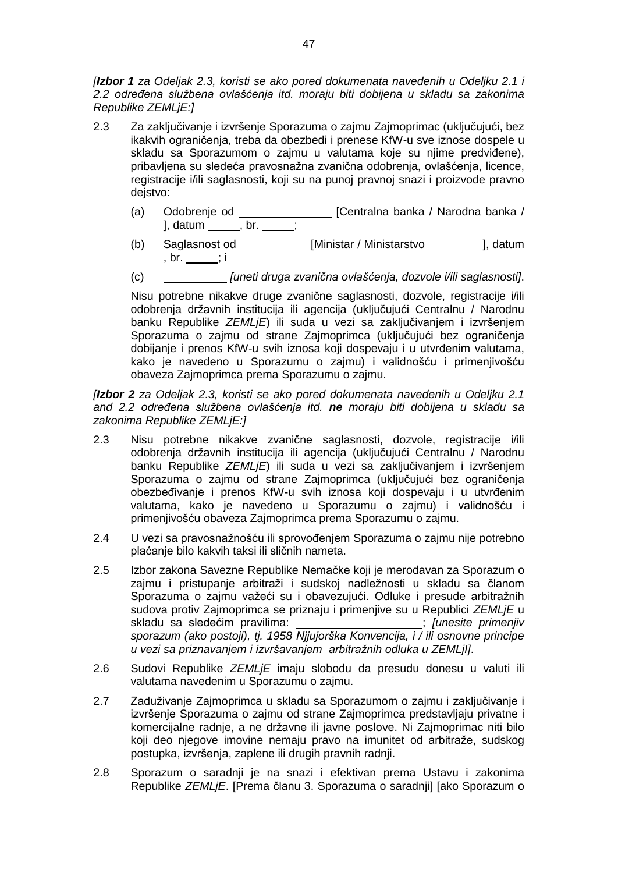*[Izbor 1 za Odeljak 2.3, koristi se ako pored dokumenata navedenih u Odeljku 2.1 i 2.2 određena službena ovlašćenja itd. moraju biti dobijena u skladu sa zakonima Republike ZEMLjE:]*

- 2.3 Za zaključivanje i izvršenje Sporazuma o zajmu Zajmoprimac (uključujući, bez ikakvih ograničenja, treba da obezbedi i prenese KfW-u sve iznose dospele u skladu sa Sporazumom o zajmu u valutama koje su njime predviđene), pribavljena su sledeća pravosnažna zvanična odobrenja, ovlašćenja, licence, registracije i/ili saglasnosti, koji su na punoj pravnoj snazi i proizvode pravno dejstvo:
	- (a) Odobrenje od \_\_\_\_\_\_\_\_\_\_\_\_\_\_\_\_ [Centralna banka / Narodna banka / ], datum \_\_\_\_\_\_, br. \_\_\_\_\_;
	- (b) Saglasnost od \_\_\_\_\_\_\_\_\_\_\_\_ [Ministar / Ministarstvo \_\_\_\_\_\_\_\_\_\_], datum  $\overline{\text{b}}$  br.  $\overline{\text{i}}$
	- (c) *[uneti druga zvanična ovlašćenja, dozvole i/ili saglasnosti]*.

Nisu potrebne nikakve druge zvanične saglasnosti, dozvole, registracije i/ili odobrenja državnih institucija ili agencija (uključujući Centralnu / Narodnu banku Republike *ZEMLjE*) ili suda u vezi sa zaključivanjem i izvršenjem Sporazuma o zajmu od strane Zajmoprimca (uključujući bez ograničenja dobijanje i prenos KfW-u svih iznosa koji dospevaju i u utvrđenim valutama, kako je navedeno u Sporazumu o zajmu) i validnošću i primenjivošću obaveza Zajmoprimca prema Sporazumu o zajmu.

*[Izbor 2 za Odeljak 2.3, koristi se ako pored dokumenata navedenih u Odeljku 2.1 and 2.2 određena službena ovlašćenja itd. ne moraju biti dobijena u skladu sa zakonima Republike ZEMLjE:]*

- 2.3 Nisu potrebne nikakve zvanične saglasnosti, dozvole, registracije i/ili odobrenja državnih institucija ili agencija (uključujući Centralnu / Narodnu banku Republike *ZEMLjE*) ili suda u vezi sa zaključivanjem i izvršenjem Sporazuma o zajmu od strane Zajmoprimca (uključujući bez ograničenja obezbeđivanje i prenos KfW-u svih iznosa koji dospevaju i u utvrđenim valutama, kako je navedeno u Sporazumu o zajmu) i validnošću i primenjivošću obaveza Zajmoprimca prema Sporazumu o zajmu.
- 2.4 U vezi sa pravosnažnošću ili sprovođenjem Sporazuma o zajmu nije potrebno plaćanje bilo kakvih taksi ili sličnih nameta.
- 2.5 Izbor zakona Savezne Republike Nemačke koji je merodavan za Sporazum o zajmu i pristupanje arbitraži i sudskoj nadležnosti u skladu sa članom Sporazuma o zajmu važeći su i obavezujući. Odluke i presude arbitražnih sudova protiv Zajmoprimca se priznaju i primenjive su u Republici *ZEMLjE* u skladu sa sledećim pravilima: ; *[unesite primenjiv sporazum (ako postoji), tj. 1958 Njjujorška Konvencija, i / ili osnovne principe u vezi sa priznavanjem i izvršavanjem arbitražnih odluka u ZEMLjI]*.
- 2.6 Sudovi Republike *ZEMLjE* imaju slobodu da presudu donesu u valuti ili valutama navedenim u Sporazumu o zajmu.
- 2.7 Zaduživanje Zajmoprimca u skladu sa Sporazumom o zajmu i zaključivanje i izvršenje Sporazuma o zajmu od strane Zajmoprimca predstavljaju privatne i komercijalne radnje, a ne državne ili javne poslove. Ni Zajmoprimac niti bilo koji deo njegove imovine nemaju pravo na imunitet od arbitraže, sudskog postupka, izvršenja, zaplene ili drugih pravnih radnji.
- 2.8 Sporazum o saradnji je na snazi i efektivan prema Ustavu i zakonima Republike *ZEMLjE*. [Prema članu 3. Sporazuma o saradnji] [ako Sporazum o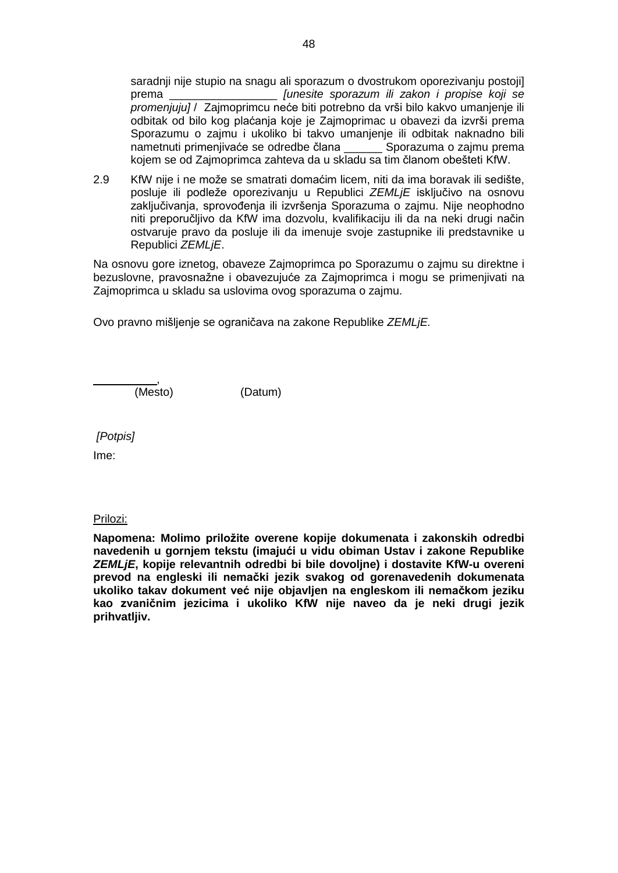saradnji nije stupio na snagu ali sporazum o dvostrukom oporezivanju postoji] prema \_\_\_\_\_\_\_\_\_\_\_\_\_\_\_\_\_ *[unesite sporazum ili zakon i propise koji se promenjuju]* / Zajmoprimcu neće biti potrebno da vrši bilo kakvo umanjenje ili odbitak od bilo kog plaćanja koje je Zajmoprimac u obavezi da izvrši prema Sporazumu o zajmu i ukoliko bi takvo umanjenje ili odbitak naknadno bili nametnuti primenjivaće se odredbe člana \_\_\_\_\_\_ Sporazuma o zajmu prema kojem se od Zajmoprimca zahteva da u skladu sa tim članom obešteti KfW.

2.9 KfW nije i ne može se smatrati domaćim licem, niti da ima boravak ili sedište, posluje ili podleže oporezivanju u Republici *ZEMLjE* isključivo na osnovu zaključivanja, sprovođenja ili izvršenja Sporazuma o zajmu. Nije neophodno niti preporučljivo da KfW ima dozvolu, kvalifikaciju ili da na neki drugi način ostvaruje pravo da posluje ili da imenuje svoje zastupnike ili predstavnike u Republici *ZEMLjE*.

Na osnovu gore iznetog, obaveze Zajmoprimca po Sporazumu o zajmu su direktne i bezuslovne, pravosnažne i obavezujuće za Zajmoprimca i mogu se primenjivati na Zajmoprimca u skladu sa uslovima ovog sporazuma o zajmu.

Ovo pravno mišljenje se ograničava na zakone Republike *ZEMLjE.*

 $\overline{\phantom{a}}$ ,  $\overline{\phantom{a}}$ ,  $\overline{\phantom{a}}$ ,  $\overline{\phantom{a}}$ ,  $\overline{\phantom{a}}$ ,  $\overline{\phantom{a}}$ ,  $\overline{\phantom{a}}$ ,  $\overline{\phantom{a}}$ ,  $\overline{\phantom{a}}$ ,  $\overline{\phantom{a}}$ ,  $\overline{\phantom{a}}$ ,  $\overline{\phantom{a}}$ ,  $\overline{\phantom{a}}$ ,  $\overline{\phantom{a}}$ ,  $\overline{\phantom{a}}$ ,  $\overline{\phantom{a}}$ ,  $\overline{\phantom{a}}$ ,

(Mesto) (Datum)

*[Potpis]*

Ime:

### Prilozi:

**Napomena: Molimo priložite overene kopije dokumenata i zakonskih odredbi navedenih u gornjem tekstu (imajući u vidu obiman Ustav i zakone Republike** *ZEMLjE***, kopije relevantnih odredbi bi bile dovoljne) i dostavite KfW-u overeni prevod na engleski ili nemački jezik svakog od gorenavedenih dokumenata ukoliko takav dokument već nije objavljen na engleskom ili nemačkom jeziku kao zvaničnim jezicima i ukoliko KfW nije naveo da je neki drugi jezik prihvatljiv.**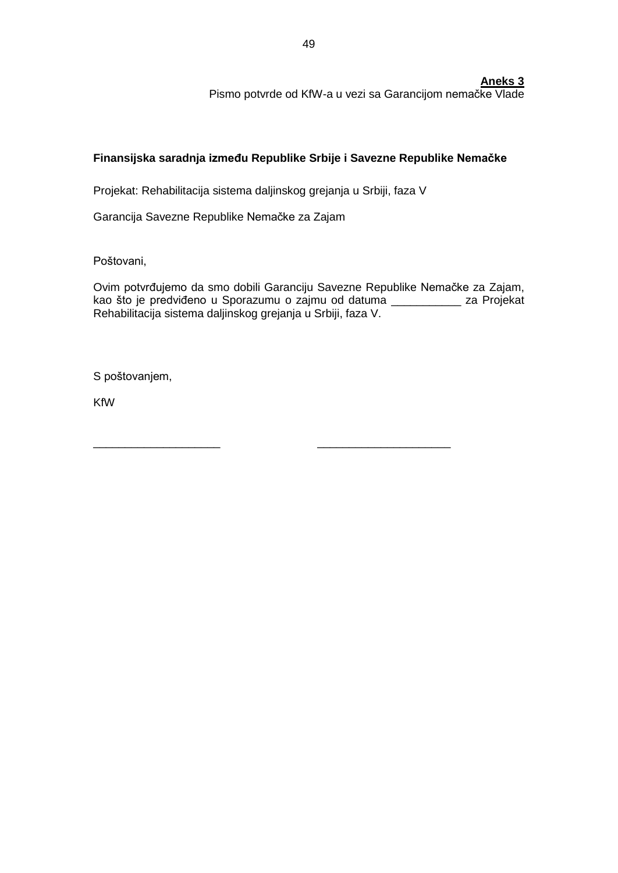**Aneks 3**

Pismo potvrde od KfW-a u vezi sa Garancijom nemačke Vlade

# **Finansijska saradnja između Republike Srbije i Savezne Republike Nemačke**

Projekat: Rehabilitacija sistema daljinskog grejanja u Srbiji, faza V

\_\_\_\_\_\_\_\_\_\_\_\_\_\_\_\_\_\_\_\_ \_\_\_\_\_\_\_\_\_\_\_\_\_\_\_\_\_\_\_\_\_

Garancija Savezne Republike Nemačke za Zajam

Poštovani,

Ovim potvrđujemo da smo dobili Garanciju Savezne Republike Nemačke za Zajam, kao što je predviđeno u Sporazumu o zajmu od datuma \_\_\_\_\_\_\_\_\_\_\_ za Projekat Rehabilitacija sistema daljinskog grejanja u Srbiji, faza V.

S poštovanjem,

KfW

49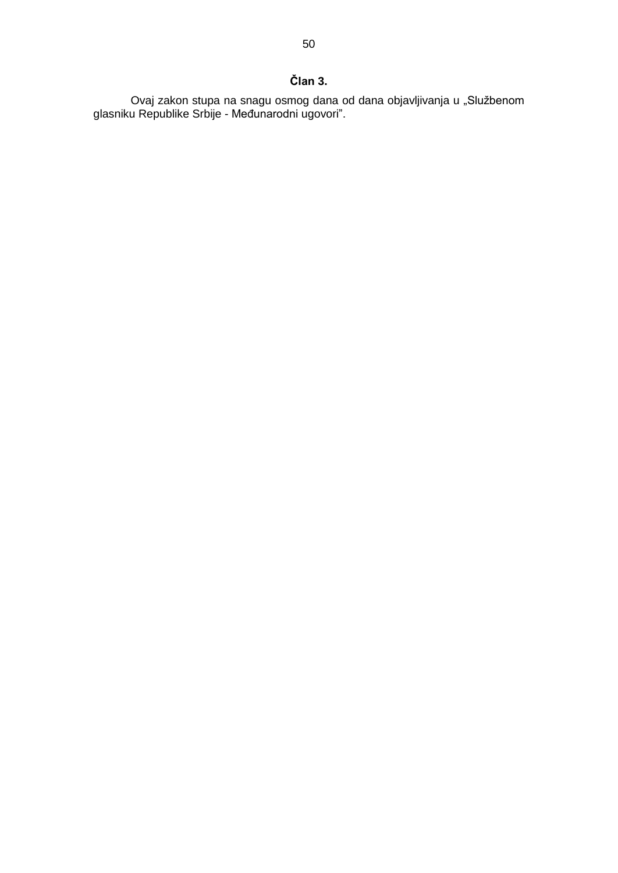# **Član 3.**

Ovaj zakon stupa na snagu osmog dana od dana objavljivanja u "Službenom glasniku Republike Srbije - Međunarodni ugovori".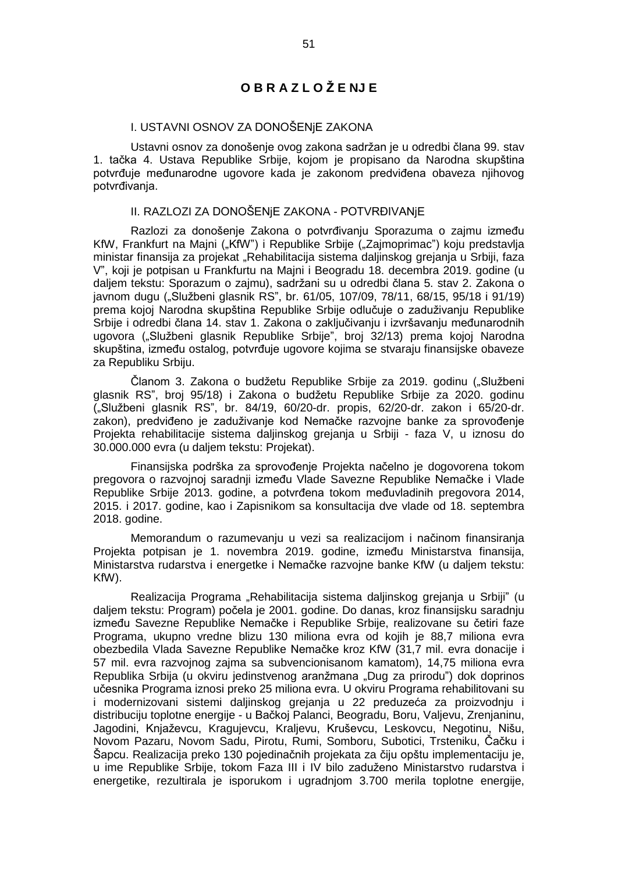# **O B R A Z L O Ž E NJ E**

# I. USTAVNI OSNOV ZA DONOŠENjE ZAKONA

Ustavni osnov za donošenje ovog zakona sadržan je u odredbi člana 99. stav 1. tačka 4. Ustava Republike Srbije, kojom je propisano da Narodna skupština potvrđuje međunarodne ugovore kada je zakonom predviđena obaveza njihovog potvrđivanja.

### II. RAZLOZI ZA DONOŠENjE ZAKONA - POTVRĐIVANjE

Razlozi za donošenje Zakona o potvrđivanju Sporazuma o zajmu između KfW, Frankfurt na Majni ("KfW") i Republike Srbije ("Zajmoprimac") koju predstavlja ministar finansija za projekat "Rehabilitacija sistema daljinskog grejanja u Srbiji, faza V", koji je potpisan u Frankfurtu na Majni i Beogradu 18. decembra 2019. godine (u daljem tekstu: Sporazum o zajmu), sadržani su u odredbi člana 5. stav 2. Zakona o javnom dugu ("Službeni glasnik RS", br. 61/05, 107/09, 78/11, 68/15, 95/18 i 91/19) prema kojoj Narodna skupština Republike Srbije odlučuje o zaduživanju Republike Srbije i odredbi člana 14. stav 1. Zakona o zaključivanju i izvršavanju međunarodnih ugovora ("Službeni glasnik Republike Srbije", broj 32/13) prema kojoj Narodna skupština, između ostalog, potvrđuje ugovore kojima se stvaraju finansijske obaveze za Republiku Srbiju.

Članom 3. Zakona o budžetu Republike Srbije za 2019. godinu ("Službeni glasnik RSˮ, broj 95/18) i Zakona o budžetu Republike Srbije za 2020. godinu ("Službeni glasnik RS", br. 84/19, 60/20-dr. propis, 62/20-dr. zakon i 65/20-dr. zakon), predviđeno je zaduživanje kod Nemačke razvojne banke za sprovođenje Projekta rehabilitacije sistema daljinskog grejanja u Srbiji - faza V, u iznosu do 30.000.000 evra (u daljem tekstu: Projekat).

Finansijska podrška za sprovođenje Projekta načelno je dogovorena tokom pregovora o razvojnoj saradnji između Vlade Savezne Republike Nemačke i Vlade Republike Srbije 2013. godine, a potvrđena tokom međuvladinih pregovora 2014, 2015. i 2017. godine, kao i Zapisnikom sa konsultacija dve vlade od 18. septembra 2018. godine.

Memorandum o razumevanju u vezi sa realizacijom i načinom finansiranja Projekta potpisan je 1. novembra 2019. godine, između Ministarstva finansija, Ministarstva rudarstva i energetke i Nemačke razvojne banke KfW (u daljem tekstu: KfW).

Realizacija Programa "Rehabilitacija sistema daljinskog grejanja u Srbiji" (u daljem tekstu: Program) počela je 2001. godine. Do danas, kroz finansijsku saradnju između Savezne Republike Nemačke i Republike Srbije, realizovane su četiri faze Programa, ukupno vredne blizu 130 miliona evra od kojih je 88,7 miliona evra obezbedila Vlada Savezne Republike Nemačke kroz KfW (31,7 mil. evra donacije i 57 mil. evra razvojnog zajma sa subvencionisanom kamatom), 14,75 miliona evra Republika Srbija (u okviru jedinstvenog aranžmana "Dug za prirodu") dok doprinos učesnika Programa iznosi preko 25 miliona evra. U okviru Programa rehabilitovani su i modernizovani sistemi daljinskog grejanja u 22 preduzeća za proizvodnju i distribuciju toplotne energije - u Bačkoj Palanci, Beogradu, Boru, Valjevu, Zrenjaninu, Jagodini, Knjaževcu, Kragujevcu, Kraljevu, Kruševcu, Leskovcu, Negotinu, Nišu, Novom Pazaru, Novom Sadu, Pirotu, Rumi, Somboru, Subotici, Trsteniku, Čačku i Šapcu. Realizacija preko 130 pojedinačnih projekata za čiju opštu implementaciju je, u ime Republike Srbije, tokom Faza III i IV bilo zaduženo Ministarstvo rudarstva i energetike, rezultirala je isporukom i ugradnjom 3.700 merila toplotne energije,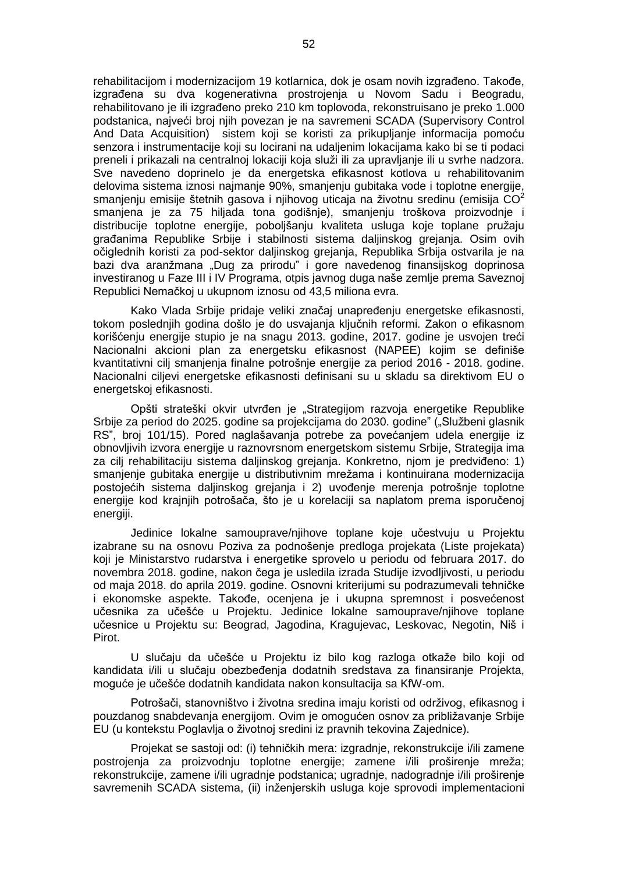rehabilitacijom i modernizacijom 19 kotlarnica, dok je osam novih izgrađeno. Takođe, izgrađena su dva kogenerativna prostrojenja u Novom Sadu i Beogradu, rehabilitovano je ili izgrađeno preko 210 km toplovoda, rekonstruisano je preko 1.000 podstanica, najveći broj njih povezan je na savremeni SCADA (Supervisory Control And Data Acquisition) sistem koji se koristi za prikupljanje informacija pomoću senzora i instrumentacije koji su locirani na udaljenim lokacijama kako bi se ti podaci preneli i prikazali na centralnoj lokaciji koja služi ili za upravljanje ili u svrhe nadzora. Sve navedeno doprinelo je da energetska efikasnost kotlova u rehabilitovanim delovima sistema iznosi najmanje 90%, smanjenju gubitaka vode i toplotne energije, smanjenju emisije štetnih gasova i njihovog uticaja na životnu sredinu (emisija CO<sup>2</sup> smanjena je za 75 hiljada tona godišnje), smanjenju troškova proizvodnje i distribucije toplotne energije, poboljšanju kvaliteta usluga koje toplane pružaju građanima Republike Srbije i stabilnosti sistema daljinskog grejanja. Osim ovih očiglednih koristi za pod-sektor daljinskog grejanja, Republika Srbija ostvarila je na bazi dva aranžmana "Dug za prirodu" i gore navedenog finansijskog doprinosa investiranog u Faze III i IV Programa, otpis javnog duga naše zemlje prema Saveznoj Republici Nemačkoj u ukupnom iznosu od 43,5 miliona evra.

Kako Vlada Srbije pridaje veliki značaj unapređenju energetske efikasnosti, tokom poslednjih godina došlo je do usvajanja ključnih reformi. Zakon o efikasnom korišćenju energije stupio je na snagu 2013. godine, 2017. godine je usvojen treći Nacionalni akcioni plan za energetsku efikasnost (NAPEE) kojim se definiše kvantitativni cilj smanjenja finalne potrošnje energije za period 2016 - 2018. godine. Nacionalni ciljevi energetske efikasnosti definisani su u skladu sa direktivom EU o energetskoj efikasnosti.

Opšti strateški okvir utvrđen je "Strategijom razvoja energetike Republike Srbije za period do 2025. godine sa projekcijama do 2030. godine" ("Službeni glasnik RSˮ, broj 101/15). Pored naglašavanja potrebe za povećanjem udela energije iz obnovljivih izvora energije u raznovrsnom energetskom sistemu Srbije, Strategija ima za cilj rehabilitaciju sistema daljinskog grejanja. Konkretno, njom je predviđeno: 1) smanjenje gubitaka energije u distributivnim mrežama i kontinuirana modernizacija postojećih sistema daljinskog grejanja i 2) uvođenje merenja potrošnje toplotne energije kod krajnjih potrošača, što je u korelaciji sa naplatom prema isporučenoj energiji.

Jedinice lokalne samouprave/njihove toplane koje učestvuju u Projektu izabrane su na osnovu Poziva za podnošenje predloga projekata (Liste projekata) koji je Ministarstvo rudarstva i energetike sprovelo u periodu od februara 2017. do novembra 2018. godine, nakon čega je usledila izrada Studije izvodljivosti, u periodu od maja 2018. do aprila 2019. godine. Osnovni kriterijumi su podrazumevali tehničke i ekonomske aspekte. Takođe, ocenjena je i ukupna spremnost i posvećenost učesnika za učešće u Projektu. Jedinice lokalne samouprave/njihove toplane učesnice u Projektu su: Beograd, Jagodina, Kragujevac, Leskovac, Negotin, Niš i Pirot.

U slučaju da učešće u Projektu iz bilo kog razloga otkaže bilo koji od kandidata i/ili u slučaju obezbeđenja dodatnih sredstava za finansiranje Projekta, moguće je učešće dodatnih kandidata nakon konsultacija sa KfW-om.

Potrošači, stanovništvo i životna sredina imaju koristi od održivog, efikasnog i pouzdanog snabdevanja energijom. Ovim je omogućen osnov za približavanje Srbije EU (u kontekstu Poglavlja o životnoj sredini iz pravnih tekovina Zajednice).

Projekat se sastoji od: (i) tehničkih mera: izgradnje, rekonstrukcije i/ili zamene postrojenja za proizvodnju toplotne energije; zamene i/ili proširenje mreža; rekonstrukcije, zamene i/ili ugradnje podstanica; ugradnje, nadogradnje i/ili proširenje savremenih SCADA sistema, (ii) inženjerskih usluga koje sprovodi implementacioni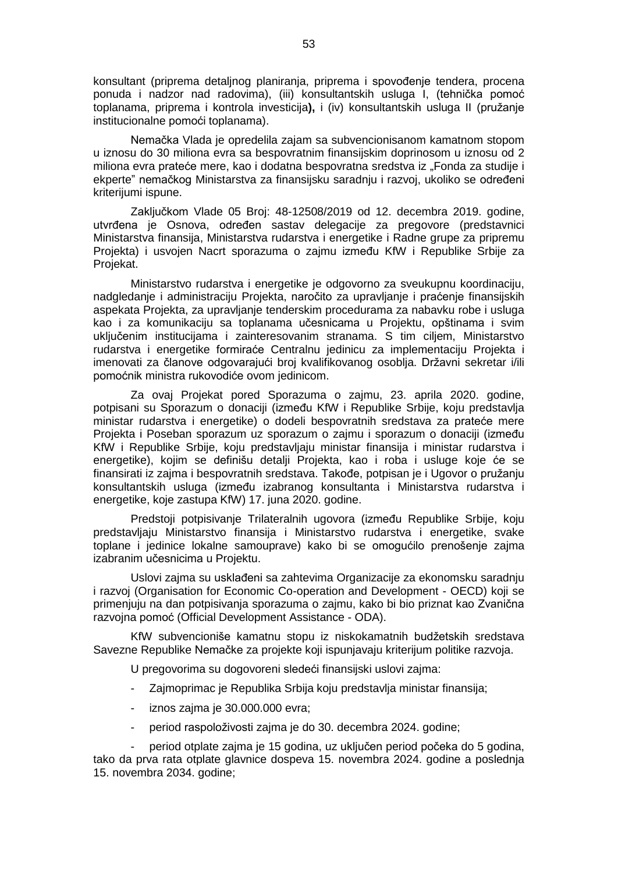konsultant (priprema detaljnog planiranja, priprema i spovođenje tendera, procena ponuda i nadzor nad radovima), (iii) konsultantskih usluga I, (tehnička pomoć toplanama, priprema i kontrola investicija**),** i (iv) konsultantskih usluga II (pružanje institucionalne pomoći toplanama).

Nemačka Vlada je opredelila zajam sa subvencionisanom kamatnom stopom u iznosu do 30 miliona evra sa bespovratnim finansijskim doprinosom u iznosu od 2 miliona evra prateće mere, kao i dodatna bespovratna sredstva iz "Fonda za studije i ekperteˮ nemačkog Ministarstva za finansijsku saradnju i razvoj, ukoliko se određeni kriterijumi ispune.

Zaključkom Vlade 05 Broj: 48-12508/2019 od 12. decembra 2019. godine, utvrđena je Osnova, određen sastav delegacije za pregovore (predstavnici Ministarstva finansija, Ministarstva rudarstva i energetike i Radne grupe za pripremu Projekta) i usvojen Nacrt sporazuma o zajmu između KfW i Republike Srbije za Projekat.

Ministarstvo rudarstva i energetike je odgovorno za sveukupnu koordinaciju, nadgledanje i administraciju Projekta, naročito za upravljanje i praćenje finansijskih aspekata Projekta, za upravljanje tenderskim procedurama za nabavku robe i usluga kao i za komunikaciju sa toplanama učesnicama u Projektu, opštinama i svim uključenim institucijama i zainteresovanim stranama. S tim ciljem, Ministarstvo rudarstva i energetike formiraće Centralnu jedinicu za implementaciju Projekta i imenovati za članove odgovarajući broj kvalifikovanog osoblja. Državni sekretar i/ili pomoćnik ministra rukovodiće ovom jedinicom.

Za ovaj Projekat pored Sporazuma o zajmu, 23. aprila 2020. godine, potpisani su Sporazum o donaciji (između KfW i Republike Srbije, koju predstavlja ministar rudarstva i energetike) o dodeli bespovratnih sredstava za prateće mere Projekta i Poseban sporazum uz sporazum o zajmu i sporazum o donaciji (između KfW i Republike Srbije, koju predstavljaju ministar finansija i ministar rudarstva i energetike), kojim se definišu detalji Projekta, kao i roba i usluge koje će se finansirati iz zajma i bespovratnih sredstava. Takođe, potpisan je i Ugovor o pružanju konsultantskih usluga (između izabranog konsultanta i Ministarstva rudarstva i energetike, koje zastupa KfW) 17. juna 2020. godine.

Predstoji potpisivanje Trilateralnih ugovora (između Republike Srbije, koju predstavljaju Ministarstvo finansija i Ministarstvo rudarstva i energetike, svake toplane i jedinice lokalne samouprave) kako bi se omogućilo prenošenje zajma izabranim učesnicima u Projektu.

Uslovi zajma su usklađeni sa zahtevima Organizacije za ekonomsku saradnju i razvoj (Organisation for Economic Co-operation and Development - OECD) koji se primenjuju na dan potpisivanja sporazuma o zajmu, kako bi bio priznat kao Zvanična razvojna pomoć (Official Development Assistance - ODA).

KfW subvencioniše kamatnu stopu iz niskokamatnih budžetskih sredstava Savezne Republike Nemačke za projekte koji ispunjavaju kriterijum politike razvoja.

U pregovorima su dogovoreni sledeći finansijski uslovi zajma:

- Zajmoprimac je Republika Srbija koju predstavlja ministar finansija;
- iznos zajma je 30.000.000 evra;
- period raspoloživosti zajma je do 30. decembra 2024. godine;

- period otplate zajma je 15 godina, uz uključen period počeka do 5 godina, tako da prva rata otplate glavnice dospeva 15. novembra 2024. godine a poslednja 15. novembra 2034. godine;